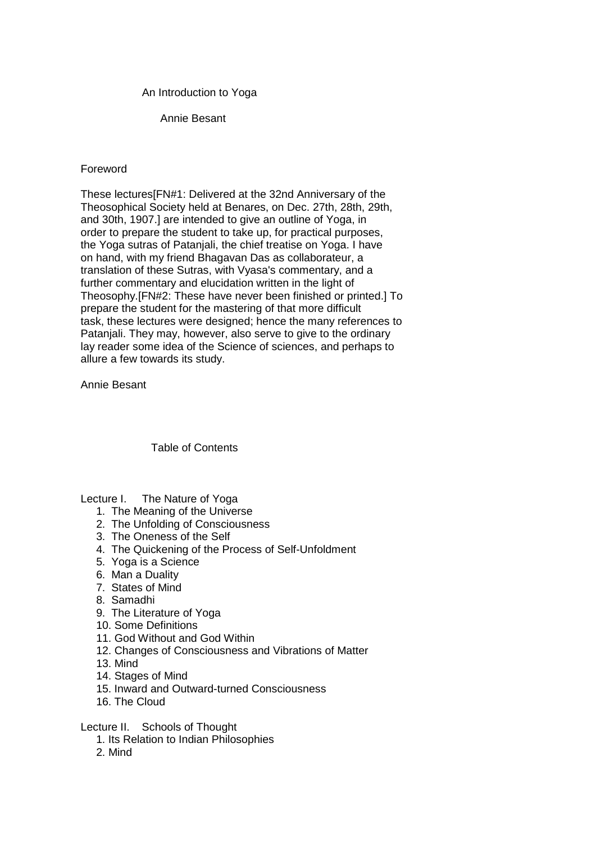## An Introduction to Yoga

Annie Besant

# Foreword

These lectures[FN#1: Delivered at the 32nd Anniversary of the Theosophical Society held at Benares, on Dec. 27th, 28th, 29th, and 30th, 1907.] are intended to give an outline of Yoga, in order to prepare the student to take up, for practical purposes, the Yoga sutras of Patanjali, the chief treatise on Yoga. I have on hand, with my friend Bhagavan Das as collaborateur, a translation of these Sutras, with Vyasa's commentary, and a further commentary and elucidation written in the light of Theosophy.[FN#2: These have never been finished or printed.] To prepare the student for the mastering of that more difficult task, these lectures were designed; hence the many references to Patanjali. They may, however, also serve to give to the ordinary lay reader some idea of the Science of sciences, and perhaps to allure a few towards its study.

Annie Besant

# Table of Contents

### Lecture I. The Nature of Yoga

- 1. The Meaning of the Universe
- 2. The Unfolding of Consciousness
- 3. The Oneness of the Self
- 4. The Quickening of the Process of Self-Unfoldment
- 5. Yoga is a Science
- 6. Man a Duality
- 7. States of Mind
- 8. Samadhi
- 9. The Literature of Yoga
- 10. Some Definitions
- 11. God Without and God Within
- 12. Changes of Consciousness and Vibrations of Matter
- 13. Mind
- 14. Stages of Mind
- 15. Inward and Outward-turned Consciousness
- 16. The Cloud

Lecture II. Schools of Thought

- 1. Its Relation to Indian Philosophies
- 2. Mind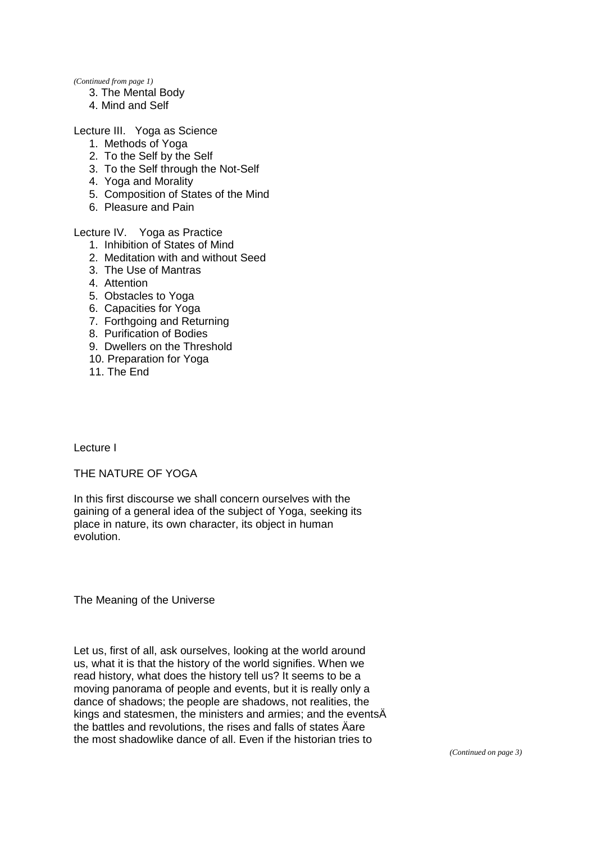*(Continued from page 1)* 

- 3. The Mental Body
- 4. Mind and Self

Lecture III. Yoga as Science

- 1. Methods of Yoga
- 2. To the Self by the Self
- 3. To the Self through the Not-Self
- 4. Yoga and Morality
- 5. Composition of States of the Mind
- 6. Pleasure and Pain

Lecture IV. Yoga as Practice

- 1. Inhibition of States of Mind
- 2. Meditation with and without Seed
- 3. The Use of Mantras
- 4. Attention
- 5. Obstacles to Yoga
- 6. Capacities for Yoga
- 7. Forthgoing and Returning
- 8. Purification of Bodies
- 9. Dwellers on the Threshold
- 10. Preparation for Yoga
- 11. The End

Lecture I

THE NATURE OF YOGA

In this first discourse we shall concern ourselves with the gaining of a general idea of the subject of Yoga, seeking its place in nature, its own character, its object in human evolution.

The Meaning of the Universe

Let us, first of all, ask ourselves, looking at the world around us, what it is that the history of the world signifies. When we read history, what does the history tell us? It seems to be a moving panorama of people and events, but it is really only a dance of shadows; the people are shadows, not realities, the kings and statesmen, the ministers and armies; and the eventsÄ the battles and revolutions, the rises and falls of states Äare the most shadowlike dance of all. Even if the historian tries to

*(Continued on page 3)*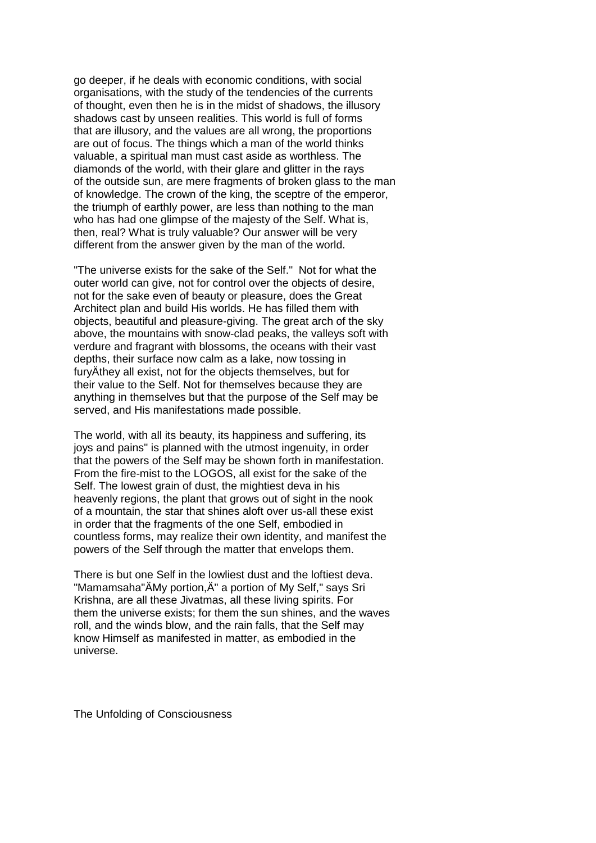go deeper, if he deals with economic conditions, with social organisations, with the study of the tendencies of the currents of thought, even then he is in the midst of shadows, the illusory shadows cast by unseen realities. This world is full of forms that are illusory, and the values are all wrong, the proportions are out of focus. The things which a man of the world thinks valuable, a spiritual man must cast aside as worthless. The diamonds of the world, with their glare and glitter in the rays of the outside sun, are mere fragments of broken glass to the man of knowledge. The crown of the king, the sceptre of the emperor, the triumph of earthly power, are less than nothing to the man who has had one glimpse of the majesty of the Self. What is, then, real? What is truly valuable? Our answer will be very different from the answer given by the man of the world.

"The universe exists for the sake of the Self." Not for what the outer world can give, not for control over the objects of desire, not for the sake even of beauty or pleasure, does the Great Architect plan and build His worlds. He has filled them with objects, beautiful and pleasure-giving. The great arch of the sky above, the mountains with snow-clad peaks, the valleys soft with verdure and fragrant with blossoms, the oceans with their vast depths, their surface now calm as a lake, now tossing in furyÄthey all exist, not for the objects themselves, but for their value to the Self. Not for themselves because they are anything in themselves but that the purpose of the Self may be served, and His manifestations made possible.

The world, with all its beauty, its happiness and suffering, its joys and pains" is planned with the utmost ingenuity, in order that the powers of the Self may be shown forth in manifestation. From the fire-mist to the LOGOS, all exist for the sake of the Self. The lowest grain of dust, the mightiest deva in his heavenly regions, the plant that grows out of sight in the nook of a mountain, the star that shines aloft over us-all these exist in order that the fragments of the one Self, embodied in countless forms, may realize their own identity, and manifest the powers of the Self through the matter that envelops them.

There is but one Self in the lowliest dust and the loftiest deva. "Mamamsaha"ÄMy portion,Ä" a portion of My Self," says Sri Krishna, are all these Jivatmas, all these living spirits. For them the universe exists; for them the sun shines, and the waves roll, and the winds blow, and the rain falls, that the Self may know Himself as manifested in matter, as embodied in the universe.

The Unfolding of Consciousness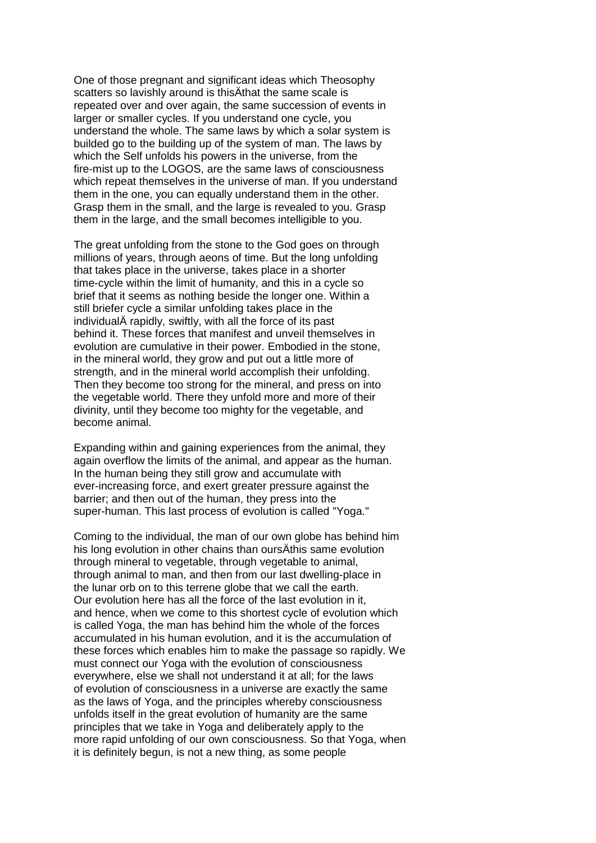One of those pregnant and significant ideas which Theosophy scatters so lavishly around is thisÄthat the same scale is repeated over and over again, the same succession of events in larger or smaller cycles. If you understand one cycle, you understand the whole. The same laws by which a solar system is builded go to the building up of the system of man. The laws by which the Self unfolds his powers in the universe, from the fire-mist up to the LOGOS, are the same laws of consciousness which repeat themselves in the universe of man. If you understand them in the one, you can equally understand them in the other. Grasp them in the small, and the large is revealed to you. Grasp them in the large, and the small becomes intelligible to you.

The great unfolding from the stone to the God goes on through millions of years, through aeons of time. But the long unfolding that takes place in the universe, takes place in a shorter time-cycle within the limit of humanity, and this in a cycle so brief that it seems as nothing beside the longer one. Within a still briefer cycle a similar unfolding takes place in the individualÄ rapidly, swiftly, with all the force of its past behind it. These forces that manifest and unveil themselves in evolution are cumulative in their power. Embodied in the stone, in the mineral world, they grow and put out a little more of strength, and in the mineral world accomplish their unfolding. Then they become too strong for the mineral, and press on into the vegetable world. There they unfold more and more of their divinity, until they become too mighty for the vegetable, and become animal.

Expanding within and gaining experiences from the animal, they again overflow the limits of the animal, and appear as the human. In the human being they still grow and accumulate with ever-increasing force, and exert greater pressure against the barrier; and then out of the human, they press into the super-human. This last process of evolution is called "Yoga."

Coming to the individual, the man of our own globe has behind him his long evolution in other chains than oursÄthis same evolution through mineral to vegetable, through vegetable to animal, through animal to man, and then from our last dwelling-place in the lunar orb on to this terrene globe that we call the earth. Our evolution here has all the force of the last evolution in it, and hence, when we come to this shortest cycle of evolution which is called Yoga, the man has behind him the whole of the forces accumulated in his human evolution, and it is the accumulation of these forces which enables him to make the passage so rapidly. We must connect our Yoga with the evolution of consciousness everywhere, else we shall not understand it at all; for the laws of evolution of consciousness in a universe are exactly the same as the laws of Yoga, and the principles whereby consciousness unfolds itself in the great evolution of humanity are the same principles that we take in Yoga and deliberately apply to the more rapid unfolding of our own consciousness. So that Yoga, when it is definitely begun, is not a new thing, as some people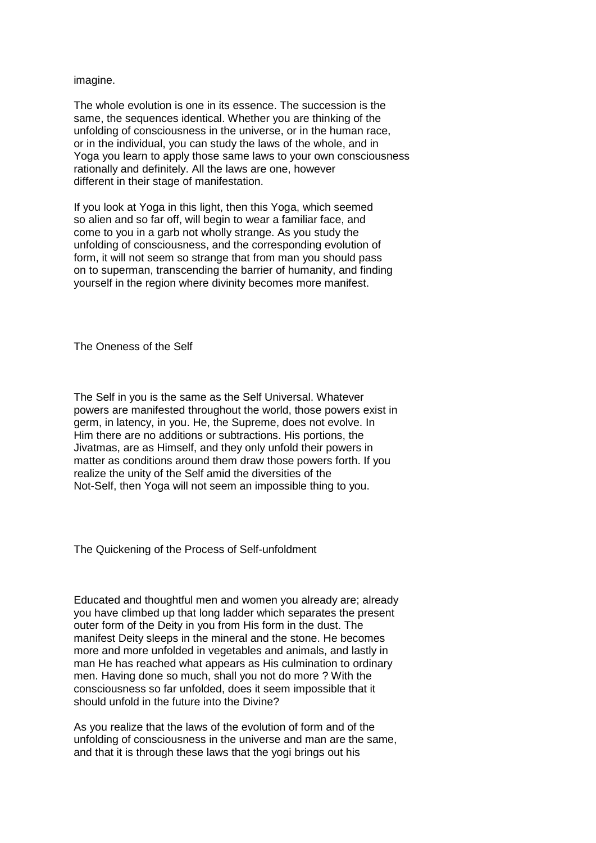imagine.

The whole evolution is one in its essence. The succession is the same, the sequences identical. Whether you are thinking of the unfolding of consciousness in the universe, or in the human race, or in the individual, you can study the laws of the whole, and in Yoga you learn to apply those same laws to your own consciousness rationally and definitely. All the laws are one, however different in their stage of manifestation.

If you look at Yoga in this light, then this Yoga, which seemed so alien and so far off, will begin to wear a familiar face, and come to you in a garb not wholly strange. As you study the unfolding of consciousness, and the corresponding evolution of form, it will not seem so strange that from man you should pass on to superman, transcending the barrier of humanity, and finding yourself in the region where divinity becomes more manifest.

The Oneness of the Self

The Self in you is the same as the Self Universal. Whatever powers are manifested throughout the world, those powers exist in germ, in latency, in you. He, the Supreme, does not evolve. In Him there are no additions or subtractions. His portions, the Jivatmas, are as Himself, and they only unfold their powers in matter as conditions around them draw those powers forth. If you realize the unity of the Self amid the diversities of the Not-Self, then Yoga will not seem an impossible thing to you.

The Quickening of the Process of Self-unfoldment

Educated and thoughtful men and women you already are; already you have climbed up that long ladder which separates the present outer form of the Deity in you from His form in the dust. The manifest Deity sleeps in the mineral and the stone. He becomes more and more unfolded in vegetables and animals, and lastly in man He has reached what appears as His culmination to ordinary men. Having done so much, shall you not do more ? With the consciousness so far unfolded, does it seem impossible that it should unfold in the future into the Divine?

As you realize that the laws of the evolution of form and of the unfolding of consciousness in the universe and man are the same, and that it is through these laws that the yogi brings out his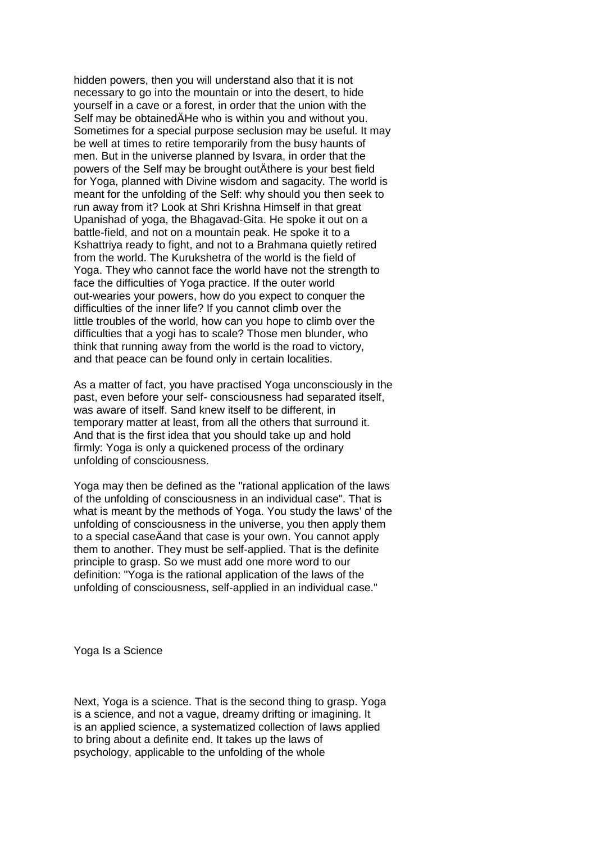hidden powers, then you will understand also that it is not necessary to go into the mountain or into the desert, to hide yourself in a cave or a forest, in order that the union with the Self may be obtainedÄHe who is within you and without you. Sometimes for a special purpose seclusion may be useful. It may be well at times to retire temporarily from the busy haunts of men. But in the universe planned by Isvara, in order that the powers of the Self may be brought outÄthere is your best field for Yoga, planned with Divine wisdom and sagacity. The world is meant for the unfolding of the Self: why should you then seek to run away from it? Look at Shri Krishna Himself in that great Upanishad of yoga, the Bhagavad-Gita. He spoke it out on a battle-field, and not on a mountain peak. He spoke it to a Kshattriya ready to fight, and not to a Brahmana quietly retired from the world. The Kurukshetra of the world is the field of Yoga. They who cannot face the world have not the strength to face the difficulties of Yoga practice. If the outer world out-wearies your powers, how do you expect to conquer the difficulties of the inner life? If you cannot climb over the little troubles of the world, how can you hope to climb over the difficulties that a yogi has to scale? Those men blunder, who think that running away from the world is the road to victory, and that peace can be found only in certain localities.

As a matter of fact, you have practised Yoga unconsciously in the past, even before your self- consciousness had separated itself, was aware of itself. Sand knew itself to be different, in temporary matter at least, from all the others that surround it. And that is the first idea that you should take up and hold firmly: Yoga is only a quickened process of the ordinary unfolding of consciousness.

Yoga may then be defined as the "rational application of the laws of the unfolding of consciousness in an individual case". That is what is meant by the methods of Yoga. You study the laws' of the unfolding of consciousness in the universe, you then apply them to a special caseÄand that case is your own. You cannot apply them to another. They must be self-applied. That is the definite principle to grasp. So we must add one more word to our definition: "Yoga is the rational application of the laws of the unfolding of consciousness, self-applied in an individual case."

Yoga Is a Science

Next, Yoga is a science. That is the second thing to grasp. Yoga is a science, and not a vague, dreamy drifting or imagining. It is an applied science, a systematized collection of laws applied to bring about a definite end. It takes up the laws of psychology, applicable to the unfolding of the whole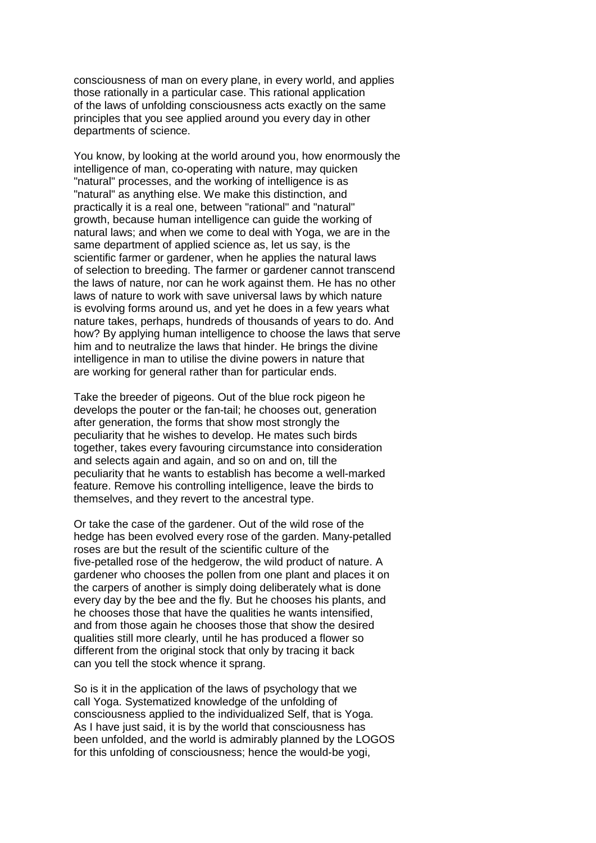consciousness of man on every plane, in every world, and applies those rationally in a particular case. This rational application of the laws of unfolding consciousness acts exactly on the same principles that you see applied around you every day in other departments of science.

You know, by looking at the world around you, how enormously the intelligence of man, co-operating with nature, may quicken "natural" processes, and the working of intelligence is as "natural" as anything else. We make this distinction, and practically it is a real one, between "rational" and "natural" growth, because human intelligence can guide the working of natural laws; and when we come to deal with Yoga, we are in the same department of applied science as, let us say, is the scientific farmer or gardener, when he applies the natural laws of selection to breeding. The farmer or gardener cannot transcend the laws of nature, nor can he work against them. He has no other laws of nature to work with save universal laws by which nature is evolving forms around us, and yet he does in a few years what nature takes, perhaps, hundreds of thousands of years to do. And how? By applying human intelligence to choose the laws that serve him and to neutralize the laws that hinder. He brings the divine intelligence in man to utilise the divine powers in nature that are working for general rather than for particular ends.

Take the breeder of pigeons. Out of the blue rock pigeon he develops the pouter or the fan-tail; he chooses out, generation after generation, the forms that show most strongly the peculiarity that he wishes to develop. He mates such birds together, takes every favouring circumstance into consideration and selects again and again, and so on and on, till the peculiarity that he wants to establish has become a well-marked feature. Remove his controlling intelligence, leave the birds to themselves, and they revert to the ancestral type.

Or take the case of the gardener. Out of the wild rose of the hedge has been evolved every rose of the garden. Many-petalled roses are but the result of the scientific culture of the five-petalled rose of the hedgerow, the wild product of nature. A gardener who chooses the pollen from one plant and places it on the carpers of another is simply doing deliberately what is done every day by the bee and the fly. But he chooses his plants, and he chooses those that have the qualities he wants intensified, and from those again he chooses those that show the desired qualities still more clearly, until he has produced a flower so different from the original stock that only by tracing it back can you tell the stock whence it sprang.

So is it in the application of the laws of psychology that we call Yoga. Systematized knowledge of the unfolding of consciousness applied to the individualized Self, that is Yoga. As I have just said, it is by the world that consciousness has been unfolded, and the world is admirably planned by the LOGOS for this unfolding of consciousness; hence the would-be yogi,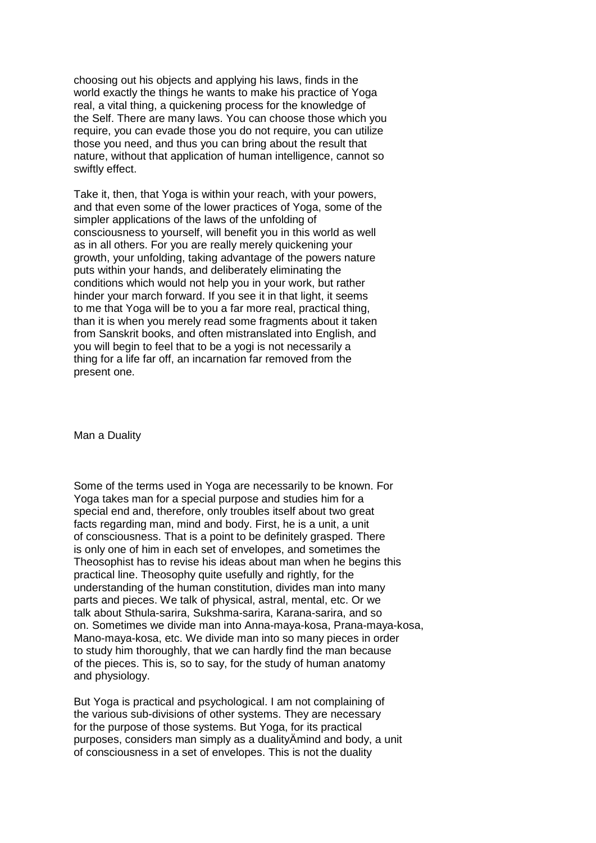choosing out his objects and applying his laws, finds in the world exactly the things he wants to make his practice of Yoga real, a vital thing, a quickening process for the knowledge of the Self. There are many laws. You can choose those which you require, you can evade those you do not require, you can utilize those you need, and thus you can bring about the result that nature, without that application of human intelligence, cannot so swiftly effect.

Take it, then, that Yoga is within your reach, with your powers, and that even some of the lower practices of Yoga, some of the simpler applications of the laws of the unfolding of consciousness to yourself, will benefit you in this world as well as in all others. For you are really merely quickening your growth, your unfolding, taking advantage of the powers nature puts within your hands, and deliberately eliminating the conditions which would not help you in your work, but rather hinder your march forward. If you see it in that light, it seems to me that Yoga will be to you a far more real, practical thing, than it is when you merely read some fragments about it taken from Sanskrit books, and often mistranslated into English, and you will begin to feel that to be a yogi is not necessarily a thing for a life far off, an incarnation far removed from the present one.

Man a Duality

Some of the terms used in Yoga are necessarily to be known. For Yoga takes man for a special purpose and studies him for a special end and, therefore, only troubles itself about two great facts regarding man, mind and body. First, he is a unit, a unit of consciousness. That is a point to be definitely grasped. There is only one of him in each set of envelopes, and sometimes the Theosophist has to revise his ideas about man when he begins this practical line. Theosophy quite usefully and rightly, for the understanding of the human constitution, divides man into many parts and pieces. We talk of physical, astral, mental, etc. Or we talk about Sthula-sarira, Sukshma-sarira, Karana-sarira, and so on. Sometimes we divide man into Anna-maya-kosa, Prana-maya-kosa, Mano-maya-kosa, etc. We divide man into so many pieces in order to study him thoroughly, that we can hardly find the man because of the pieces. This is, so to say, for the study of human anatomy and physiology.

But Yoga is practical and psychological. I am not complaining of the various sub-divisions of other systems. They are necessary for the purpose of those systems. But Yoga, for its practical purposes, considers man simply as a dualityÄmind and body, a unit of consciousness in a set of envelopes. This is not the duality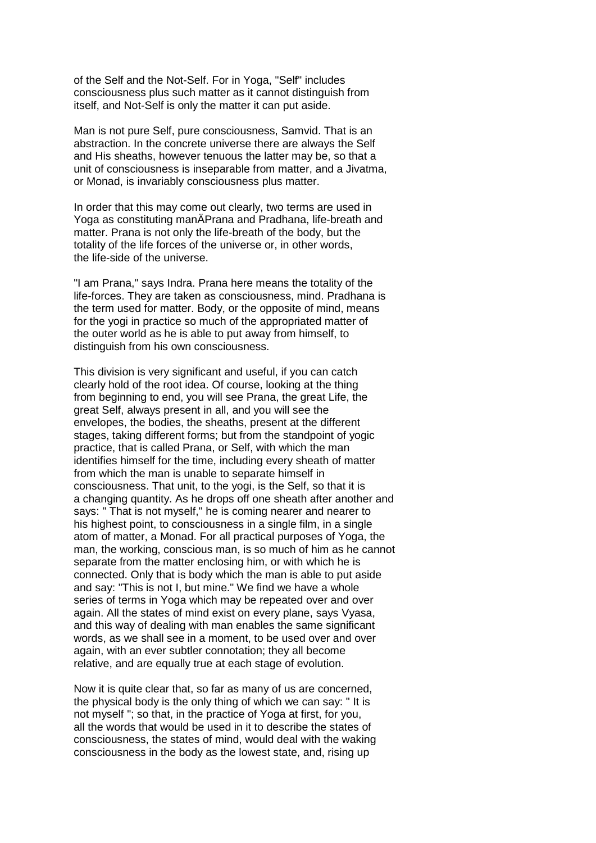of the Self and the Not-Self. For in Yoga, "Self" includes consciousness plus such matter as it cannot distinguish from itself, and Not-Self is only the matter it can put aside.

Man is not pure Self, pure consciousness, Samvid. That is an abstraction. In the concrete universe there are always the Self and His sheaths, however tenuous the latter may be, so that a unit of consciousness is inseparable from matter, and a Jivatma, or Monad, is invariably consciousness plus matter.

In order that this may come out clearly, two terms are used in Yoga as constituting manÄPrana and Pradhana, life-breath and matter. Prana is not only the life-breath of the body, but the totality of the life forces of the universe or, in other words, the life-side of the universe.

"I am Prana," says Indra. Prana here means the totality of the life-forces. They are taken as consciousness, mind. Pradhana is the term used for matter. Body, or the opposite of mind, means for the yogi in practice so much of the appropriated matter of the outer world as he is able to put away from himself, to distinguish from his own consciousness.

This division is very significant and useful, if you can catch clearly hold of the root idea. Of course, looking at the thing from beginning to end, you will see Prana, the great Life, the great Self, always present in all, and you will see the envelopes, the bodies, the sheaths, present at the different stages, taking different forms; but from the standpoint of yogic practice, that is called Prana, or Self, with which the man identifies himself for the time, including every sheath of matter from which the man is unable to separate himself in consciousness. That unit, to the yogi, is the Self, so that it is a changing quantity. As he drops off one sheath after another and says: " That is not myself," he is coming nearer and nearer to his highest point, to consciousness in a single film, in a single atom of matter, a Monad. For all practical purposes of Yoga, the man, the working, conscious man, is so much of him as he cannot separate from the matter enclosing him, or with which he is connected. Only that is body which the man is able to put aside and say: "This is not I, but mine." We find we have a whole series of terms in Yoga which may be repeated over and over again. All the states of mind exist on every plane, says Vyasa, and this way of dealing with man enables the same significant words, as we shall see in a moment, to be used over and over again, with an ever subtler connotation; they all become relative, and are equally true at each stage of evolution.

Now it is quite clear that, so far as many of us are concerned, the physical body is the only thing of which we can say: " It is not myself "; so that, in the practice of Yoga at first, for you, all the words that would be used in it to describe the states of consciousness, the states of mind, would deal with the waking consciousness in the body as the lowest state, and, rising up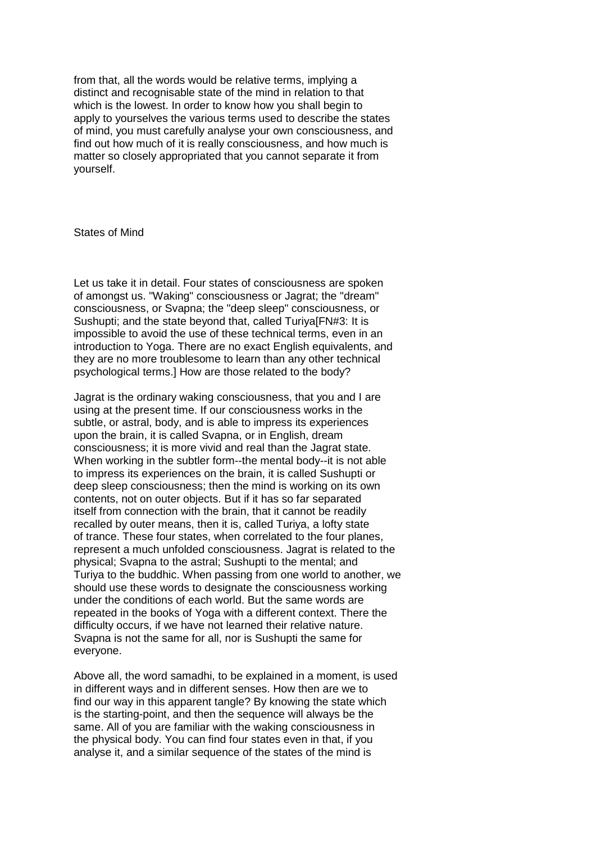from that, all the words would be relative terms, implying a distinct and recognisable state of the mind in relation to that which is the lowest. In order to know how you shall begin to apply to yourselves the various terms used to describe the states of mind, you must carefully analyse your own consciousness, and find out how much of it is really consciousness, and how much is matter so closely appropriated that you cannot separate it from yourself.

States of Mind

Let us take it in detail. Four states of consciousness are spoken of amongst us. "Waking" consciousness or Jagrat; the "dream" consciousness, or Svapna; the "deep sleep" consciousness, or Sushupti; and the state beyond that, called Turiya[FN#3: It is impossible to avoid the use of these technical terms, even in an introduction to Yoga. There are no exact English equivalents, and they are no more troublesome to learn than any other technical psychological terms.] How are those related to the body?

Jagrat is the ordinary waking consciousness, that you and I are using at the present time. If our consciousness works in the subtle, or astral, body, and is able to impress its experiences upon the brain, it is called Svapna, or in English, dream consciousness; it is more vivid and real than the Jagrat state. When working in the subtler form--the mental body--it is not able to impress its experiences on the brain, it is called Sushupti or deep sleep consciousness; then the mind is working on its own contents, not on outer objects. But if it has so far separated itself from connection with the brain, that it cannot be readily recalled by outer means, then it is, called Turiya, a lofty state of trance. These four states, when correlated to the four planes, represent a much unfolded consciousness. Jagrat is related to the physical; Svapna to the astral; Sushupti to the mental; and Turiya to the buddhic. When passing from one world to another, we should use these words to designate the consciousness working under the conditions of each world. But the same words are repeated in the books of Yoga with a different context. There the difficulty occurs, if we have not learned their relative nature. Svapna is not the same for all, nor is Sushupti the same for everyone.

Above all, the word samadhi, to be explained in a moment, is used in different ways and in different senses. How then are we to find our way in this apparent tangle? By knowing the state which is the starting-point, and then the sequence will always be the same. All of you are familiar with the waking consciousness in the physical body. You can find four states even in that, if you analyse it, and a similar sequence of the states of the mind is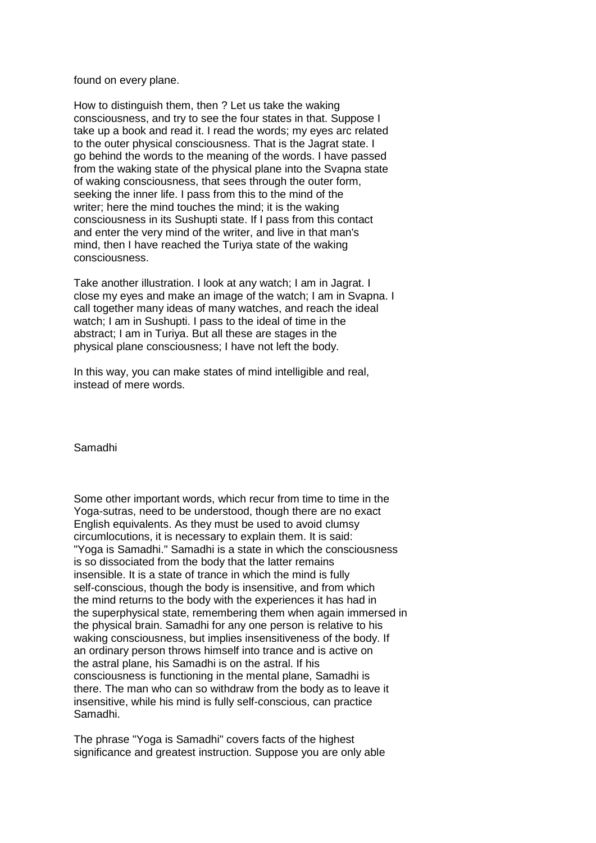found on every plane.

How to distinguish them, then ? Let us take the waking consciousness, and try to see the four states in that. Suppose I take up a book and read it. I read the words; my eyes arc related to the outer physical consciousness. That is the Jagrat state. I go behind the words to the meaning of the words. I have passed from the waking state of the physical plane into the Svapna state of waking consciousness, that sees through the outer form, seeking the inner life. I pass from this to the mind of the writer; here the mind touches the mind; it is the waking consciousness in its Sushupti state. If I pass from this contact and enter the very mind of the writer, and live in that man's mind, then I have reached the Turiya state of the waking consciousness.

Take another illustration. I look at any watch; I am in Jagrat. I close my eyes and make an image of the watch; I am in Svapna. I call together many ideas of many watches, and reach the ideal watch; I am in Sushupti. I pass to the ideal of time in the abstract; I am in Turiya. But all these are stages in the physical plane consciousness; I have not left the body.

In this way, you can make states of mind intelligible and real, instead of mere words.

Samadhi

Some other important words, which recur from time to time in the Yoga-sutras, need to be understood, though there are no exact English equivalents. As they must be used to avoid clumsy circumlocutions, it is necessary to explain them. It is said: "Yoga is Samadhi." Samadhi is a state in which the consciousness is so dissociated from the body that the latter remains insensible. It is a state of trance in which the mind is fully self-conscious, though the body is insensitive, and from which the mind returns to the body with the experiences it has had in the superphysical state, remembering them when again immersed in the physical brain. Samadhi for any one person is relative to his waking consciousness, but implies insensitiveness of the body. If an ordinary person throws himself into trance and is active on the astral plane, his Samadhi is on the astral. If his consciousness is functioning in the mental plane, Samadhi is there. The man who can so withdraw from the body as to leave it insensitive, while his mind is fully self-conscious, can practice Samadhi.

The phrase "Yoga is Samadhi" covers facts of the highest significance and greatest instruction. Suppose you are only able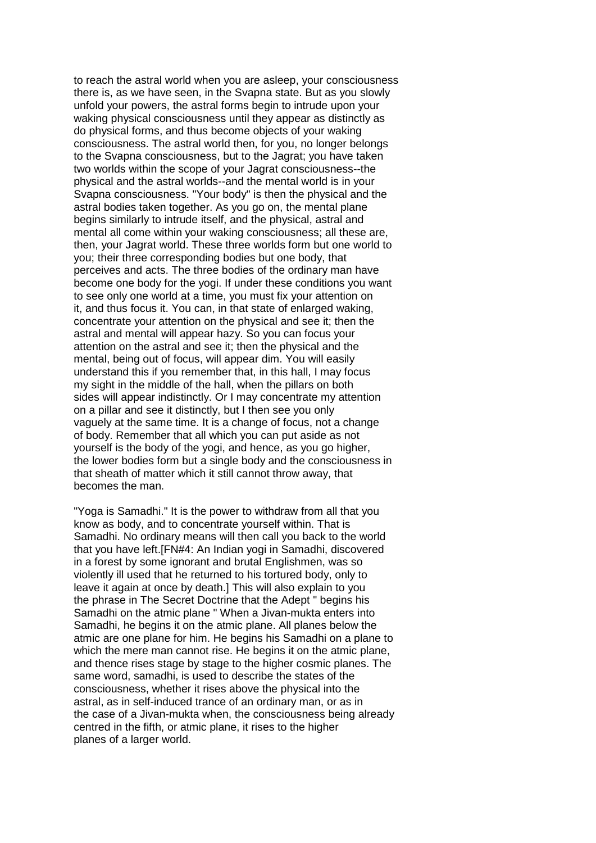to reach the astral world when you are asleep, your consciousness there is, as we have seen, in the Svapna state. But as you slowly unfold your powers, the astral forms begin to intrude upon your waking physical consciousness until they appear as distinctly as do physical forms, and thus become objects of your waking consciousness. The astral world then, for you, no longer belongs to the Svapna consciousness, but to the Jagrat; you have taken two worlds within the scope of your Jagrat consciousness--the physical and the astral worlds--and the mental world is in your Svapna consciousness. "Your body" is then the physical and the astral bodies taken together. As you go on, the mental plane begins similarly to intrude itself, and the physical, astral and mental all come within your waking consciousness; all these are, then, your Jagrat world. These three worlds form but one world to you; their three corresponding bodies but one body, that perceives and acts. The three bodies of the ordinary man have become one body for the yogi. If under these conditions you want to see only one world at a time, you must fix your attention on it, and thus focus it. You can, in that state of enlarged waking, concentrate your attention on the physical and see it; then the astral and mental will appear hazy. So you can focus your attention on the astral and see it; then the physical and the mental, being out of focus, will appear dim. You will easily understand this if you remember that, in this hall, I may focus my sight in the middle of the hall, when the pillars on both sides will appear indistinctly. Or I may concentrate my attention on a pillar and see it distinctly, but I then see you only vaguely at the same time. It is a change of focus, not a change of body. Remember that all which you can put aside as not yourself is the body of the yogi, and hence, as you go higher, the lower bodies form but a single body and the consciousness in that sheath of matter which it still cannot throw away, that becomes the man.

"Yoga is Samadhi." It is the power to withdraw from all that you know as body, and to concentrate yourself within. That is Samadhi. No ordinary means will then call you back to the world that you have left.[FN#4: An Indian yogi in Samadhi, discovered in a forest by some ignorant and brutal Englishmen, was so violently ill used that he returned to his tortured body, only to leave it again at once by death.] This will also explain to you the phrase in The Secret Doctrine that the Adept " begins his Samadhi on the atmic plane " When a Jivan-mukta enters into Samadhi, he begins it on the atmic plane. All planes below the atmic are one plane for him. He begins his Samadhi on a plane to which the mere man cannot rise. He begins it on the atmic plane, and thence rises stage by stage to the higher cosmic planes. The same word, samadhi, is used to describe the states of the consciousness, whether it rises above the physical into the astral, as in self-induced trance of an ordinary man, or as in the case of a Jivan-mukta when, the consciousness being already centred in the fifth, or atmic plane, it rises to the higher planes of a larger world.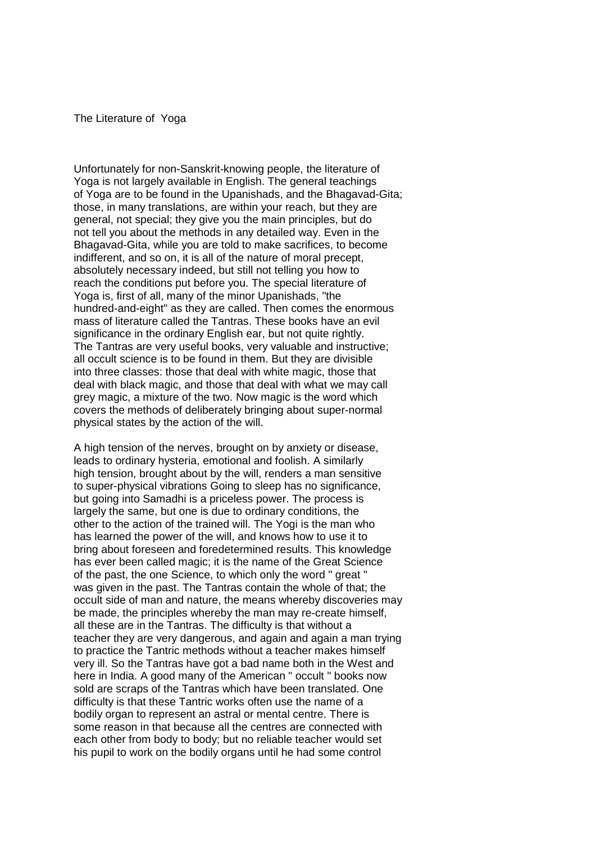#### The Literature of Yoga

Unfortunately for non-Sanskrit-knowing people, the literature of Yoga is not largely available in English. The general teachings of Yoga are to be found in the Upanishads, and the Bhagavad-Gita; those, in many translations, are within your reach, but they are general, not special; they give you the main principles, but do not tell you about the methods in any detailed way. Even in the Bhagavad-Gita, while you are told to make sacrifices, to become indifferent, and so on, it is all of the nature of moral precept, absolutely necessary indeed, but still not telling you how to reach the conditions put before you. The special literature of Yoga is, first of all, many of the minor Upanishads, "the hundred-and-eight" as they are called. Then comes the enormous mass of literature called the Tantras. These books have an evil significance in the ordinary English ear, but not quite rightly. The Tantras are very useful books, very valuable and instructive; all occult science is to be found in them. But they are divisible into three classes: those that deal with white magic, those that deal with black magic, and those that deal with what we may call grey magic, a mixture of the two. Now magic is the word which covers the methods of deliberately bringing about super-normal physical states by the action of the will.

A high tension of the nerves, brought on by anxiety or disease, leads to ordinary hysteria, emotional and foolish. A similarly high tension, brought about by the will, renders a man sensitive to super-physical vibrations Going to sleep has no significance, but going into Samadhi is a priceless power. The process is largely the same, but one is due to ordinary conditions, the other to the action of the trained will. The Yogi is the man who has learned the power of the will, and knows how to use it to bring about foreseen and foredetermined results. This knowledge has ever been called magic; it is the name of the Great Science of the past, the one Science, to which only the word " great " was given in the past. The Tantras contain the whole of that; the occult side of man and nature, the means whereby discoveries may be made, the principles whereby the man may re-create himself, all these are in the Tantras. The difficulty is that without a teacher they are very dangerous, and again and again a man trying to practice the Tantric methods without a teacher makes himself very ill. So the Tantras have got a bad name both in the West and here in India. A good many of the American " occult " books now sold are scraps of the Tantras which have been translated. One difficulty is that these Tantric works often use the name of a bodily organ to represent an astral or mental centre. There is some reason in that because all the centres are connected with each other from body to body; but no reliable teacher would set his pupil to work on the bodily organs until he had some control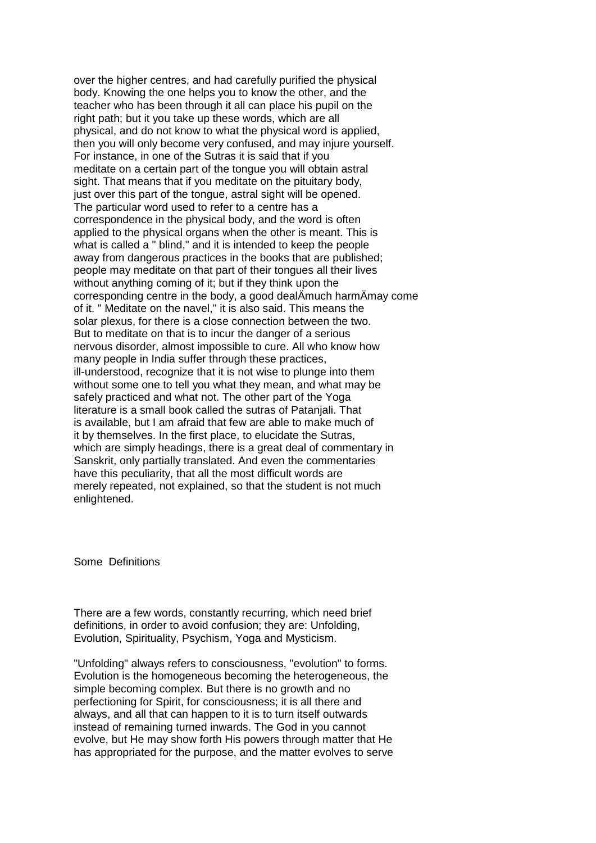over the higher centres, and had carefully purified the physical body. Knowing the one helps you to know the other, and the teacher who has been through it all can place his pupil on the right path; but it you take up these words, which are all physical, and do not know to what the physical word is applied, then you will only become very confused, and may injure yourself. For instance, in one of the Sutras it is said that if you meditate on a certain part of the tongue you will obtain astral sight. That means that if you meditate on the pituitary body, just over this part of the tongue, astral sight will be opened. The particular word used to refer to a centre has a correspondence in the physical body, and the word is often applied to the physical organs when the other is meant. This is what is called a " blind," and it is intended to keep the people away from dangerous practices in the books that are published; people may meditate on that part of their tongues all their lives without anything coming of it; but if they think upon the corresponding centre in the body, a good dealÄmuch harmÄmay come of it. " Meditate on the navel," it is also said. This means the solar plexus, for there is a close connection between the two. But to meditate on that is to incur the danger of a serious nervous disorder, almost impossible to cure. All who know how many people in India suffer through these practices, ill-understood, recognize that it is not wise to plunge into them without some one to tell you what they mean, and what may be safely practiced and what not. The other part of the Yoga literature is a small book called the sutras of Patanjali. That is available, but I am afraid that few are able to make much of it by themselves. In the first place, to elucidate the Sutras, which are simply headings, there is a great deal of commentary in Sanskrit, only partially translated. And even the commentaries have this peculiarity, that all the most difficult words are merely repeated, not explained, so that the student is not much enlightened.

Some Definitions

There are a few words, constantly recurring, which need brief definitions, in order to avoid confusion; they are: Unfolding, Evolution, Spirituality, Psychism, Yoga and Mysticism.

"Unfolding" always refers to consciousness, "evolution" to forms. Evolution is the homogeneous becoming the heterogeneous, the simple becoming complex. But there is no growth and no perfectioning for Spirit, for consciousness; it is all there and always, and all that can happen to it is to turn itself outwards instead of remaining turned inwards. The God in you cannot evolve, but He may show forth His powers through matter that He has appropriated for the purpose, and the matter evolves to serve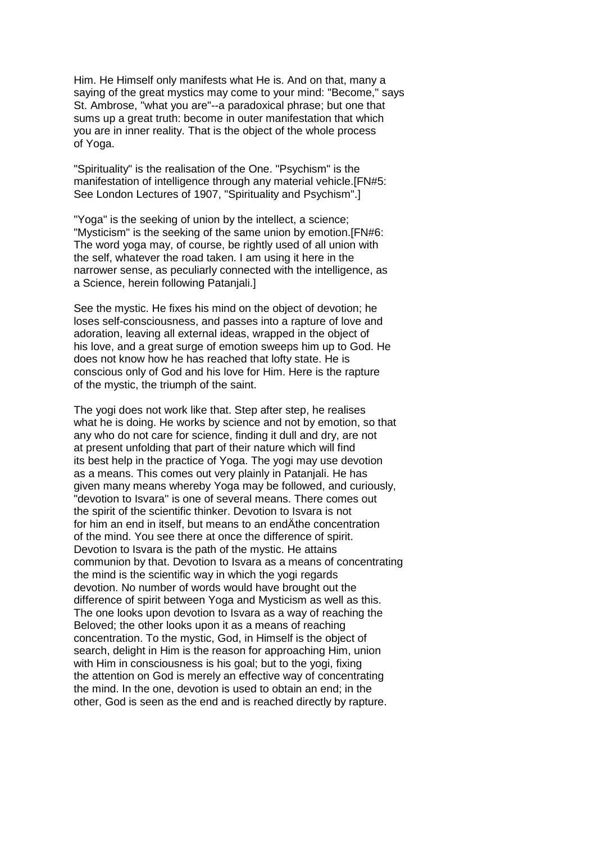Him. He Himself only manifests what He is. And on that, many a saying of the great mystics may come to your mind: "Become," says St. Ambrose, "what you are"--a paradoxical phrase; but one that sums up a great truth: become in outer manifestation that which you are in inner reality. That is the object of the whole process of Yoga.

"Spirituality" is the realisation of the One. "Psychism" is the manifestation of intelligence through any material vehicle.[FN#5: See London Lectures of 1907, "Spirituality and Psychism".]

"Yoga" is the seeking of union by the intellect, a science; "Mysticism" is the seeking of the same union by emotion.[FN#6: The word yoga may, of course, be rightly used of all union with the self, whatever the road taken. I am using it here in the narrower sense, as peculiarly connected with the intelligence, as a Science, herein following Patanjali.]

See the mystic. He fixes his mind on the object of devotion; he loses self-consciousness, and passes into a rapture of love and adoration, leaving all external ideas, wrapped in the object of his love, and a great surge of emotion sweeps him up to God. He does not know how he has reached that lofty state. He is conscious only of God and his love for Him. Here is the rapture of the mystic, the triumph of the saint.

The yogi does not work like that. Step after step, he realises what he is doing. He works by science and not by emotion, so that any who do not care for science, finding it dull and dry, are not at present unfolding that part of their nature which will find its best help in the practice of Yoga. The yogi may use devotion as a means. This comes out very plainly in Patanjali. He has given many means whereby Yoga may be followed, and curiously, "devotion to Isvara'' is one of several means. There comes out the spirit of the scientific thinker. Devotion to Isvara is not for him an end in itself, but means to an endÄthe concentration of the mind. You see there at once the difference of spirit. Devotion to Isvara is the path of the mystic. He attains communion by that. Devotion to Isvara as a means of concentrating the mind is the scientific way in which the yogi regards devotion. No number of words would have brought out the difference of spirit between Yoga and Mysticism as well as this. The one looks upon devotion to Isvara as a way of reaching the Beloved; the other looks upon it as a means of reaching concentration. To the mystic, God, in Himself is the object of search, delight in Him is the reason for approaching Him, union with Him in consciousness is his goal; but to the yogi, fixing the attention on God is merely an effective way of concentrating the mind. In the one, devotion is used to obtain an end; in the other, God is seen as the end and is reached directly by rapture.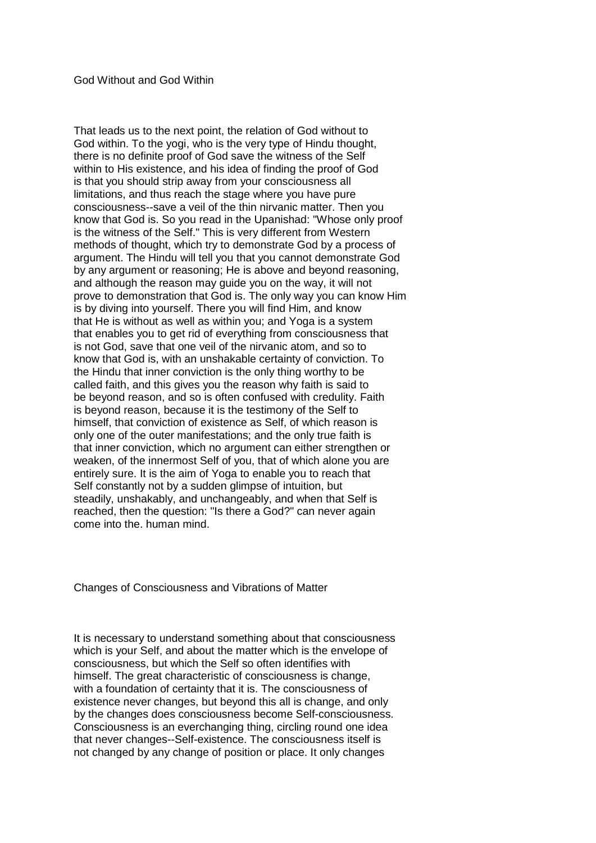### God Without and God Within

That leads us to the next point, the relation of God without to God within. To the yogi, who is the very type of Hindu thought, there is no definite proof of God save the witness of the Self within to His existence, and his idea of finding the proof of God is that you should strip away from your consciousness all limitations, and thus reach the stage where you have pure consciousness--save a veil of the thin nirvanic matter. Then you know that God is. So you read in the Upanishad: "Whose only proof is the witness of the Self." This is very different from Western methods of thought, which try to demonstrate God by a process of argument. The Hindu will tell you that you cannot demonstrate God by any argument or reasoning; He is above and beyond reasoning, and although the reason may guide you on the way, it will not prove to demonstration that God is. The only way you can know Him is by diving into yourself. There you will find Him, and know that He is without as well as within you; and Yoga is a system that enables you to get rid of everything from consciousness that is not God, save that one veil of the nirvanic atom, and so to know that God is, with an unshakable certainty of conviction. To the Hindu that inner conviction is the only thing worthy to be called faith, and this gives you the reason why faith is said to be beyond reason, and so is often confused with credulity. Faith is beyond reason, because it is the testimony of the Self to himself, that conviction of existence as Self, of which reason is only one of the outer manifestations; and the only true faith is that inner conviction, which no argument can either strengthen or weaken, of the innermost Self of you, that of which alone you are entirely sure. It is the aim of Yoga to enable you to reach that Self constantly not by a sudden glimpse of intuition, but steadily, unshakably, and unchangeably, and when that Self is reached, then the question: "Is there a God?" can never again come into the. human mind.

Changes of Consciousness and Vibrations of Matter

It is necessary to understand something about that consciousness which is your Self, and about the matter which is the envelope of consciousness, but which the Self so often identifies with himself. The great characteristic of consciousness is change, with a foundation of certainty that it is. The consciousness of existence never changes, but beyond this all is change, and only by the changes does consciousness become Self-consciousness. Consciousness is an everchanging thing, circling round one idea that never changes--Self-existence. The consciousness itself is not changed by any change of position or place. It only changes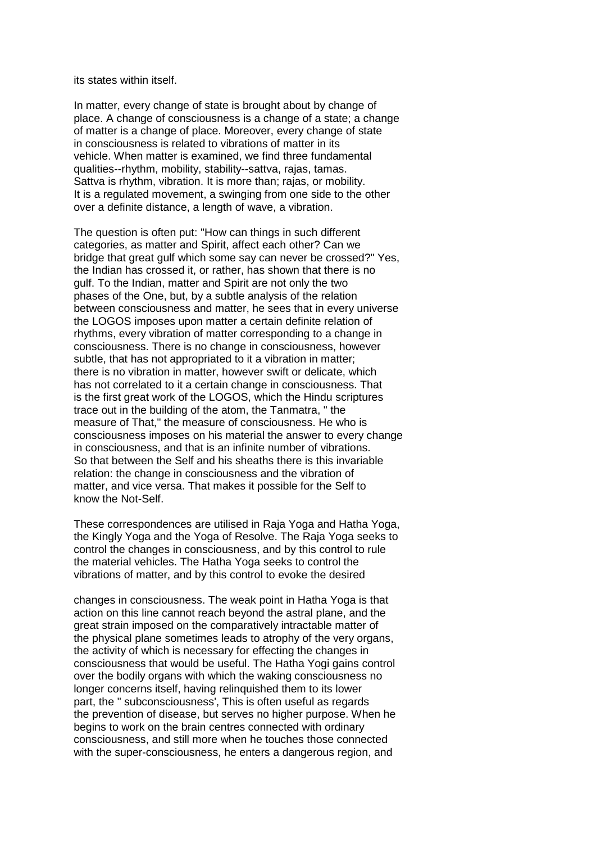its states within itself.

In matter, every change of state is brought about by change of place. A change of consciousness is a change of a state; a change of matter is a change of place. Moreover, every change of state in consciousness is related to vibrations of matter in its vehicle. When matter is examined, we find three fundamental qualities--rhythm, mobility, stability--sattva, rajas, tamas. Sattva is rhythm, vibration. It is more than; rajas, or mobility. It is a regulated movement, a swinging from one side to the other over a definite distance, a length of wave, a vibration.

The question is often put: "How can things in such different categories, as matter and Spirit, affect each other? Can we bridge that great gulf which some say can never be crossed?" Yes, the Indian has crossed it, or rather, has shown that there is no gulf. To the Indian, matter and Spirit are not only the two phases of the One, but, by a subtle analysis of the relation between consciousness and matter, he sees that in every universe the LOGOS imposes upon matter a certain definite relation of rhythms, every vibration of matter corresponding to a change in consciousness. There is no change in consciousness, however subtle, that has not appropriated to it a vibration in matter; there is no vibration in matter, however swift or delicate, which has not correlated to it a certain change in consciousness. That is the first great work of the LOGOS, which the Hindu scriptures trace out in the building of the atom, the Tanmatra, " the measure of That," the measure of consciousness. He who is consciousness imposes on his material the answer to every change in consciousness, and that is an infinite number of vibrations. So that between the Self and his sheaths there is this invariable relation: the change in consciousness and the vibration of matter, and vice versa. That makes it possible for the Self to know the Not-Self.

These correspondences are utilised in Raja Yoga and Hatha Yoga, the Kingly Yoga and the Yoga of Resolve. The Raja Yoga seeks to control the changes in consciousness, and by this control to rule the material vehicles. The Hatha Yoga seeks to control the vibrations of matter, and by this control to evoke the desired

changes in consciousness. The weak point in Hatha Yoga is that action on this line cannot reach beyond the astral plane, and the great strain imposed on the comparatively intractable matter of the physical plane sometimes leads to atrophy of the very organs, the activity of which is necessary for effecting the changes in consciousness that would be useful. The Hatha Yogi gains control over the bodily organs with which the waking consciousness no longer concerns itself, having relinquished them to its lower part, the " subconsciousness', This is often useful as regards the prevention of disease, but serves no higher purpose. When he begins to work on the brain centres connected with ordinary consciousness, and still more when he touches those connected with the super-consciousness, he enters a dangerous region, and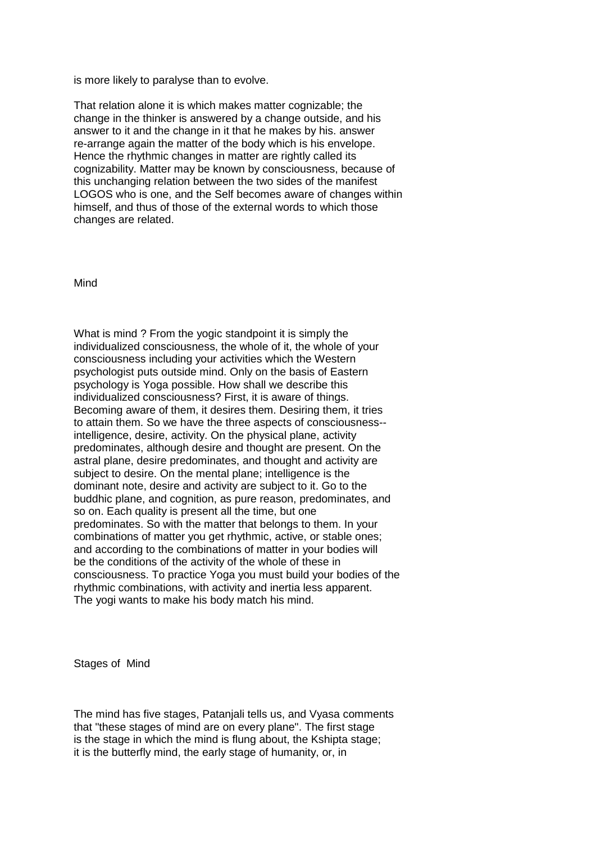is more likely to paralyse than to evolve.

That relation alone it is which makes matter cognizable; the change in the thinker is answered by a change outside, and his answer to it and the change in it that he makes by his. answer re-arrange again the matter of the body which is his envelope. Hence the rhythmic changes in matter are rightly called its cognizability. Matter may be known by consciousness, because of this unchanging relation between the two sides of the manifest LOGOS who is one, and the Self becomes aware of changes within himself, and thus of those of the external words to which those changes are related.

Mind

What is mind ? From the yogic standpoint it is simply the individualized consciousness, the whole of it, the whole of your consciousness including your activities which the Western psychologist puts outside mind. Only on the basis of Eastern psychology is Yoga possible. How shall we describe this individualized consciousness? First, it is aware of things. Becoming aware of them, it desires them. Desiring them, it tries to attain them. So we have the three aspects of consciousness- intelligence, desire, activity. On the physical plane, activity predominates, although desire and thought are present. On the astral plane, desire predominates, and thought and activity are subject to desire. On the mental plane; intelligence is the dominant note, desire and activity are subject to it. Go to the buddhic plane, and cognition, as pure reason, predominates, and so on. Each quality is present all the time, but one predominates. So with the matter that belongs to them. In your combinations of matter you get rhythmic, active, or stable ones; and according to the combinations of matter in your bodies will be the conditions of the activity of the whole of these in consciousness. To practice Yoga you must build your bodies of the rhythmic combinations, with activity and inertia less apparent. The yogi wants to make his body match his mind.

Stages of Mind

The mind has five stages, Patanjali tells us, and Vyasa comments that "these stages of mind are on every plane". The first stage is the stage in which the mind is flung about, the Kshipta stage; it is the butterfly mind, the early stage of humanity, or, in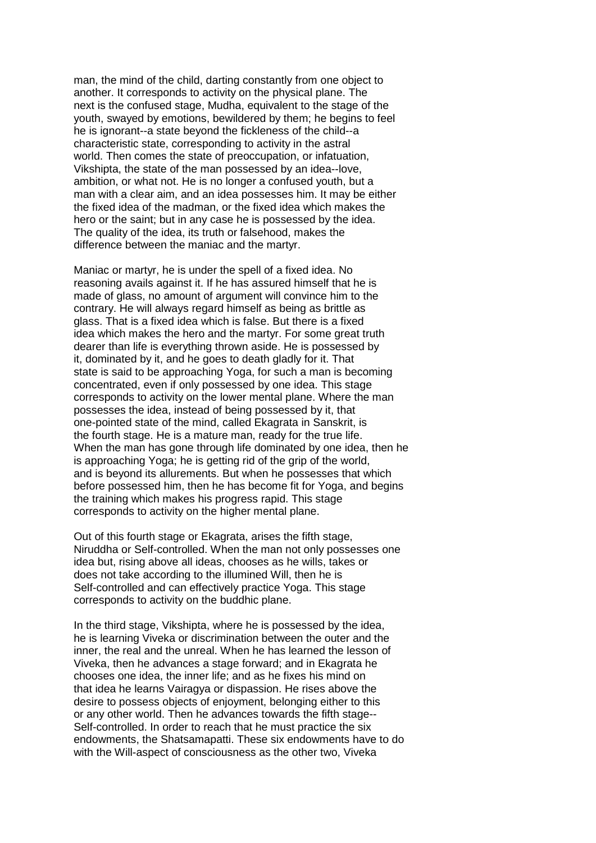man, the mind of the child, darting constantly from one object to another. It corresponds to activity on the physical plane. The next is the confused stage, Mudha, equivalent to the stage of the youth, swayed by emotions, bewildered by them; he begins to feel he is ignorant--a state beyond the fickleness of the child--a characteristic state, corresponding to activity in the astral world. Then comes the state of preoccupation, or infatuation, Vikshipta, the state of the man possessed by an idea--love, ambition, or what not. He is no longer a confused youth, but a man with a clear aim, and an idea possesses him. It may be either the fixed idea of the madman, or the fixed idea which makes the hero or the saint; but in any case he is possessed by the idea. The quality of the idea, its truth or falsehood, makes the difference between the maniac and the martyr.

Maniac or martyr, he is under the spell of a fixed idea. No reasoning avails against it. If he has assured himself that he is made of glass, no amount of argument will convince him to the contrary. He will always regard himself as being as brittle as glass. That is a fixed idea which is false. But there is a fixed idea which makes the hero and the martyr. For some great truth dearer than life is everything thrown aside. He is possessed by it, dominated by it, and he goes to death gladly for it. That state is said to be approaching Yoga, for such a man is becoming concentrated, even if only possessed by one idea. This stage corresponds to activity on the lower mental plane. Where the man possesses the idea, instead of being possessed by it, that one-pointed state of the mind, called Ekagrata in Sanskrit, is the fourth stage. He is a mature man, ready for the true life. When the man has gone through life dominated by one idea, then he is approaching Yoga; he is getting rid of the grip of the world, and is beyond its allurements. But when he possesses that which before possessed him, then he has become fit for Yoga, and begins the training which makes his progress rapid. This stage corresponds to activity on the higher mental plane.

Out of this fourth stage or Ekagrata, arises the fifth stage, Niruddha or Self-controlled. When the man not only possesses one idea but, rising above all ideas, chooses as he wills, takes or does not take according to the illumined Will, then he is Self-controlled and can effectively practice Yoga. This stage corresponds to activity on the buddhic plane.

In the third stage, Vikshipta, where he is possessed by the idea, he is learning Viveka or discrimination between the outer and the inner, the real and the unreal. When he has learned the lesson of Viveka, then he advances a stage forward; and in Ekagrata he chooses one idea, the inner life; and as he fixes his mind on that idea he learns Vairagya or dispassion. He rises above the desire to possess objects of enjoyment, belonging either to this or any other world. Then he advances towards the fifth stage-- Self-controlled. In order to reach that he must practice the six endowments, the Shatsamapatti. These six endowments have to do with the Will-aspect of consciousness as the other two, Viveka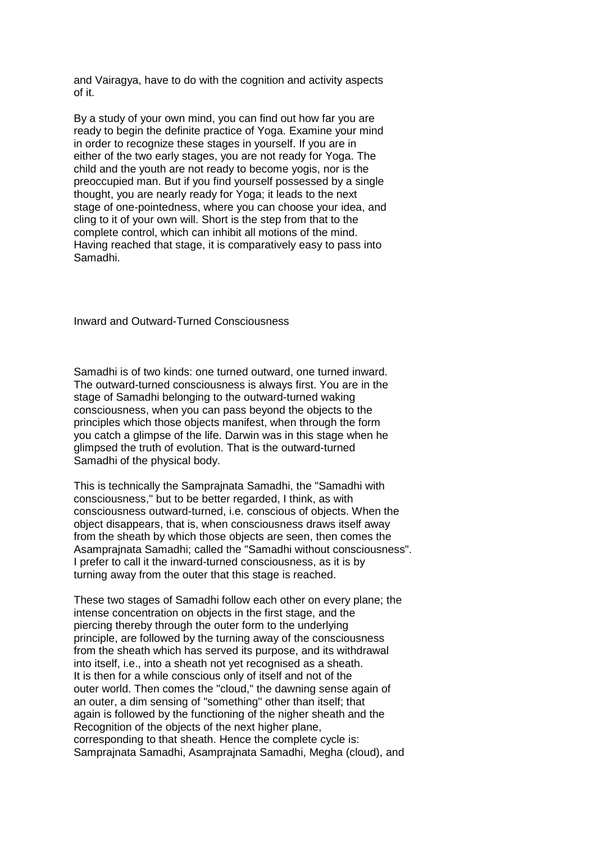and Vairagya, have to do with the cognition and activity aspects of it.

By a study of your own mind, you can find out how far you are ready to begin the definite practice of Yoga. Examine your mind in order to recognize these stages in yourself. If you are in either of the two early stages, you are not ready for Yoga. The child and the youth are not ready to become yogis, nor is the preoccupied man. But if you find yourself possessed by a single thought, you are nearly ready for Yoga; it leads to the next stage of one-pointedness, where you can choose your idea, and cling to it of your own will. Short is the step from that to the complete control, which can inhibit all motions of the mind. Having reached that stage, it is comparatively easy to pass into Samadhi.

Inward and Outward-Turned Consciousness

Samadhi is of two kinds: one turned outward, one turned inward. The outward-turned consciousness is always first. You are in the stage of Samadhi belonging to the outward-turned waking consciousness, when you can pass beyond the objects to the principles which those objects manifest, when through the form you catch a glimpse of the life. Darwin was in this stage when he glimpsed the truth of evolution. That is the outward-turned Samadhi of the physical body.

This is technically the Samprajnata Samadhi, the "Samadhi with consciousness," but to be better regarded, I think, as with consciousness outward-turned, i.e. conscious of objects. When the object disappears, that is, when consciousness draws itself away from the sheath by which those objects are seen, then comes the Asamprajnata Samadhi; called the "Samadhi without consciousness". I prefer to call it the inward-turned consciousness, as it is by turning away from the outer that this stage is reached.

These two stages of Samadhi follow each other on every plane; the intense concentration on objects in the first stage, and the piercing thereby through the outer form to the underlying principle, are followed by the turning away of the consciousness from the sheath which has served its purpose, and its withdrawal into itself, i.e., into a sheath not yet recognised as a sheath. It is then for a while conscious only of itself and not of the outer world. Then comes the "cloud," the dawning sense again of an outer, a dim sensing of "something" other than itself; that again is followed by the functioning of the nigher sheath and the Recognition of the objects of the next higher plane, corresponding to that sheath. Hence the complete cycle is: Samprajnata Samadhi, Asamprajnata Samadhi, Megha (cloud), and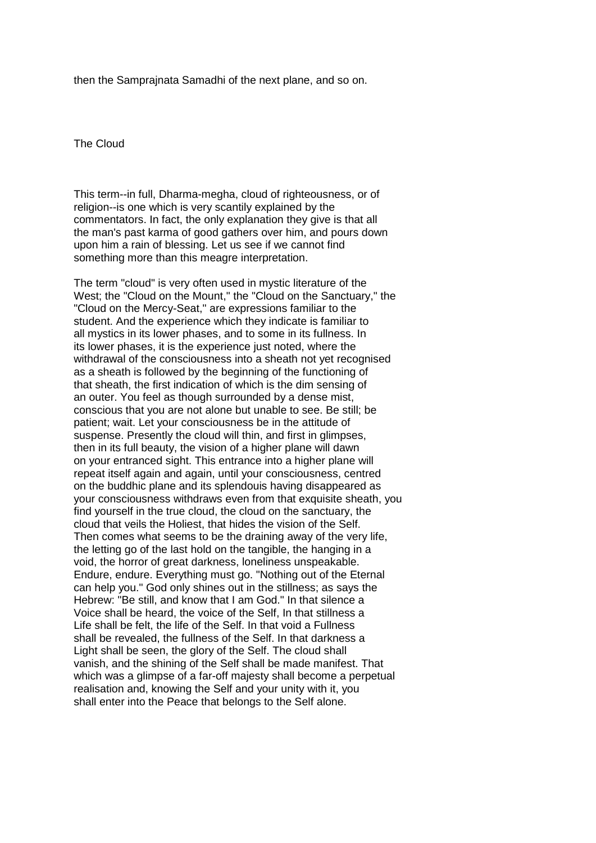then the Samprajnata Samadhi of the next plane, and so on.

The Cloud

This term--in full, Dharma-megha, cloud of righteousness, or of religion--is one which is very scantily explained by the commentators. In fact, the only explanation they give is that all the man's past karma of good gathers over him, and pours down upon him a rain of blessing. Let us see if we cannot find something more than this meagre interpretation.

The term "cloud" is very often used in mystic literature of the West; the "Cloud on the Mount," the "Cloud on the Sanctuary," the "Cloud on the Mercy-Seat," are expressions familiar to the student. And the experience which they indicate is familiar to all mystics in its lower phases, and to some in its fullness. In its lower phases, it is the experience just noted, where the withdrawal of the consciousness into a sheath not vet recognised as a sheath is followed by the beginning of the functioning of that sheath, the first indication of which is the dim sensing of an outer. You feel as though surrounded by a dense mist, conscious that you are not alone but unable to see. Be still; be patient; wait. Let your consciousness be in the attitude of suspense. Presently the cloud will thin, and first in glimpses, then in its full beauty, the vision of a higher plane will dawn on your entranced sight. This entrance into a higher plane will repeat itself again and again, until your consciousness, centred on the buddhic plane and its splendouis having disappeared as your consciousness withdraws even from that exquisite sheath, you find yourself in the true cloud, the cloud on the sanctuary, the cloud that veils the Holiest, that hides the vision of the Self. Then comes what seems to be the draining away of the very life, the letting go of the last hold on the tangible, the hanging in a void, the horror of great darkness, loneliness unspeakable. Endure, endure. Everything must go. "Nothing out of the Eternal can help you." God only shines out in the stillness; as says the Hebrew: "Be still, and know that I am God." In that silence a Voice shall be heard, the voice of the Self, In that stillness a Life shall be felt, the life of the Self. In that void a Fullness shall be revealed, the fullness of the Self. In that darkness a Light shall be seen, the glory of the Self. The cloud shall vanish, and the shining of the Self shall be made manifest. That which was a glimpse of a far-off majesty shall become a perpetual realisation and, knowing the Self and your unity with it, you shall enter into the Peace that belongs to the Self alone.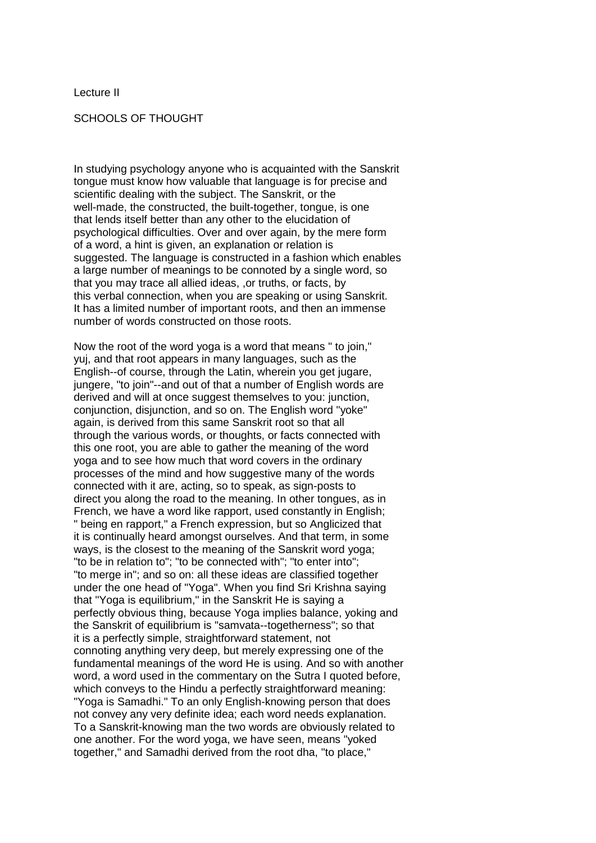Lecture II

SCHOOLS OF THOUGHT

In studying psychology anyone who is acquainted with the Sanskrit tongue must know how valuable that language is for precise and scientific dealing with the subject. The Sanskrit, or the well-made, the constructed, the built-together, tongue, is one that lends itself better than any other to the elucidation of psychological difficulties. Over and over again, by the mere form of a word, a hint is given, an explanation or relation is suggested. The language is constructed in a fashion which enables a large number of meanings to be connoted by a single word, so that you may trace all allied ideas, ,or truths, or facts, by this verbal connection, when you are speaking or using Sanskrit. It has a limited number of important roots, and then an immense number of words constructed on those roots.

Now the root of the word yoga is a word that means " to join," yuj, and that root appears in many languages, such as the English--of course, through the Latin, wherein you get jugare, jungere, "to join"--and out of that a number of English words are derived and will at once suggest themselves to you: junction, conjunction, disjunction, and so on. The English word "yoke" again, is derived from this same Sanskrit root so that all through the various words, or thoughts, or facts connected with this one root, you are able to gather the meaning of the word yoga and to see how much that word covers in the ordinary processes of the mind and how suggestive many of the words connected with it are, acting, so to speak, as sign-posts to direct you along the road to the meaning. In other tongues, as in French, we have a word like rapport, used constantly in English; " being en rapport," a French expression, but so Anglicized that it is continually heard amongst ourselves. And that term, in some ways, is the closest to the meaning of the Sanskrit word yoga; "to be in relation to"; "to be connected with"; "to enter into"; "to merge in"; and so on: all these ideas are classified together under the one head of "Yoga". When you find Sri Krishna saying that "Yoga is equilibrium," in the Sanskrit He is saying a perfectly obvious thing, because Yoga implies balance, yoking and the Sanskrit of equilibrium is "samvata--togetherness"; so that it is a perfectly simple, straightforward statement, not connoting anything very deep, but merely expressing one of the fundamental meanings of the word He is using. And so with another word, a word used in the commentary on the Sutra I quoted before, which conveys to the Hindu a perfectly straightforward meaning: "Yoga is Samadhi." To an only English-knowing person that does not convey any very definite idea; each word needs explanation. To a Sanskrit-knowing man the two words are obviously related to one another. For the word yoga, we have seen, means "yoked together," and Samadhi derived from the root dha, "to place,"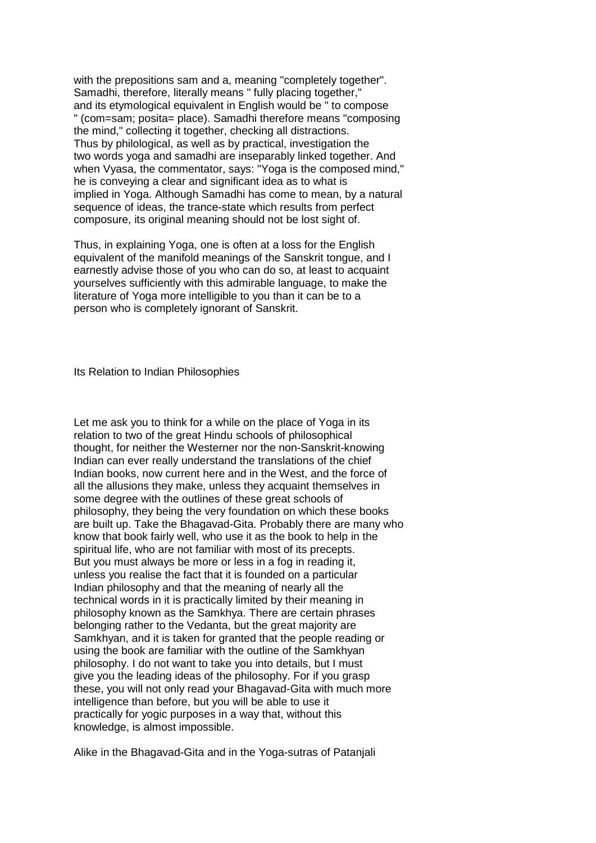with the prepositions sam and a, meaning "completely together". Samadhi, therefore, literally means " fully placing together," and its etymological equivalent in English would be " to compose " (com=sam; posita= place). Samadhi therefore means "composing the mind," collecting it together, checking all distractions. Thus by philological, as well as by practical, investigation the two words yoga and samadhi are inseparably linked together. And when Vyasa, the commentator, says: "Yoga is the composed mind," he is conveying a clear and significant idea as to what is implied in Yoga. Although Samadhi has come to mean, by a natural sequence of ideas, the trance-state which results from perfect composure, its original meaning should not be lost sight of.

Thus, in explaining Yoga, one is often at a loss for the English equivalent of the manifold meanings of the Sanskrit tongue, and I earnestly advise those of you who can do so, at least to acquaint yourselves sufficiently with this admirable language, to make the literature of Yoga more intelligible to you than it can be to a person who is completely ignorant of Sanskrit.

Its Relation to Indian Philosophies

Let me ask you to think for a while on the place of Yoga in its relation to two of the great Hindu schools of philosophical thought, for neither the Westerner nor the non-Sanskrit-knowing Indian can ever really understand the translations of the chief Indian books, now current here and in the West, and the force of all the allusions they make, unless they acquaint themselves in some degree with the outlines of these great schools of philosophy, they being the very foundation on which these books are built up. Take the Bhagavad-Gita. Probably there are many who know that book fairly well, who use it as the book to help in the spiritual life, who are not familiar with most of its precepts. But you must always be more or less in a fog in reading it, unless you realise the fact that it is founded on a particular Indian philosophy and that the meaning of nearly all the technical words in it is practically limited by their meaning in philosophy known as the Samkhya. There are certain phrases belonging rather to the Vedanta, but the great majority are Samkhyan, and it is taken for granted that the people reading or using the book are familiar with the outline of the Samkhyan philosophy. I do not want to take you into details, but I must give you the leading ideas of the philosophy. For if you grasp these, you will not only read your Bhagavad-Gita with much more intelligence than before, but you will be able to use it practically for yogic purposes in a way that, without this knowledge, is almost impossible.

Alike in the Bhagavad-Gita and in the Yoga-sutras of Patanjali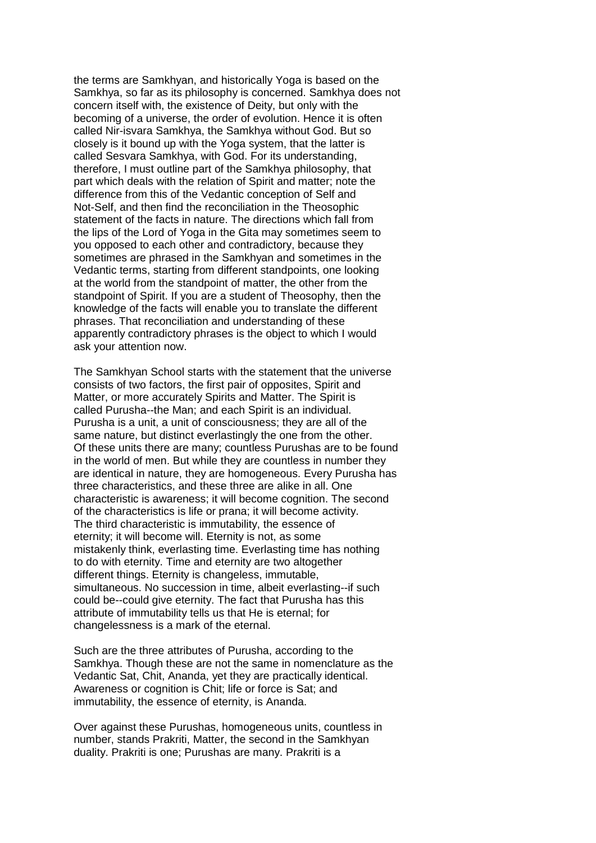the terms are Samkhyan, and historically Yoga is based on the Samkhya, so far as its philosophy is concerned. Samkhya does not concern itself with, the existence of Deity, but only with the becoming of a universe, the order of evolution. Hence it is often called Nir-isvara Samkhya, the Samkhya without God. But so closely is it bound up with the Yoga system, that the latter is called Sesvara Samkhya, with God. For its understanding, therefore, I must outline part of the Samkhya philosophy, that part which deals with the relation of Spirit and matter; note the difference from this of the Vedantic conception of Self and Not-Self, and then find the reconciliation in the Theosophic statement of the facts in nature. The directions which fall from the lips of the Lord of Yoga in the Gita may sometimes seem to you opposed to each other and contradictory, because they sometimes are phrased in the Samkhyan and sometimes in the Vedantic terms, starting from different standpoints, one looking at the world from the standpoint of matter, the other from the standpoint of Spirit. If you are a student of Theosophy, then the knowledge of the facts will enable you to translate the different phrases. That reconciliation and understanding of these apparently contradictory phrases is the object to which I would ask your attention now.

The Samkhyan School starts with the statement that the universe consists of two factors, the first pair of opposites, Spirit and Matter, or more accurately Spirits and Matter. The Spirit is called Purusha--the Man; and each Spirit is an individual. Purusha is a unit, a unit of consciousness; they are all of the same nature, but distinct everlastingly the one from the other. Of these units there are many; countless Purushas are to be found in the world of men. But while they are countless in number they are identical in nature, they are homogeneous. Every Purusha has three characteristics, and these three are alike in all. One characteristic is awareness; it will become cognition. The second of the characteristics is life or prana; it will become activity. The third characteristic is immutability, the essence of eternity; it will become will. Eternity is not, as some mistakenly think, everlasting time. Everlasting time has nothing to do with eternity. Time and eternity are two altogether different things. Eternity is changeless, immutable, simultaneous. No succession in time, albeit everlasting--if such could be--could give eternity. The fact that Purusha has this attribute of immutability tells us that He is eternal; for changelessness is a mark of the eternal.

Such are the three attributes of Purusha, according to the Samkhya. Though these are not the same in nomenclature as the Vedantic Sat, Chit, Ananda, yet they are practically identical. Awareness or cognition is Chit; life or force is Sat; and immutability, the essence of eternity, is Ananda.

Over against these Purushas, homogeneous units, countless in number, stands Prakriti, Matter, the second in the Samkhyan duality. Prakriti is one; Purushas are many. Prakriti is a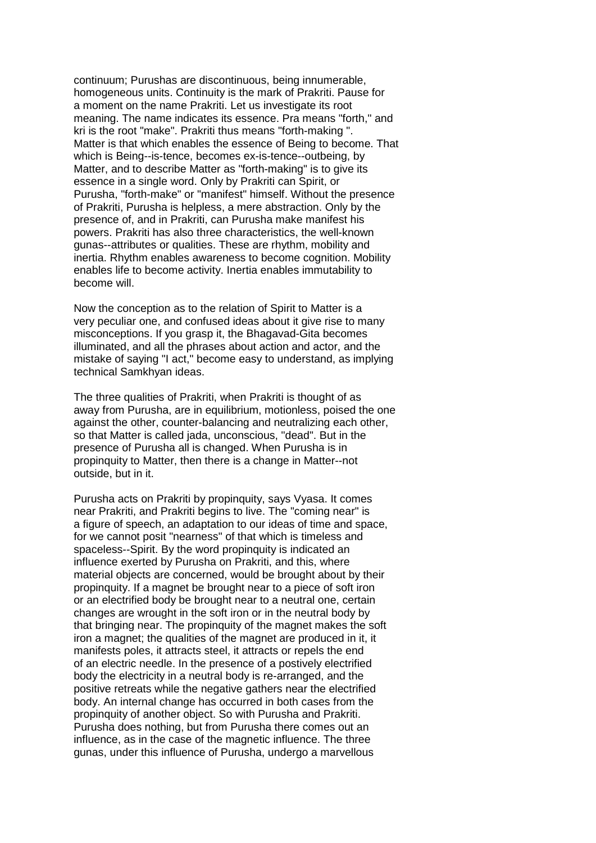continuum; Purushas are discontinuous, being innumerable, homogeneous units. Continuity is the mark of Prakriti. Pause for a moment on the name Prakriti. Let us investigate its root meaning. The name indicates its essence. Pra means "forth," and kri is the root "make". Prakriti thus means "forth-making ". Matter is that which enables the essence of Being to become. That which is Being--is-tence, becomes ex-is-tence--outbeing, by Matter, and to describe Matter as "forth-making" is to give its essence in a single word. Only by Prakriti can Spirit, or Purusha, "forth-make" or "manifest" himself. Without the presence of Prakriti, Purusha is helpless, a mere abstraction. Only by the presence of, and in Prakriti, can Purusha make manifest his powers. Prakriti has also three characteristics, the well-known gunas--attributes or qualities. These are rhythm, mobility and inertia. Rhythm enables awareness to become cognition. Mobility enables life to become activity. Inertia enables immutability to become will.

Now the conception as to the relation of Spirit to Matter is a very peculiar one, and confused ideas about it give rise to many misconceptions. If you grasp it, the Bhagavad-Gita becomes illuminated, and all the phrases about action and actor, and the mistake of saying "I act," become easy to understand, as implying technical Samkhyan ideas.

The three qualities of Prakriti, when Prakriti is thought of as away from Purusha, are in equilibrium, motionless, poised the one against the other, counter-balancing and neutralizing each other, so that Matter is called jada, unconscious, "dead". But in the presence of Purusha all is changed. When Purusha is in propinquity to Matter, then there is a change in Matter--not outside, but in it.

Purusha acts on Prakriti by propinquity, says Vyasa. It comes near Prakriti, and Prakriti begins to live. The "coming near" is a figure of speech, an adaptation to our ideas of time and space, for we cannot posit "nearness" of that which is timeless and spaceless--Spirit. By the word propinquity is indicated an influence exerted by Purusha on Prakriti, and this, where material objects are concerned, would be brought about by their propinquity. If a magnet be brought near to a piece of soft iron or an electrified body be brought near to a neutral one, certain changes are wrought in the soft iron or in the neutral body by that bringing near. The propinquity of the magnet makes the soft iron a magnet; the qualities of the magnet are produced in it, it manifests poles, it attracts steel, it attracts or repels the end of an electric needle. In the presence of a postively electrified body the electricity in a neutral body is re-arranged, and the positive retreats while the negative gathers near the electrified body. An internal change has occurred in both cases from the propinquity of another object. So with Purusha and Prakriti. Purusha does nothing, but from Purusha there comes out an influence, as in the case of the magnetic influence. The three gunas, under this influence of Purusha, undergo a marvellous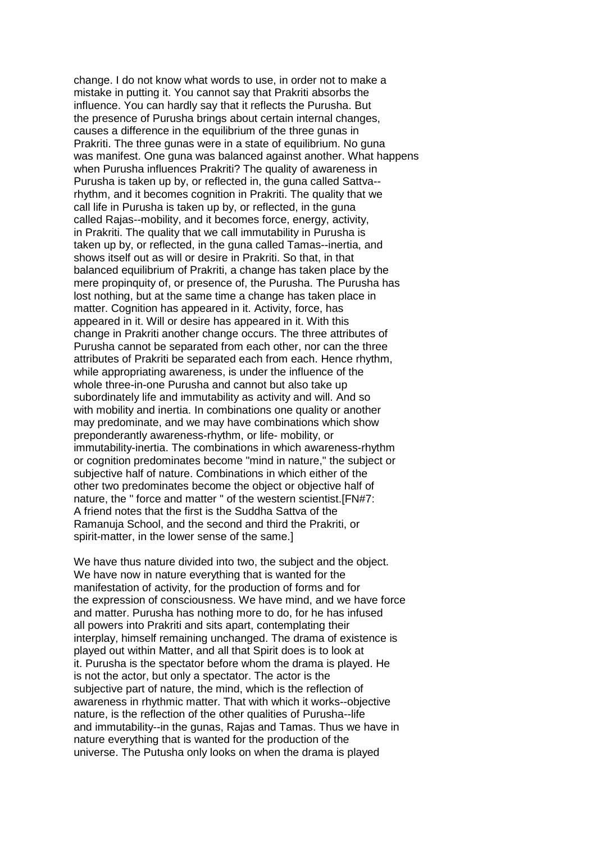change. I do not know what words to use, in order not to make a mistake in putting it. You cannot say that Prakriti absorbs the influence. You can hardly say that it reflects the Purusha. But the presence of Purusha brings about certain internal changes, causes a difference in the equilibrium of the three gunas in Prakriti. The three gunas were in a state of equilibrium. No guna was manifest. One guna was balanced against another. What happens when Purusha influences Prakriti? The quality of awareness in Purusha is taken up by, or reflected in, the guna called Sattva- rhythm, and it becomes cognition in Prakriti. The quality that we call life in Purusha is taken up by, or reflected, in the guna called Rajas--mobility, and it becomes force, energy, activity, in Prakriti. The quality that we call immutability in Purusha is taken up by, or reflected, in the guna called Tamas--inertia, and shows itself out as will or desire in Prakriti. So that, in that balanced equilibrium of Prakriti, a change has taken place by the mere propinquity of, or presence of, the Purusha. The Purusha has lost nothing, but at the same time a change has taken place in matter. Cognition has appeared in it. Activity, force, has appeared in it. Will or desire has appeared in it. With this change in Prakriti another change occurs. The three attributes of Purusha cannot be separated from each other, nor can the three attributes of Prakriti be separated each from each. Hence rhythm, while appropriating awareness, is under the influence of the whole three-in-one Purusha and cannot but also take up subordinately life and immutability as activity and will. And so with mobility and inertia. In combinations one quality or another may predominate, and we may have combinations which show preponderantly awareness-rhythm, or life- mobility, or immutability-inertia. The combinations in which awareness-rhythm or cognition predominates become "mind in nature," the subject or subjective half of nature. Combinations in which either of the other two predominates become the object or objective half of nature, the " force and matter " of the western scientist.[FN#7: A friend notes that the first is the Suddha Sattva of the Ramanuja School, and the second and third the Prakriti, or spirit-matter, in the lower sense of the same.]

We have thus nature divided into two, the subject and the object. We have now in nature everything that is wanted for the manifestation of activity, for the production of forms and for the expression of consciousness. We have mind, and we have force and matter. Purusha has nothing more to do, for he has infused all powers into Prakriti and sits apart, contemplating their interplay, himself remaining unchanged. The drama of existence is played out within Matter, and all that Spirit does is to look at it. Purusha is the spectator before whom the drama is played. He is not the actor, but only a spectator. The actor is the subjective part of nature, the mind, which is the reflection of awareness in rhythmic matter. That with which it works--objective nature, is the reflection of the other qualities of Purusha--life and immutability--in the gunas, Rajas and Tamas. Thus we have in nature everything that is wanted for the production of the universe. The Putusha only looks on when the drama is played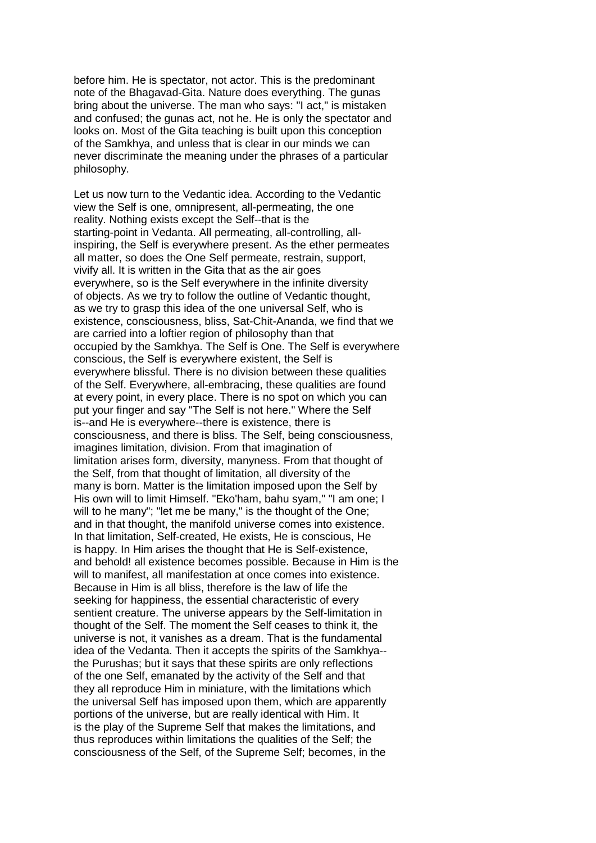before him. He is spectator, not actor. This is the predominant note of the Bhagavad-Gita. Nature does everything. The gunas bring about the universe. The man who says: "I act," is mistaken and confused; the gunas act, not he. He is only the spectator and looks on. Most of the Gita teaching is built upon this conception of the Samkhya, and unless that is clear in our minds we can never discriminate the meaning under the phrases of a particular philosophy.

Let us now turn to the Vedantic idea. According to the Vedantic view the Self is one, omnipresent, all-permeating, the one reality. Nothing exists except the Self--that is the starting-point in Vedanta. All permeating, all-controlling, allinspiring, the Self is everywhere present. As the ether permeates all matter, so does the One Self permeate, restrain, support, vivify all. It is written in the Gita that as the air goes everywhere, so is the Self everywhere in the infinite diversity of objects. As we try to follow the outline of Vedantic thought, as we try to grasp this idea of the one universal Self, who is existence, consciousness, bliss, Sat-Chit-Ananda, we find that we are carried into a loftier region of philosophy than that occupied by the Samkhya. The Self is One. The Self is everywhere conscious, the Self is everywhere existent, the Self is everywhere blissful. There is no division between these qualities of the Self. Everywhere, all-embracing, these qualities are found at every point, in every place. There is no spot on which you can put your finger and say "The Self is not here." Where the Self is--and He is everywhere--there is existence, there is consciousness, and there is bliss. The Self, being consciousness, imagines limitation, division. From that imagination of limitation arises form, diversity, manyness. From that thought of the Self, from that thought of limitation, all diversity of the many is born. Matter is the limitation imposed upon the Self by His own will to limit Himself. "Eko'ham, bahu syam," "I am one; I will to he many"; "let me be many," is the thought of the One; and in that thought, the manifold universe comes into existence. In that limitation, Self-created, He exists, He is conscious, He is happy. In Him arises the thought that He is Self-existence, and behold! all existence becomes possible. Because in Him is the will to manifest, all manifestation at once comes into existence. Because in Him is all bliss, therefore is the law of life the seeking for happiness, the essential characteristic of every sentient creature. The universe appears by the Self-limitation in thought of the Self. The moment the Self ceases to think it, the universe is not, it vanishes as a dream. That is the fundamental idea of the Vedanta. Then it accepts the spirits of the Samkhya- the Purushas; but it says that these spirits are only reflections of the one Self, emanated by the activity of the Self and that they all reproduce Him in miniature, with the limitations which the universal Self has imposed upon them, which are apparently portions of the universe, but are really identical with Him. It is the play of the Supreme Self that makes the limitations, and thus reproduces within limitations the qualities of the Self; the consciousness of the Self, of the Supreme Self; becomes, in the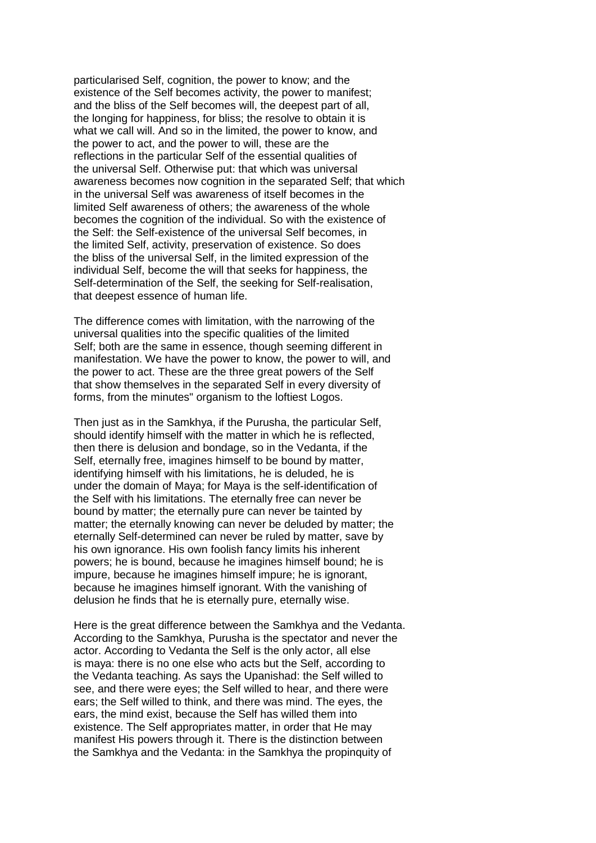particularised Self, cognition, the power to know; and the existence of the Self becomes activity, the power to manifest; and the bliss of the Self becomes will, the deepest part of all, the longing for happiness, for bliss; the resolve to obtain it is what we call will. And so in the limited, the power to know, and the power to act, and the power to will, these are the reflections in the particular Self of the essential qualities of the universal Self. Otherwise put: that which was universal awareness becomes now cognition in the separated Self; that which in the universal Self was awareness of itself becomes in the limited Self awareness of others; the awareness of the whole becomes the cognition of the individual. So with the existence of the Self: the Self-existence of the universal Self becomes, in the limited Self, activity, preservation of existence. So does the bliss of the universal Self, in the limited expression of the individual Self, become the will that seeks for happiness, the Self-determination of the Self, the seeking for Self-realisation, that deepest essence of human life.

The difference comes with limitation, with the narrowing of the universal qualities into the specific qualities of the limited Self: both are the same in essence, though seeming different in manifestation. We have the power to know, the power to will, and the power to act. These are the three great powers of the Self that show themselves in the separated Self in every diversity of forms, from the minutes" organism to the loftiest Logos.

Then just as in the Samkhya, if the Purusha, the particular Self, should identify himself with the matter in which he is reflected, then there is delusion and bondage, so in the Vedanta, if the Self, eternally free, imagines himself to be bound by matter, identifying himself with his limitations, he is deluded, he is under the domain of Maya; for Maya is the self-identification of the Self with his limitations. The eternally free can never be bound by matter; the eternally pure can never be tainted by matter; the eternally knowing can never be deluded by matter; the eternally Self-determined can never be ruled by matter, save by his own ignorance. His own foolish fancy limits his inherent powers; he is bound, because he imagines himself bound; he is impure, because he imagines himself impure; he is ignorant, because he imagines himself ignorant. With the vanishing of delusion he finds that he is eternally pure, eternally wise.

Here is the great difference between the Samkhya and the Vedanta. According to the Samkhya, Purusha is the spectator and never the actor. According to Vedanta the Self is the only actor, all else is maya: there is no one else who acts but the Self, according to the Vedanta teaching. As says the Upanishad: the Self willed to see, and there were eyes; the Self willed to hear, and there were ears; the Self willed to think, and there was mind. The eyes, the ears, the mind exist, because the Self has willed them into existence. The Self appropriates matter, in order that He may manifest His powers through it. There is the distinction between the Samkhya and the Vedanta: in the Samkhya the propinquity of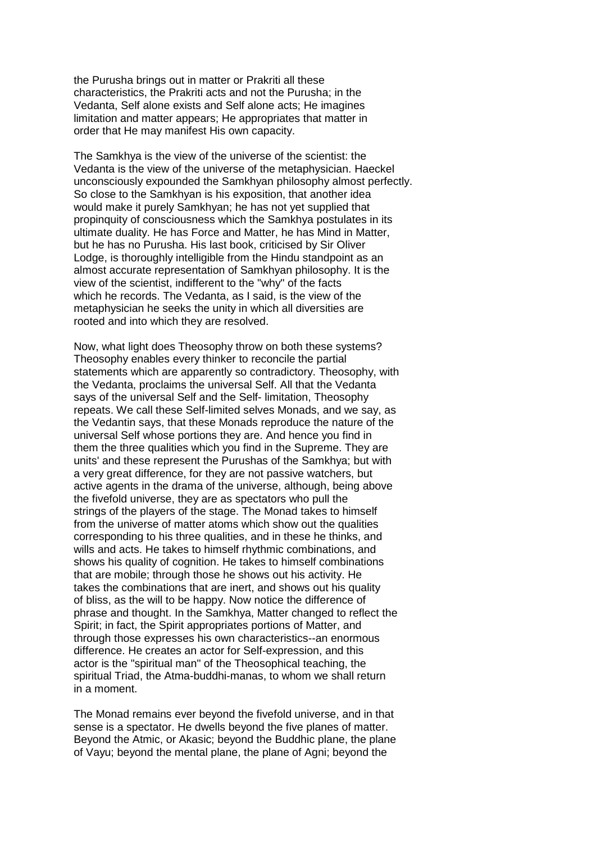the Purusha brings out in matter or Prakriti all these characteristics, the Prakriti acts and not the Purusha; in the Vedanta, Self alone exists and Self alone acts; He imagines limitation and matter appears; He appropriates that matter in order that He may manifest His own capacity.

The Samkhya is the view of the universe of the scientist: the Vedanta is the view of the universe of the metaphysician. Haeckel unconsciously expounded the Samkhyan philosophy almost perfectly. So close to the Samkhyan is his exposition, that another idea would make it purely Samkhyan; he has not yet supplied that propinquity of consciousness which the Samkhya postulates in its ultimate duality. He has Force and Matter, he has Mind in Matter, but he has no Purusha. His last book, criticised by Sir Oliver Lodge, is thoroughly intelligible from the Hindu standpoint as an almost accurate representation of Samkhyan philosophy. It is the view of the scientist, indifferent to the "why" of the facts which he records. The Vedanta, as I said, is the view of the metaphysician he seeks the unity in which all diversities are rooted and into which they are resolved.

Now, what light does Theosophy throw on both these systems? Theosophy enables every thinker to reconcile the partial statements which are apparently so contradictory. Theosophy, with the Vedanta, proclaims the universal Self. All that the Vedanta says of the universal Self and the Self- limitation, Theosophy repeats. We call these Self-limited selves Monads, and we say, as the Vedantin says, that these Monads reproduce the nature of the universal Self whose portions they are. And hence you find in them the three qualities which you find in the Supreme. They are units' and these represent the Purushas of the Samkhya; but with a very great difference, for they are not passive watchers, but active agents in the drama of the universe, although, being above the fivefold universe, they are as spectators who pull the strings of the players of the stage. The Monad takes to himself from the universe of matter atoms which show out the qualities corresponding to his three qualities, and in these he thinks, and wills and acts. He takes to himself rhythmic combinations, and shows his quality of cognition. He takes to himself combinations that are mobile; through those he shows out his activity. He takes the combinations that are inert, and shows out his quality of bliss, as the will to be happy. Now notice the difference of phrase and thought. In the Samkhya, Matter changed to reflect the Spirit; in fact, the Spirit appropriates portions of Matter, and through those expresses his own characteristics--an enormous difference. He creates an actor for Self-expression, and this actor is the "spiritual man" of the Theosophical teaching, the spiritual Triad, the Atma-buddhi-manas, to whom we shall return in a moment.

The Monad remains ever beyond the fivefold universe, and in that sense is a spectator. He dwells beyond the five planes of matter. Beyond the Atmic, or Akasic; beyond the Buddhic plane, the plane of Vayu; beyond the mental plane, the plane of Agni; beyond the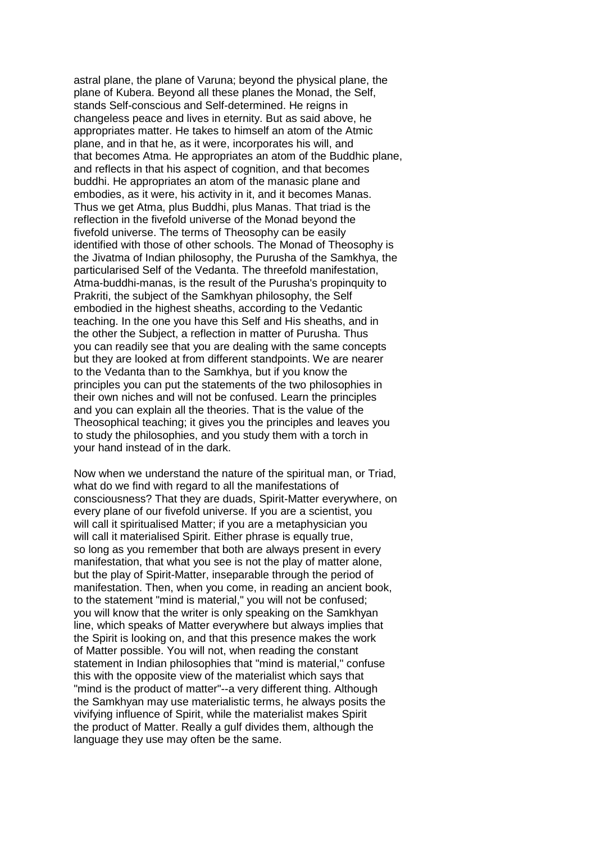astral plane, the plane of Varuna; beyond the physical plane, the plane of Kubera. Beyond all these planes the Monad, the Self, stands Self-conscious and Self-determined. He reigns in changeless peace and lives in eternity. But as said above, he appropriates matter. He takes to himself an atom of the Atmic plane, and in that he, as it were, incorporates his will, and that becomes Atma. He appropriates an atom of the Buddhic plane, and reflects in that his aspect of cognition, and that becomes buddhi. He appropriates an atom of the manasic plane and embodies, as it were, his activity in it, and it becomes Manas. Thus we get Atma, plus Buddhi, plus Manas. That triad is the reflection in the fivefold universe of the Monad beyond the fivefold universe. The terms of Theosophy can be easily identified with those of other schools. The Monad of Theosophy is the Jivatma of Indian philosophy, the Purusha of the Samkhya, the particularised Self of the Vedanta. The threefold manifestation, Atma-buddhi-manas, is the result of the Purusha's propinquity to Prakriti, the subject of the Samkhyan philosophy, the Self embodied in the highest sheaths, according to the Vedantic teaching. In the one you have this Self and His sheaths, and in the other the Subject, a reflection in matter of Purusha. Thus you can readily see that you are dealing with the same concepts but they are looked at from different standpoints. We are nearer to the Vedanta than to the Samkhya, but if you know the principles you can put the statements of the two philosophies in their own niches and will not be confused. Learn the principles and you can explain all the theories. That is the value of the Theosophical teaching; it gives you the principles and leaves you to study the philosophies, and you study them with a torch in your hand instead of in the dark.

Now when we understand the nature of the spiritual man, or Triad, what do we find with regard to all the manifestations of consciousness? That they are duads, Spirit-Matter everywhere, on every plane of our fivefold universe. If you are a scientist, you will call it spiritualised Matter; if you are a metaphysician you will call it materialised Spirit. Either phrase is equally true, so long as you remember that both are always present in every manifestation, that what you see is not the play of matter alone, but the play of Spirit-Matter, inseparable through the period of manifestation. Then, when you come, in reading an ancient book, to the statement "mind is material," you will not be confused; you will know that the writer is only speaking on the Samkhyan line, which speaks of Matter everywhere but always implies that the Spirit is looking on, and that this presence makes the work of Matter possible. You will not, when reading the constant statement in Indian philosophies that "mind is material," confuse this with the opposite view of the materialist which says that "mind is the product of matter"--a very different thing. Although the Samkhyan may use materialistic terms, he always posits the vivifying influence of Spirit, while the materialist makes Spirit the product of Matter. Really a gulf divides them, although the language they use may often be the same.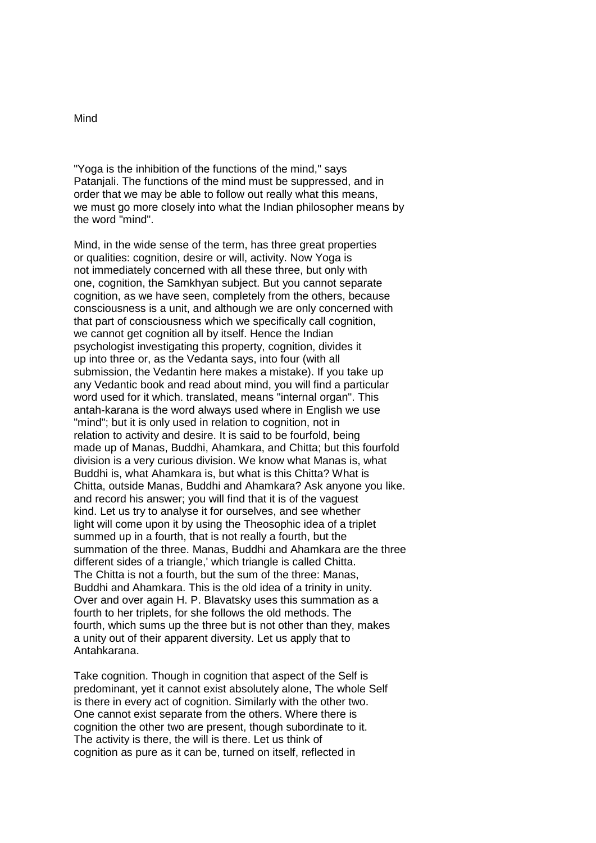#### Mind

"Yoga is the inhibition of the functions of the mind," says Patanjali. The functions of the mind must be suppressed, and in order that we may be able to follow out really what this means, we must go more closely into what the Indian philosopher means by the word "mind".

Mind, in the wide sense of the term, has three great properties or qualities: cognition, desire or will, activity. Now Yoga is not immediately concerned with all these three, but only with one, cognition, the Samkhyan subject. But you cannot separate cognition, as we have seen, completely from the others, because consciousness is a unit, and although we are only concerned with that part of consciousness which we specifically call cognition, we cannot get cognition all by itself. Hence the Indian psychologist investigating this property, cognition, divides it up into three or, as the Vedanta says, into four (with all submission, the Vedantin here makes a mistake). If you take up any Vedantic book and read about mind, you will find a particular word used for it which. translated, means "internal organ". This antah-karana is the word always used where in English we use "mind"; but it is only used in relation to cognition, not in relation to activity and desire. It is said to be fourfold, being made up of Manas, Buddhi, Ahamkara, and Chitta; but this fourfold division is a very curious division. We know what Manas is, what Buddhi is, what Ahamkara is, but what is this Chitta? What is Chitta, outside Manas, Buddhi and Ahamkara? Ask anyone you like. and record his answer; you will find that it is of the vaguest kind. Let us try to analyse it for ourselves, and see whether light will come upon it by using the Theosophic idea of a triplet summed up in a fourth, that is not really a fourth, but the summation of the three. Manas, Buddhi and Ahamkara are the three different sides of a triangle,' which triangle is called Chitta. The Chitta is not a fourth, but the sum of the three: Manas, Buddhi and Ahamkara. This is the old idea of a trinity in unity. Over and over again H. P. Blavatsky uses this summation as a fourth to her triplets, for she follows the old methods. The fourth, which sums up the three but is not other than they, makes a unity out of their apparent diversity. Let us apply that to Antahkarana.

Take cognition. Though in cognition that aspect of the Self is predominant, yet it cannot exist absolutely alone, The whole Self is there in every act of cognition. Similarly with the other two. One cannot exist separate from the others. Where there is cognition the other two are present, though subordinate to it. The activity is there, the will is there. Let us think of cognition as pure as it can be, turned on itself, reflected in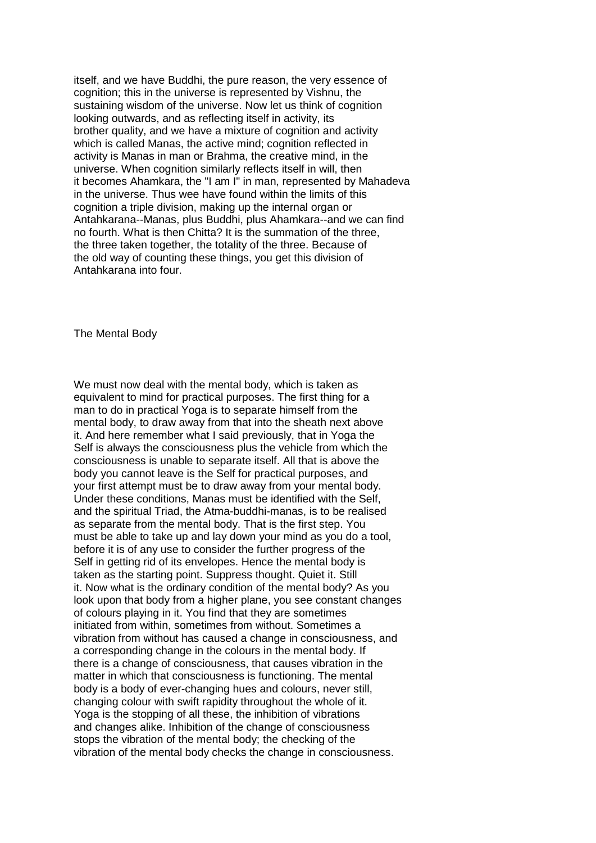itself, and we have Buddhi, the pure reason, the very essence of cognition; this in the universe is represented by Vishnu, the sustaining wisdom of the universe. Now let us think of cognition looking outwards, and as reflecting itself in activity, its brother quality, and we have a mixture of cognition and activity which is called Manas, the active mind; cognition reflected in activity is Manas in man or Brahma, the creative mind, in the universe. When cognition similarly reflects itself in will, then it becomes Ahamkara, the "I am I" in man, represented by Mahadeva in the universe. Thus wee have found within the limits of this cognition a triple division, making up the internal organ or Antahkarana--Manas, plus Buddhi, plus Ahamkara--and we can find no fourth. What is then Chitta? It is the summation of the three, the three taken together, the totality of the three. Because of the old way of counting these things, you get this division of Antahkarana into four.

The Mental Body

We must now deal with the mental body, which is taken as equivalent to mind for practical purposes. The first thing for a man to do in practical Yoga is to separate himself from the mental body, to draw away from that into the sheath next above it. And here remember what I said previously, that in Yoga the Self is always the consciousness plus the vehicle from which the consciousness is unable to separate itself. All that is above the body you cannot leave is the Self for practical purposes, and your first attempt must be to draw away from your mental body. Under these conditions, Manas must be identified with the Self, and the spiritual Triad, the Atma-buddhi-manas, is to be realised as separate from the mental body. That is the first step. You must be able to take up and lay down your mind as you do a tool, before it is of any use to consider the further progress of the Self in getting rid of its envelopes. Hence the mental body is taken as the starting point. Suppress thought. Quiet it. Still it. Now what is the ordinary condition of the mental body? As you look upon that body from a higher plane, you see constant changes of colours playing in it. You find that they are sometimes initiated from within, sometimes from without. Sometimes a vibration from without has caused a change in consciousness, and a corresponding change in the colours in the mental body. If there is a change of consciousness, that causes vibration in the matter in which that consciousness is functioning. The mental body is a body of ever-changing hues and colours, never still, changing colour with swift rapidity throughout the whole of it. Yoga is the stopping of all these, the inhibition of vibrations and changes alike. Inhibition of the change of consciousness stops the vibration of the mental body; the checking of the vibration of the mental body checks the change in consciousness.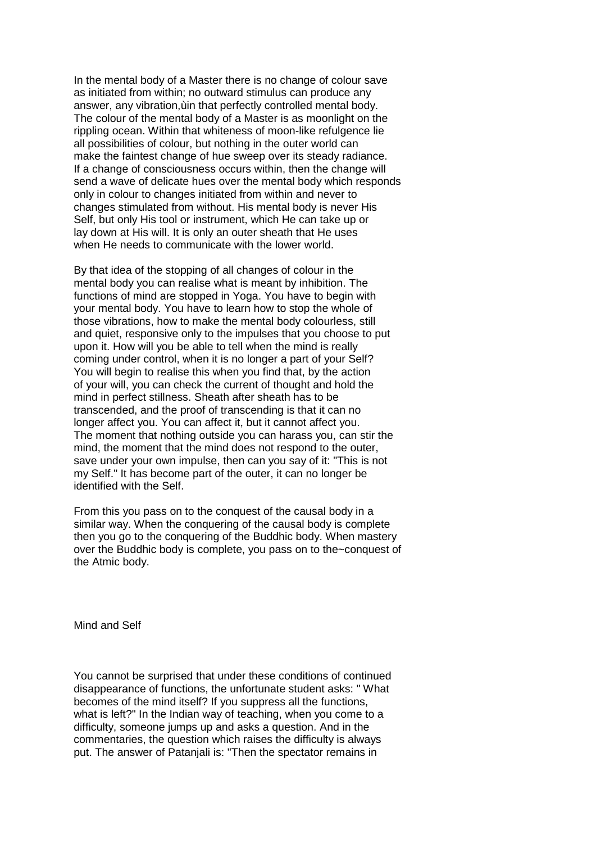In the mental body of a Master there is no change of colour save as initiated from within; no outward stimulus can produce any answer, any vibration,ùin that perfectly controlled mental body. The colour of the mental body of a Master is as moonlight on the rippling ocean. Within that whiteness of moon-like refulgence lie all possibilities of colour, but nothing in the outer world can make the faintest change of hue sweep over its steady radiance. If a change of consciousness occurs within, then the change will send a wave of delicate hues over the mental body which responds only in colour to changes initiated from within and never to changes stimulated from without. His mental body is never His Self, but only His tool or instrument, which He can take up or lay down at His will. It is only an outer sheath that He uses when He needs to communicate with the lower world.

By that idea of the stopping of all changes of colour in the mental body you can realise what is meant by inhibition. The functions of mind are stopped in Yoga. You have to begin with your mental body. You have to learn how to stop the whole of those vibrations, how to make the mental body colourless, still and quiet, responsive only to the impulses that you choose to put upon it. How will you be able to tell when the mind is really coming under control, when it is no longer a part of your Self? You will begin to realise this when you find that, by the action of your will, you can check the current of thought and hold the mind in perfect stillness. Sheath after sheath has to be transcended, and the proof of transcending is that it can no longer affect you. You can affect it, but it cannot affect you. The moment that nothing outside you can harass you, can stir the mind, the moment that the mind does not respond to the outer, save under your own impulse, then can you say of it: "This is not my Self." It has become part of the outer, it can no longer be identified with the Self.

From this you pass on to the conquest of the causal body in a similar way. When the conquering of the causal body is complete then you go to the conquering of the Buddhic body. When mastery over the Buddhic body is complete, you pass on to the~conquest of the Atmic body.

Mind and Self

You cannot be surprised that under these conditions of continued disappearance of functions, the unfortunate student asks: " What becomes of the mind itself? If you suppress all the functions, what is left?" In the Indian way of teaching, when you come to a difficulty, someone jumps up and asks a question. And in the commentaries, the question which raises the difficulty is always put. The answer of Patanjali is: "Then the spectator remains in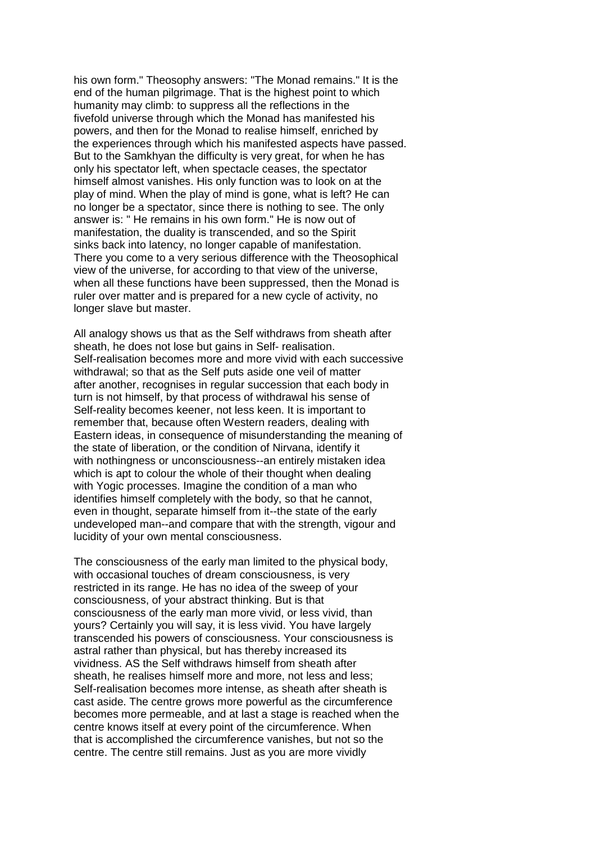his own form." Theosophy answers: "The Monad remains." It is the end of the human pilgrimage. That is the highest point to which humanity may climb: to suppress all the reflections in the fivefold universe through which the Monad has manifested his powers, and then for the Monad to realise himself, enriched by the experiences through which his manifested aspects have passed. But to the Samkhyan the difficulty is very great, for when he has only his spectator left, when spectacle ceases, the spectator himself almost vanishes. His only function was to look on at the play of mind. When the play of mind is gone, what is left? He can no longer be a spectator, since there is nothing to see. The only answer is: " He remains in his own form." He is now out of manifestation, the duality is transcended, and so the Spirit sinks back into latency, no longer capable of manifestation. There you come to a very serious difference with the Theosophical view of the universe, for according to that view of the universe, when all these functions have been suppressed, then the Monad is ruler over matter and is prepared for a new cycle of activity, no longer slave but master.

All analogy shows us that as the Self withdraws from sheath after sheath, he does not lose but gains in Self- realisation. Self-realisation becomes more and more vivid with each successive withdrawal; so that as the Self puts aside one veil of matter after another, recognises in regular succession that each body in turn is not himself, by that process of withdrawal his sense of Self-reality becomes keener, not less keen. It is important to remember that, because often Western readers, dealing with Eastern ideas, in consequence of misunderstanding the meaning of the state of liberation, or the condition of Nirvana, identify it with nothingness or unconsciousness--an entirely mistaken idea which is apt to colour the whole of their thought when dealing with Yogic processes. Imagine the condition of a man who identifies himself completely with the body, so that he cannot, even in thought, separate himself from it--the state of the early undeveloped man--and compare that with the strength, vigour and lucidity of your own mental consciousness.

The consciousness of the early man limited to the physical body, with occasional touches of dream consciousness, is very restricted in its range. He has no idea of the sweep of your consciousness, of your abstract thinking. But is that consciousness of the early man more vivid, or less vivid, than yours? Certainly you will say, it is less vivid. You have largely transcended his powers of consciousness. Your consciousness is astral rather than physical, but has thereby increased its vividness. AS the Self withdraws himself from sheath after sheath, he realises himself more and more, not less and less; Self-realisation becomes more intense, as sheath after sheath is cast aside. The centre grows more powerful as the circumference becomes more permeable, and at last a stage is reached when the centre knows itself at every point of the circumference. When that is accomplished the circumference vanishes, but not so the centre. The centre still remains. Just as you are more vividly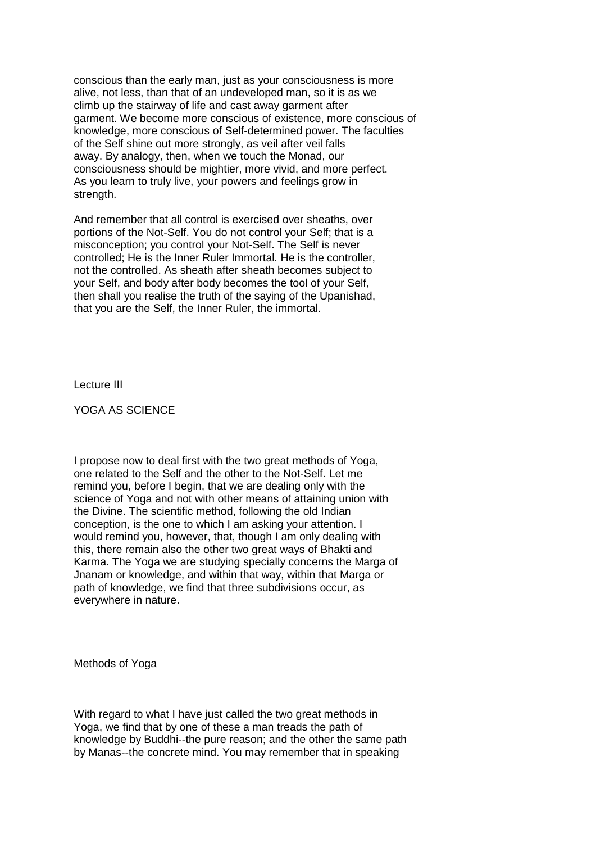conscious than the early man, just as your consciousness is more alive, not less, than that of an undeveloped man, so it is as we climb up the stairway of life and cast away garment after garment. We become more conscious of existence, more conscious of knowledge, more conscious of Self-determined power. The faculties of the Self shine out more strongly, as veil after veil falls away. By analogy, then, when we touch the Monad, our consciousness should be mightier, more vivid, and more perfect. As you learn to truly live, your powers and feelings grow in strength.

And remember that all control is exercised over sheaths, over portions of the Not-Self. You do not control your Self; that is a misconception; you control your Not-Self. The Self is never controlled; He is the Inner Ruler Immortal. He is the controller, not the controlled. As sheath after sheath becomes subject to your Self, and body after body becomes the tool of your Self, then shall you realise the truth of the saying of the Upanishad, that you are the Self, the Inner Ruler, the immortal.

Lecture III

YOGA AS SCIENCE

I propose now to deal first with the two great methods of Yoga, one related to the Self and the other to the Not-Self. Let me remind you, before I begin, that we are dealing only with the science of Yoga and not with other means of attaining union with the Divine. The scientific method, following the old Indian conception, is the one to which I am asking your attention. I would remind you, however, that, though I am only dealing with this, there remain also the other two great ways of Bhakti and Karma. The Yoga we are studying specially concerns the Marga of Jnanam or knowledge, and within that way, within that Marga or path of knowledge, we find that three subdivisions occur, as everywhere in nature.

Methods of Yoga

With regard to what I have just called the two great methods in Yoga, we find that by one of these a man treads the path of knowledge by Buddhi--the pure reason; and the other the same path by Manas--the concrete mind. You may remember that in speaking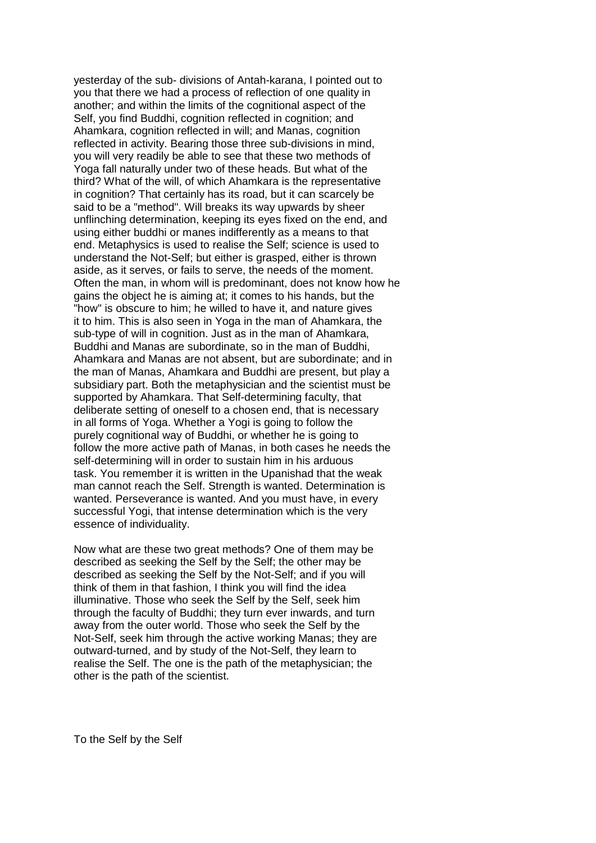yesterday of the sub- divisions of Antah-karana, I pointed out to you that there we had a process of reflection of one quality in another; and within the limits of the cognitional aspect of the Self, you find Buddhi, cognition reflected in cognition; and Ahamkara, cognition reflected in will; and Manas, cognition reflected in activity. Bearing those three sub-divisions in mind, you will very readily be able to see that these two methods of Yoga fall naturally under two of these heads. But what of the third? What of the will, of which Ahamkara is the representative in cognition? That certainly has its road, but it can scarcely be said to be a "method". Will breaks its way upwards by sheer unflinching determination, keeping its eyes fixed on the end, and using either buddhi or manes indifferently as a means to that end. Metaphysics is used to realise the Self; science is used to understand the Not-Self; but either is grasped, either is thrown aside, as it serves, or fails to serve, the needs of the moment. Often the man, in whom will is predominant, does not know how he gains the object he is aiming at; it comes to his hands, but the "how" is obscure to him; he willed to have it, and nature gives it to him. This is also seen in Yoga in the man of Ahamkara, the sub-type of will in cognition. Just as in the man of Ahamkara, Buddhi and Manas are subordinate, so in the man of Buddhi, Ahamkara and Manas are not absent, but are subordinate; and in the man of Manas, Ahamkara and Buddhi are present, but play a subsidiary part. Both the metaphysician and the scientist must be supported by Ahamkara. That Self-determining faculty, that deliberate setting of oneself to a chosen end, that is necessary in all forms of Yoga. Whether a Yogi is going to follow the purely cognitional way of Buddhi, or whether he is going to follow the more active path of Manas, in both cases he needs the self-determining will in order to sustain him in his arduous task. You remember it is written in the Upanishad that the weak man cannot reach the Self. Strength is wanted. Determination is wanted. Perseverance is wanted. And you must have, in every successful Yogi, that intense determination which is the very essence of individuality.

Now what are these two great methods? One of them may be described as seeking the Self by the Self; the other may be described as seeking the Self by the Not-Self; and if you will think of them in that fashion, I think you will find the idea illuminative. Those who seek the Self by the Self, seek him through the faculty of Buddhi; they turn ever inwards, and turn away from the outer world. Those who seek the Self by the Not-Self, seek him through the active working Manas; they are outward-turned, and by study of the Not-Self, they learn to realise the Self. The one is the path of the metaphysician; the other is the path of the scientist.

To the Self by the Self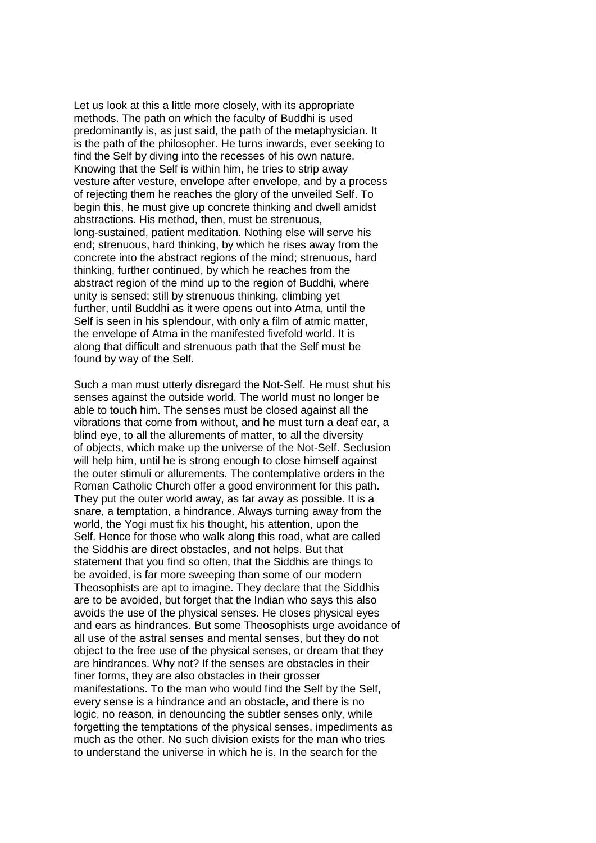Let us look at this a little more closely, with its appropriate methods. The path on which the faculty of Buddhi is used predominantly is, as just said, the path of the metaphysician. It is the path of the philosopher. He turns inwards, ever seeking to find the Self by diving into the recesses of his own nature. Knowing that the Self is within him, he tries to strip away vesture after vesture, envelope after envelope, and by a process of rejecting them he reaches the glory of the unveiled Self. To begin this, he must give up concrete thinking and dwell amidst abstractions. His method, then, must be strenuous, long-sustained, patient meditation. Nothing else will serve his end; strenuous, hard thinking, by which he rises away from the concrete into the abstract regions of the mind; strenuous, hard thinking, further continued, by which he reaches from the abstract region of the mind up to the region of Buddhi, where unity is sensed; still by strenuous thinking, climbing yet further, until Buddhi as it were opens out into Atma, until the Self is seen in his splendour, with only a film of atmic matter, the envelope of Atma in the manifested fivefold world. It is along that difficult and strenuous path that the Self must be found by way of the Self.

Such a man must utterly disregard the Not-Self. He must shut his senses against the outside world. The world must no longer be able to touch him. The senses must be closed against all the vibrations that come from without, and he must turn a deaf ear, a blind eye, to all the allurements of matter, to all the diversity of objects, which make up the universe of the Not-Self. Seclusion will help him, until he is strong enough to close himself against the outer stimuli or allurements. The contemplative orders in the Roman Catholic Church offer a good environment for this path. They put the outer world away, as far away as possible. It is a snare, a temptation, a hindrance. Always turning away from the world, the Yogi must fix his thought, his attention, upon the Self. Hence for those who walk along this road, what are called the Siddhis are direct obstacles, and not helps. But that statement that you find so often, that the Siddhis are things to be avoided, is far more sweeping than some of our modern Theosophists are apt to imagine. They declare that the Siddhis are to be avoided, but forget that the Indian who says this also avoids the use of the physical senses. He closes physical eyes and ears as hindrances. But some Theosophists urge avoidance of all use of the astral senses and mental senses, but they do not object to the free use of the physical senses, or dream that they are hindrances. Why not? If the senses are obstacles in their finer forms, they are also obstacles in their grosser manifestations. To the man who would find the Self by the Self. every sense is a hindrance and an obstacle, and there is no logic, no reason, in denouncing the subtler senses only, while forgetting the temptations of the physical senses, impediments as much as the other. No such division exists for the man who tries to understand the universe in which he is. In the search for the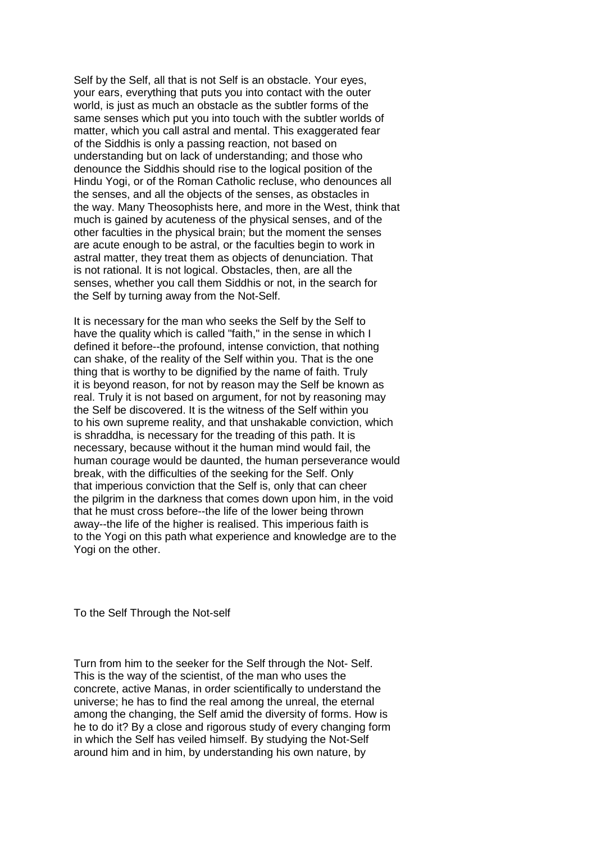Self by the Self, all that is not Self is an obstacle. Your eyes, your ears, everything that puts you into contact with the outer world, is just as much an obstacle as the subtler forms of the same senses which put you into touch with the subtler worlds of matter, which you call astral and mental. This exaggerated fear of the Siddhis is only a passing reaction, not based on understanding but on lack of understanding; and those who denounce the Siddhis should rise to the logical position of the Hindu Yogi, or of the Roman Catholic recluse, who denounces all the senses, and all the objects of the senses, as obstacles in the way. Many Theosophists here, and more in the West, think that much is gained by acuteness of the physical senses, and of the other faculties in the physical brain; but the moment the senses are acute enough to be astral, or the faculties begin to work in astral matter, they treat them as objects of denunciation. That is not rational. It is not logical. Obstacles, then, are all the senses, whether you call them Siddhis or not, in the search for the Self by turning away from the Not-Self.

It is necessary for the man who seeks the Self by the Self to have the quality which is called "faith," in the sense in which I defined it before--the profound, intense conviction, that nothing can shake, of the reality of the Self within you. That is the one thing that is worthy to be dignified by the name of faith. Truly it is beyond reason, for not by reason may the Self be known as real. Truly it is not based on argument, for not by reasoning may the Self be discovered. It is the witness of the Self within you to his own supreme reality, and that unshakable conviction, which is shraddha, is necessary for the treading of this path. It is necessary, because without it the human mind would fail, the human courage would be daunted, the human perseverance would break, with the difficulties of the seeking for the Self. Only that imperious conviction that the Self is, only that can cheer the pilgrim in the darkness that comes down upon him, in the void that he must cross before--the life of the lower being thrown away--the life of the higher is realised. This imperious faith is to the Yogi on this path what experience and knowledge are to the Yogi on the other.

To the Self Through the Not-self

Turn from him to the seeker for the Self through the Not- Self. This is the way of the scientist, of the man who uses the concrete, active Manas, in order scientifically to understand the universe; he has to find the real among the unreal, the eternal among the changing, the Self amid the diversity of forms. How is he to do it? By a close and rigorous study of every changing form in which the Self has veiled himself. By studying the Not-Self around him and in him, by understanding his own nature, by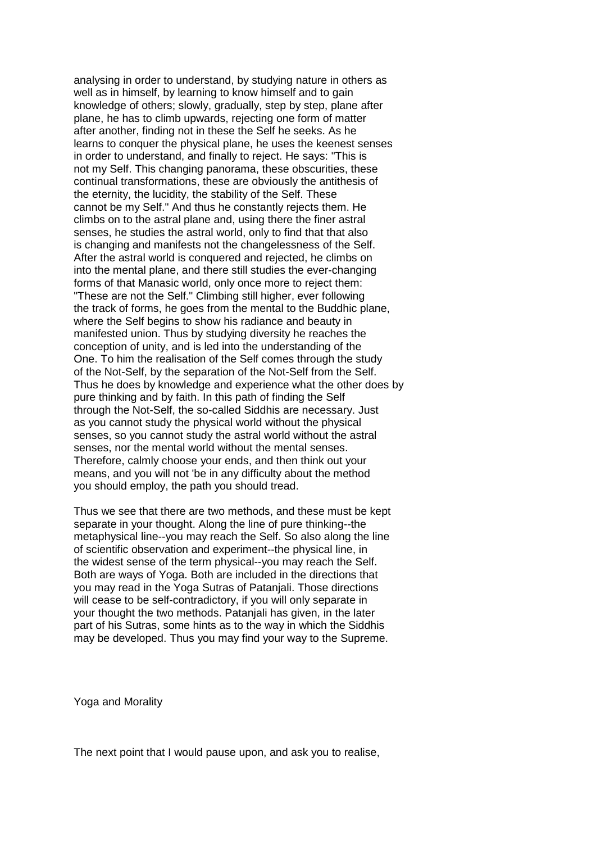analysing in order to understand, by studying nature in others as well as in himself, by learning to know himself and to gain knowledge of others; slowly, gradually, step by step, plane after plane, he has to climb upwards, rejecting one form of matter after another, finding not in these the Self he seeks. As he learns to conquer the physical plane, he uses the keenest senses in order to understand, and finally to reject. He says: "This is not my Self. This changing panorama, these obscurities, these continual transformations, these are obviously the antithesis of the eternity, the lucidity, the stability of the Self. These cannot be my Self." And thus he constantly rejects them. He climbs on to the astral plane and, using there the finer astral senses, he studies the astral world, only to find that that also is changing and manifests not the changelessness of the Self. After the astral world is conquered and rejected, he climbs on into the mental plane, and there still studies the ever-changing forms of that Manasic world, only once more to reject them: "These are not the Self." Climbing still higher, ever following the track of forms, he goes from the mental to the Buddhic plane, where the Self begins to show his radiance and beauty in manifested union. Thus by studying diversity he reaches the conception of unity, and is led into the understanding of the One. To him the realisation of the Self comes through the study of the Not-Self, by the separation of the Not-Self from the Self. Thus he does by knowledge and experience what the other does by pure thinking and by faith. In this path of finding the Self through the Not-Self, the so-called Siddhis are necessary. Just as you cannot study the physical world without the physical senses, so you cannot study the astral world without the astral senses, nor the mental world without the mental senses. Therefore, calmly choose your ends, and then think out your means, and you will not 'be in any difficulty about the method you should employ, the path you should tread.

Thus we see that there are two methods, and these must be kept separate in your thought. Along the line of pure thinking--the metaphysical line--you may reach the Self. So also along the line of scientific observation and experiment--the physical line, in the widest sense of the term physical--you may reach the Self. Both are ways of Yoga. Both are included in the directions that you may read in the Yoga Sutras of Patanjali. Those directions will cease to be self-contradictory, if you will only separate in your thought the two methods. Patanjali has given, in the later part of his Sutras, some hints as to the way in which the Siddhis may be developed. Thus you may find your way to the Supreme.

Yoga and Morality

The next point that I would pause upon, and ask you to realise,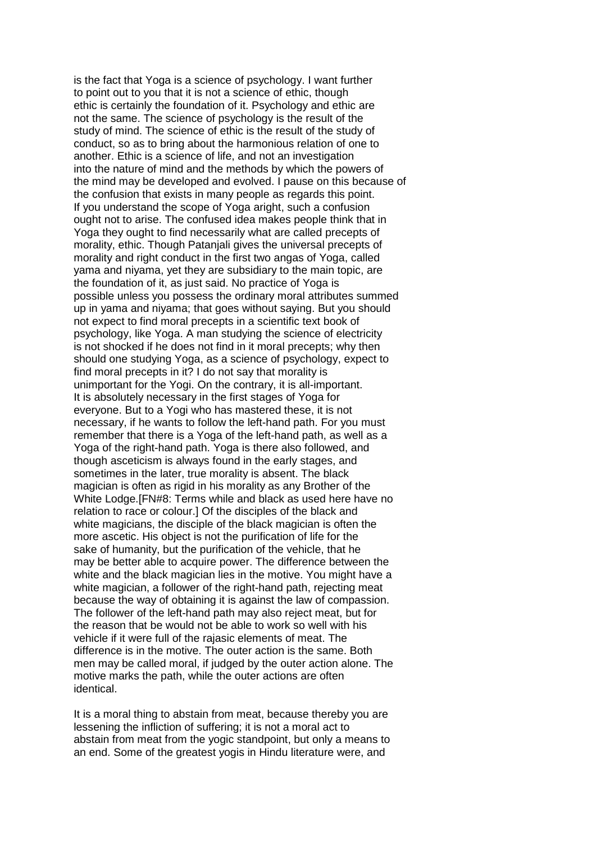is the fact that Yoga is a science of psychology. I want further to point out to you that it is not a science of ethic, though ethic is certainly the foundation of it. Psychology and ethic are not the same. The science of psychology is the result of the study of mind. The science of ethic is the result of the study of conduct, so as to bring about the harmonious relation of one to another. Ethic is a science of life, and not an investigation into the nature of mind and the methods by which the powers of the mind may be developed and evolved. I pause on this because of the confusion that exists in many people as regards this point. If you understand the scope of Yoga aright, such a confusion ought not to arise. The confused idea makes people think that in Yoga they ought to find necessarily what are called precepts of morality, ethic. Though Patanjali gives the universal precepts of morality and right conduct in the first two angas of Yoga, called yama and niyama, yet they are subsidiary to the main topic, are the foundation of it, as just said. No practice of Yoga is possible unless you possess the ordinary moral attributes summed up in yama and niyama; that goes without saying. But you should not expect to find moral precepts in a scientific text book of psychology, like Yoga. A man studying the science of electricity is not shocked if he does not find in it moral precepts; why then should one studying Yoga, as a science of psychology, expect to find moral precepts in it? I do not say that morality is unimportant for the Yogi. On the contrary, it is all-important. It is absolutely necessary in the first stages of Yoga for everyone. But to a Yogi who has mastered these, it is not necessary, if he wants to follow the left-hand path. For you must remember that there is a Yoga of the left-hand path, as well as a Yoga of the right-hand path. Yoga is there also followed, and though asceticism is always found in the early stages, and sometimes in the later, true morality is absent. The black magician is often as rigid in his morality as any Brother of the White Lodge.[FN#8: Terms while and black as used here have no relation to race or colour.] Of the disciples of the black and white magicians, the disciple of the black magician is often the more ascetic. His object is not the purification of life for the sake of humanity, but the purification of the vehicle, that he may be better able to acquire power. The difference between the white and the black magician lies in the motive. You might have a white magician, a follower of the right-hand path, rejecting meat because the way of obtaining it is against the law of compassion. The follower of the left-hand path may also reject meat, but for the reason that be would not be able to work so well with his vehicle if it were full of the rajasic elements of meat. The difference is in the motive. The outer action is the same. Both men may be called moral, if judged by the outer action alone. The motive marks the path, while the outer actions are often identical.

It is a moral thing to abstain from meat, because thereby you are lessening the infliction of suffering; it is not a moral act to abstain from meat from the yogic standpoint, but only a means to an end. Some of the greatest yogis in Hindu literature were, and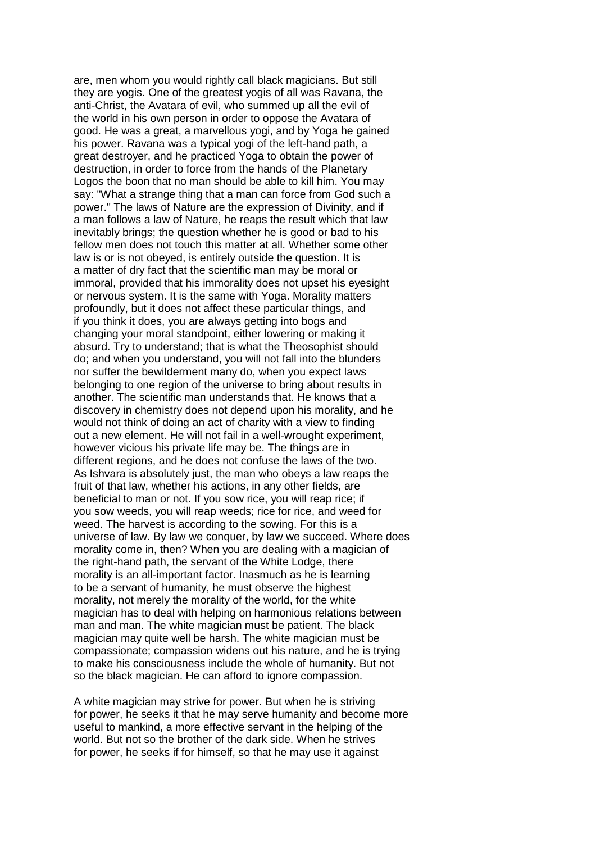are, men whom you would rightly call black magicians. But still they are yogis. One of the greatest yogis of all was Ravana, the anti-Christ, the Avatara of evil, who summed up all the evil of the world in his own person in order to oppose the Avatara of good. He was a great, a marvellous yogi, and by Yoga he gained his power. Ravana was a typical yogi of the left-hand path, a great destroyer, and he practiced Yoga to obtain the power of destruction, in order to force from the hands of the Planetary Logos the boon that no man should be able to kill him. You may say: "What a strange thing that a man can force from God such a power." The laws of Nature are the expression of Divinity, and if a man follows a law of Nature, he reaps the result which that law inevitably brings; the question whether he is good or bad to his fellow men does not touch this matter at all. Whether some other law is or is not obeyed, is entirely outside the question. It is a matter of dry fact that the scientific man may be moral or immoral, provided that his immorality does not upset his eyesight or nervous system. It is the same with Yoga. Morality matters profoundly, but it does not affect these particular things, and if you think it does, you are always getting into bogs and changing your moral standpoint, either lowering or making it absurd. Try to understand; that is what the Theosophist should do; and when you understand, you will not fall into the blunders nor suffer the bewilderment many do, when you expect laws belonging to one region of the universe to bring about results in another. The scientific man understands that. He knows that a discovery in chemistry does not depend upon his morality, and he would not think of doing an act of charity with a view to finding out a new element. He will not fail in a well-wrought experiment, however vicious his private life may be. The things are in different regions, and he does not confuse the laws of the two. As Ishvara is absolutely just, the man who obeys a law reaps the fruit of that law, whether his actions, in any other fields, are beneficial to man or not. If you sow rice, you will reap rice; if you sow weeds, you will reap weeds; rice for rice, and weed for weed. The harvest is according to the sowing. For this is a universe of law. By law we conquer, by law we succeed. Where does morality come in, then? When you are dealing with a magician of the right-hand path, the servant of the White Lodge, there morality is an all-important factor. Inasmuch as he is learning to be a servant of humanity, he must observe the highest morality, not merely the morality of the world, for the white magician has to deal with helping on harmonious relations between man and man. The white magician must be patient. The black magician may quite well be harsh. The white magician must be compassionate; compassion widens out his nature, and he is trying to make his consciousness include the whole of humanity. But not so the black magician. He can afford to ignore compassion.

A white magician may strive for power. But when he is striving for power, he seeks it that he may serve humanity and become more useful to mankind, a more effective servant in the helping of the world. But not so the brother of the dark side. When he strives for power, he seeks if for himself, so that he may use it against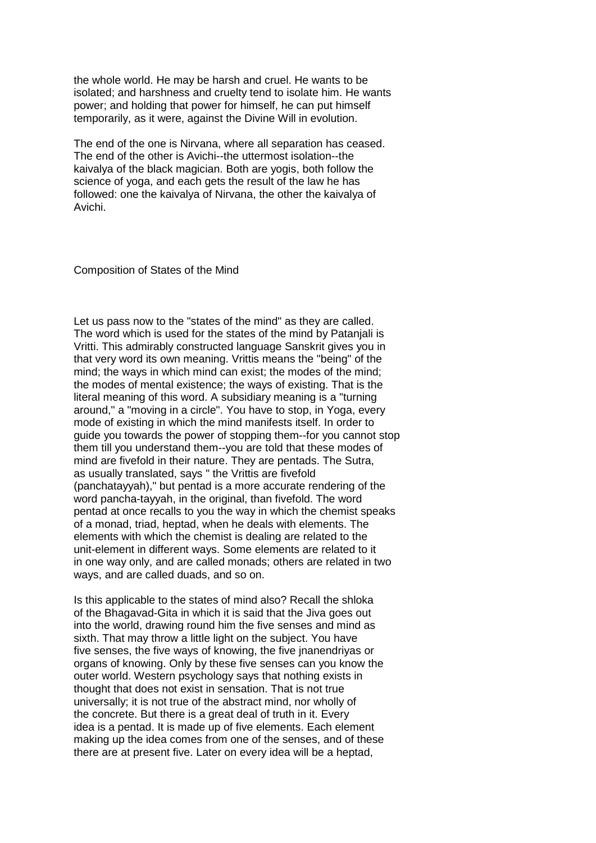the whole world. He may be harsh and cruel. He wants to be isolated; and harshness and cruelty tend to isolate him. He wants power; and holding that power for himself, he can put himself temporarily, as it were, against the Divine Will in evolution.

The end of the one is Nirvana, where all separation has ceased. The end of the other is Avichi--the uttermost isolation--the kaivalya of the black magician. Both are yogis, both follow the science of yoga, and each gets the result of the law he has followed: one the kaivalya of Nirvana, the other the kaivalya of Avichi.

Composition of States of the Mind

Let us pass now to the "states of the mind" as they are called. The word which is used for the states of the mind by Patanjali is Vritti. This admirably constructed language Sanskrit gives you in that very word its own meaning. Vrittis means the "being" of the mind; the ways in which mind can exist; the modes of the mind; the modes of mental existence; the ways of existing. That is the literal meaning of this word. A subsidiary meaning is a "turning around," a "moving in a circle". You have to stop, in Yoga, every mode of existing in which the mind manifests itself. In order to guide you towards the power of stopping them--for you cannot stop them till you understand them--you are told that these modes of mind are fivefold in their nature. They are pentads. The Sutra, as usually translated, says " the Vrittis are fivefold (panchatayyah)," but pentad is a more accurate rendering of the word pancha-tayyah, in the original, than fivefold. The word pentad at once recalls to you the way in which the chemist speaks of a monad, triad, heptad, when he deals with elements. The elements with which the chemist is dealing are related to the unit-element in different ways. Some elements are related to it in one way only, and are called monads; others are related in two ways, and are called duads, and so on.

Is this applicable to the states of mind also? Recall the shloka of the Bhagavad-Gita in which it is said that the Jiva goes out into the world, drawing round him the five senses and mind as sixth. That may throw a little light on the subject. You have five senses, the five ways of knowing, the five jnanendriyas or organs of knowing. Only by these five senses can you know the outer world. Western psychology says that nothing exists in thought that does not exist in sensation. That is not true universally; it is not true of the abstract mind, nor wholly of the concrete. But there is a great deal of truth in it. Every idea is a pentad. It is made up of five elements. Each element making up the idea comes from one of the senses, and of these there are at present five. Later on every idea will be a heptad,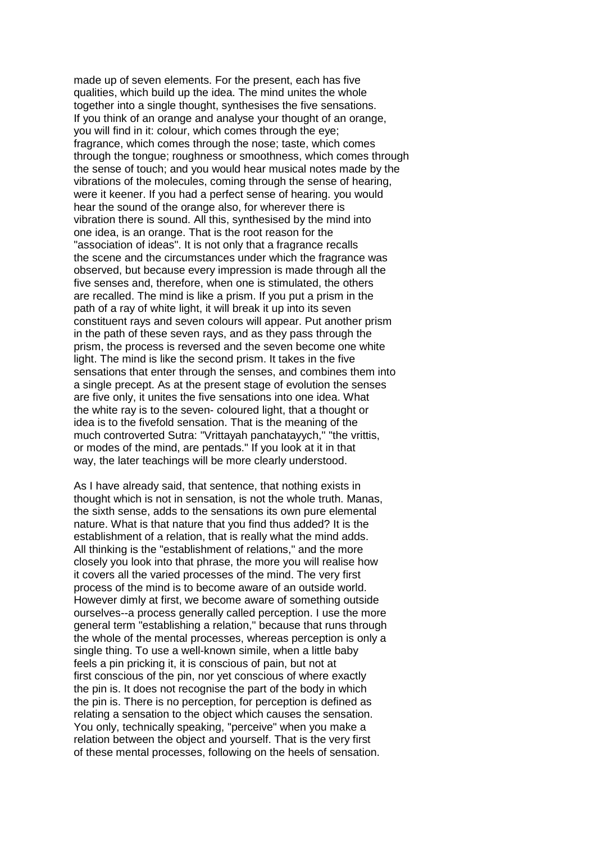made up of seven elements. For the present, each has five qualities, which build up the idea. The mind unites the whole together into a single thought, synthesises the five sensations. If you think of an orange and analyse your thought of an orange, you will find in it: colour, which comes through the eye; fragrance, which comes through the nose; taste, which comes through the tongue; roughness or smoothness, which comes through the sense of touch; and you would hear musical notes made by the vibrations of the molecules, coming through the sense of hearing, were it keener. If you had a perfect sense of hearing. you would hear the sound of the orange also, for wherever there is vibration there is sound. All this, synthesised by the mind into one idea, is an orange. That is the root reason for the "association of ideas". It is not only that a fragrance recalls the scene and the circumstances under which the fragrance was observed, but because every impression is made through all the five senses and, therefore, when one is stimulated, the others are recalled. The mind is like a prism. If you put a prism in the path of a ray of white light, it will break it up into its seven constituent rays and seven colours will appear. Put another prism in the path of these seven rays, and as they pass through the prism, the process is reversed and the seven become one white light. The mind is like the second prism. It takes in the five sensations that enter through the senses, and combines them into a single precept. As at the present stage of evolution the senses are five only, it unites the five sensations into one idea. What the white ray is to the seven- coloured light, that a thought or idea is to the fivefold sensation. That is the meaning of the much controverted Sutra: "Vrittayah panchatayych," "the vrittis, or modes of the mind, are pentads." If you look at it in that way, the later teachings will be more clearly understood.

As I have already said, that sentence, that nothing exists in thought which is not in sensation, is not the whole truth. Manas, the sixth sense, adds to the sensations its own pure elemental nature. What is that nature that you find thus added? It is the establishment of a relation, that is really what the mind adds. All thinking is the "establishment of relations," and the more closely you look into that phrase, the more you will realise how it covers all the varied processes of the mind. The very first process of the mind is to become aware of an outside world. However dimly at first, we become aware of something outside ourselves--a process generally called perception. I use the more general term "establishing a relation," because that runs through the whole of the mental processes, whereas perception is only a single thing. To use a well-known simile, when a little baby feels a pin pricking it, it is conscious of pain, but not at first conscious of the pin, nor yet conscious of where exactly the pin is. It does not recognise the part of the body in which the pin is. There is no perception, for perception is defined as relating a sensation to the object which causes the sensation. You only, technically speaking, "perceive" when you make a relation between the object and yourself. That is the very first of these mental processes, following on the heels of sensation.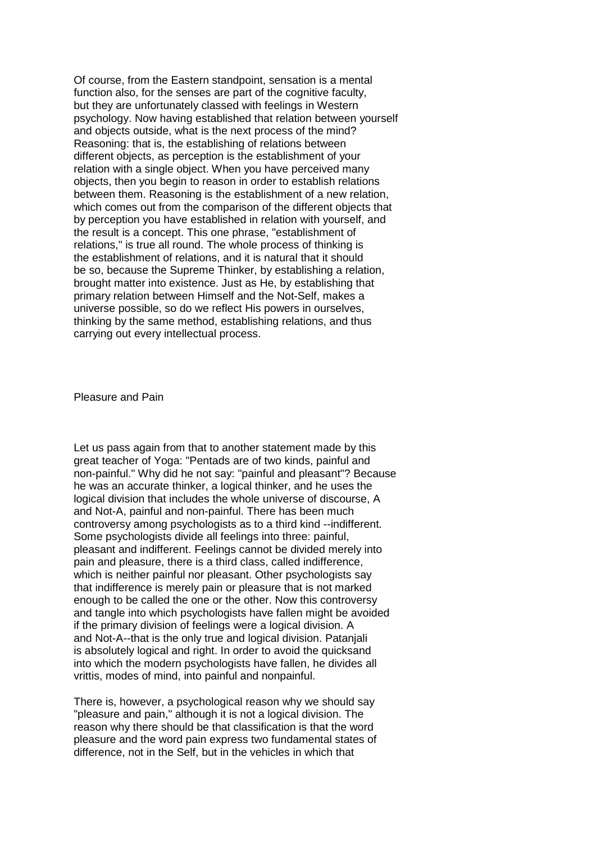Of course, from the Eastern standpoint, sensation is a mental function also, for the senses are part of the cognitive faculty, but they are unfortunately classed with feelings in Western psychology. Now having established that relation between yourself and objects outside, what is the next process of the mind? Reasoning: that is, the establishing of relations between different objects, as perception is the establishment of your relation with a single object. When you have perceived many objects, then you begin to reason in order to establish relations between them. Reasoning is the establishment of a new relation, which comes out from the comparison of the different objects that by perception you have established in relation with yourself, and the result is a concept. This one phrase, "establishment of relations," is true all round. The whole process of thinking is the establishment of relations, and it is natural that it should be so, because the Supreme Thinker, by establishing a relation, brought matter into existence. Just as He, by establishing that primary relation between Himself and the Not-Self, makes a universe possible, so do we reflect His powers in ourselves, thinking by the same method, establishing relations, and thus carrying out every intellectual process.

Pleasure and Pain

Let us pass again from that to another statement made by this great teacher of Yoga: "Pentads are of two kinds, painful and non-painful." Why did he not say: "painful and pleasant"? Because he was an accurate thinker, a logical thinker, and he uses the logical division that includes the whole universe of discourse, A and Not-A, painful and non-painful. There has been much controversy among psychologists as to a third kind --indifferent. Some psychologists divide all feelings into three: painful, pleasant and indifferent. Feelings cannot be divided merely into pain and pleasure, there is a third class, called indifference, which is neither painful nor pleasant. Other psychologists say that indifference is merely pain or pleasure that is not marked enough to be called the one or the other. Now this controversy and tangle into which psychologists have fallen might be avoided if the primary division of feelings were a logical division. A and Not-A--that is the only true and logical division. Patanjali is absolutely logical and right. In order to avoid the quicksand into which the modern psychologists have fallen, he divides all vrittis, modes of mind, into painful and nonpainful.

There is, however, a psychological reason why we should say "pleasure and pain," although it is not a logical division. The reason why there should be that classification is that the word pleasure and the word pain express two fundamental states of difference, not in the Self, but in the vehicles in which that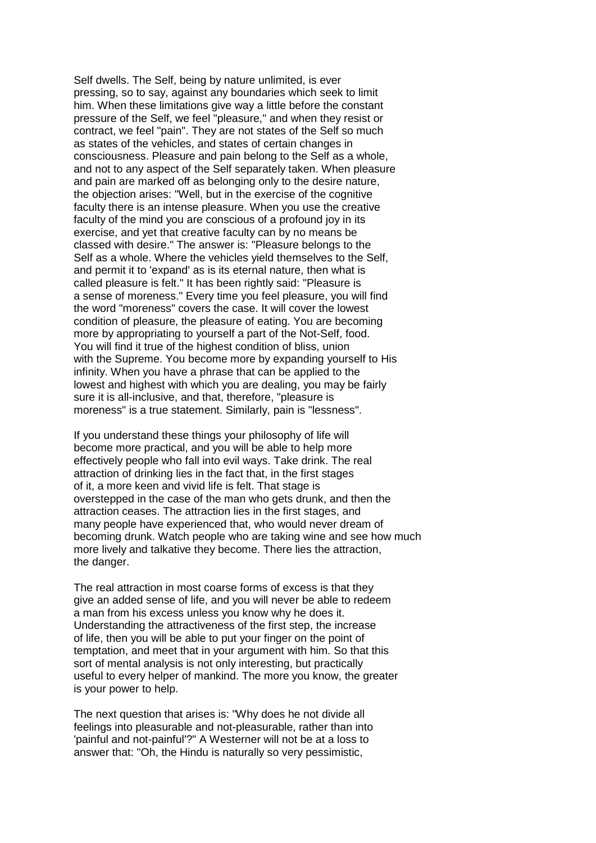Self dwells. The Self, being by nature unlimited, is ever pressing, so to say, against any boundaries which seek to limit him. When these limitations give way a little before the constant pressure of the Self, we feel "pleasure," and when they resist or contract, we feel "pain". They are not states of the Self so much as states of the vehicles, and states of certain changes in consciousness. Pleasure and pain belong to the Self as a whole, and not to any aspect of the Self separately taken. When pleasure and pain are marked off as belonging only to the desire nature, the objection arises: "Well, but in the exercise of the cognitive faculty there is an intense pleasure. When you use the creative faculty of the mind you are conscious of a profound joy in its exercise, and yet that creative faculty can by no means be classed with desire." The answer is: "Pleasure belongs to the Self as a whole. Where the vehicles yield themselves to the Self, and permit it to 'expand' as is its eternal nature, then what is called pleasure is felt." It has been rightly said: "Pleasure is a sense of moreness." Every time you feel pleasure, you will find the word "moreness" covers the case. It will cover the lowest condition of pleasure, the pleasure of eating. You are becoming more by appropriating to yourself a part of the Not-Self, food. You will find it true of the highest condition of bliss, union with the Supreme. You become more by expanding yourself to His infinity. When you have a phrase that can be applied to the lowest and highest with which you are dealing, you may be fairly sure it is all-inclusive, and that, therefore, "pleasure is moreness" is a true statement. Similarly, pain is "lessness".

If you understand these things your philosophy of life will become more practical, and you will be able to help more effectively people who fall into evil ways. Take drink. The real attraction of drinking lies in the fact that, in the first stages of it, a more keen and vivid life is felt. That stage is overstepped in the case of the man who gets drunk, and then the attraction ceases. The attraction lies in the first stages, and many people have experienced that, who would never dream of becoming drunk. Watch people who are taking wine and see how much more lively and talkative they become. There lies the attraction, the danger.

The real attraction in most coarse forms of excess is that they give an added sense of life, and you will never be able to redeem a man from his excess unless you know why he does it. Understanding the attractiveness of the first step, the increase of life, then you will be able to put your finger on the point of temptation, and meet that in your argument with him. So that this sort of mental analysis is not only interesting, but practically useful to every helper of mankind. The more you know, the greater is your power to help.

The next question that arises is: "Why does he not divide all feelings into pleasurable and not-pleasurable, rather than into 'painful and not-painful'?" A Westerner will not be at a loss to answer that: "Oh, the Hindu is naturally so very pessimistic,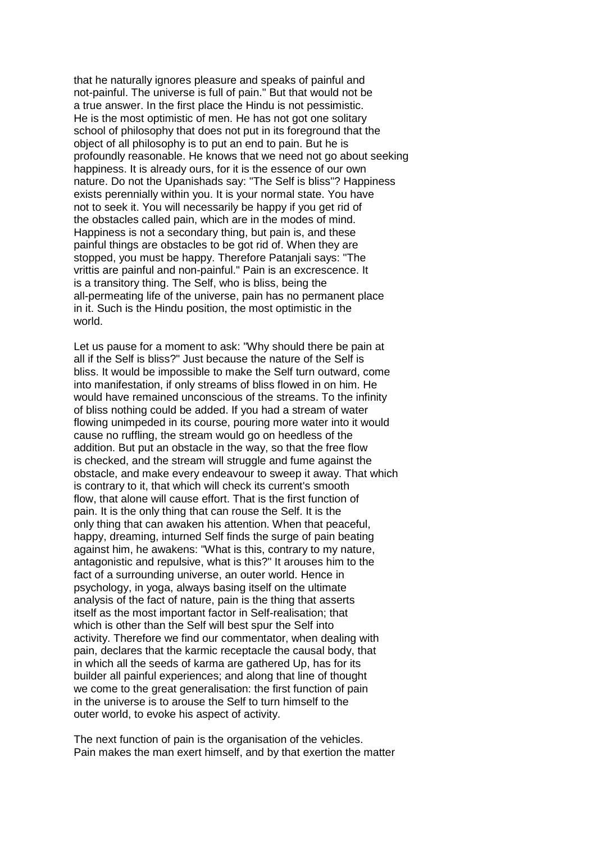that he naturally ignores pleasure and speaks of painful and not-painful. The universe is full of pain." But that would not be a true answer. In the first place the Hindu is not pessimistic. He is the most optimistic of men. He has not got one solitary school of philosophy that does not put in its foreground that the object of all philosophy is to put an end to pain. But he is profoundly reasonable. He knows that we need not go about seeking happiness. It is already ours, for it is the essence of our own nature. Do not the Upanishads say: "The Self is bliss"? Happiness exists perennially within you. It is your normal state. You have not to seek it. You will necessarily be happy if you get rid of the obstacles called pain, which are in the modes of mind. Happiness is not a secondary thing, but pain is, and these painful things are obstacles to be got rid of. When they are stopped, you must be happy. Therefore Patanjali says: "The vrittis are painful and non-painful." Pain is an excrescence. It is a transitory thing. The Self, who is bliss, being the all-permeating life of the universe, pain has no permanent place in it. Such is the Hindu position, the most optimistic in the world.

Let us pause for a moment to ask: "Why should there be pain at all if the Self is bliss?" Just because the nature of the Self is bliss. It would be impossible to make the Self turn outward, come into manifestation, if only streams of bliss flowed in on him. He would have remained unconscious of the streams. To the infinity of bliss nothing could be added. If you had a stream of water flowing unimpeded in its course, pouring more water into it would cause no ruffling, the stream would go on heedless of the addition. But put an obstacle in the way, so that the free flow is checked, and the stream will struggle and fume against the obstacle, and make every endeavour to sweep it away. That which is contrary to it, that which will check its current's smooth flow, that alone will cause effort. That is the first function of pain. It is the only thing that can rouse the Self. It is the only thing that can awaken his attention. When that peaceful, happy, dreaming, inturned Self finds the surge of pain beating against him, he awakens: "What is this, contrary to my nature, antagonistic and repulsive, what is this?" It arouses him to the fact of a surrounding universe, an outer world. Hence in psychology, in yoga, always basing itself on the ultimate analysis of the fact of nature, pain is the thing that asserts itself as the most important factor in Self-realisation; that which is other than the Self will best spur the Self into activity. Therefore we find our commentator, when dealing with pain, declares that the karmic receptacle the causal body, that in which all the seeds of karma are gathered Up, has for its builder all painful experiences; and along that line of thought we come to the great generalisation: the first function of pain in the universe is to arouse the Self to turn himself to the outer world, to evoke his aspect of activity.

The next function of pain is the organisation of the vehicles. Pain makes the man exert himself, and by that exertion the matter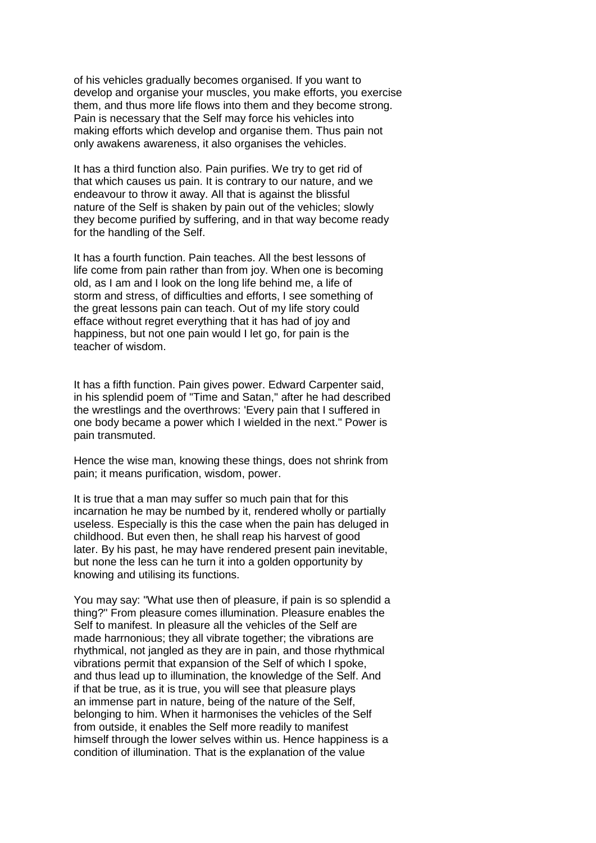of his vehicles gradually becomes organised. If you want to develop and organise your muscles, you make efforts, you exercise them, and thus more life flows into them and they become strong. Pain is necessary that the Self may force his vehicles into making efforts which develop and organise them. Thus pain not only awakens awareness, it also organises the vehicles.

It has a third function also. Pain purifies. We try to get rid of that which causes us pain. It is contrary to our nature, and we endeavour to throw it away. All that is against the blissful nature of the Self is shaken by pain out of the vehicles; slowly they become purified by suffering, and in that way become ready for the handling of the Self.

It has a fourth function. Pain teaches. All the best lessons of life come from pain rather than from joy. When one is becoming old, as I am and I look on the long life behind me, a life of storm and stress, of difficulties and efforts, I see something of the great lessons pain can teach. Out of my life story could efface without regret everything that it has had of joy and happiness, but not one pain would I let go, for pain is the teacher of wisdom.

It has a fifth function. Pain gives power. Edward Carpenter said, in his splendid poem of "Time and Satan," after he had described the wrestlings and the overthrows: 'Every pain that I suffered in one body became a power which I wielded in the next." Power is pain transmuted.

Hence the wise man, knowing these things, does not shrink from pain; it means purification, wisdom, power.

It is true that a man may suffer so much pain that for this incarnation he may be numbed by it, rendered wholly or partially useless. Especially is this the case when the pain has deluged in childhood. But even then, he shall reap his harvest of good later. By his past, he may have rendered present pain inevitable, but none the less can he turn it into a golden opportunity by knowing and utilising its functions.

You may say: "What use then of pleasure, if pain is so splendid a thing?" From pleasure comes illumination. Pleasure enables the Self to manifest. In pleasure all the vehicles of the Self are made harrnonious; they all vibrate together; the vibrations are rhythmical, not jangled as they are in pain, and those rhythmical vibrations permit that expansion of the Self of which I spoke, and thus lead up to illumination, the knowledge of the Self. And if that be true, as it is true, you will see that pleasure plays an immense part in nature, being of the nature of the Self, belonging to him. When it harmonises the vehicles of the Self from outside, it enables the Self more readily to manifest himself through the lower selves within us. Hence happiness is a condition of illumination. That is the explanation of the value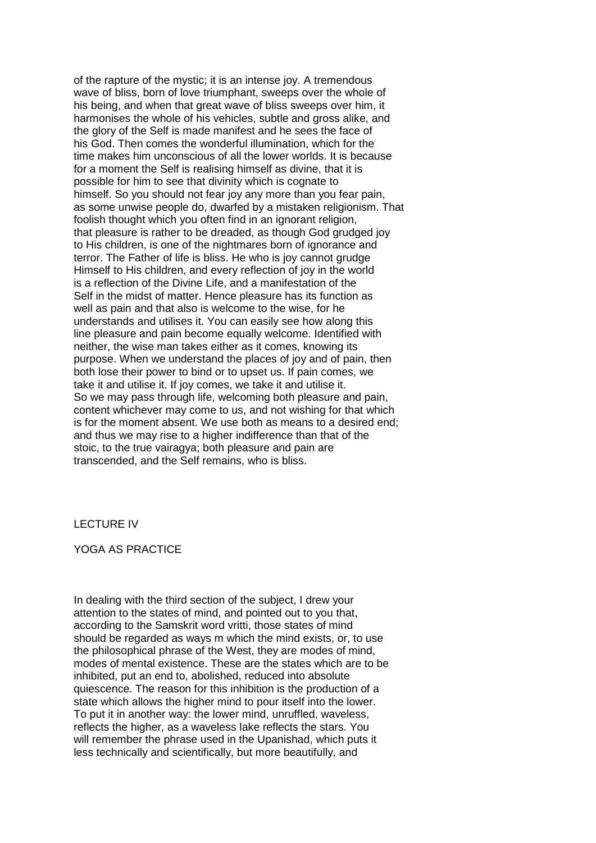of the rapture of the mystic; it is an intense joy. A tremendous wave of bliss, born of love triumphant, sweeps over the whole of his being, and when that great wave of bliss sweeps over him, it harmonises the whole of his vehicles, subtle and gross alike, and the glory of the Self is made manifest and he sees the face of his God. Then comes the wonderful illumination, which for the time makes him unconscious of all the lower worlds. It is because for a moment the Self is realising himself as divine, that it is possible for him to see that divinity which is cognate to himself. So you should not fear joy any more than you fear pain, as some unwise people do, dwarfed by a mistaken religionism. That foolish thought which you often find in an ignorant religion, that pleasure is rather to be dreaded, as though God grudged joy to His children, is one of the nightmares born of ignorance and terror. The Father of life is bliss. He who is joy cannot grudge Himself to His children, and every reflection of joy in the world is a reflection of the Divine Life, and a manifestation of the Self in the midst of matter. Hence pleasure has its function as well as pain and that also is welcome to the wise, for he understands and utilises it. You can easily see how along this line pleasure and pain become equally welcome. Identified with neither, the wise man takes either as it comes, knowing its purpose. When we understand the places of joy and of pain, then both lose their power to bind or to upset us. If pain comes, we take it and utilise it. If joy comes, we take it and utilise it. So we may pass through life, welcoming both pleasure and pain, content whichever may come to us, and not wishing for that which is for the moment absent. We use both as means to a desired end; and thus we may rise to a higher indifference than that of the stoic, to the true vairagya; both pleasure and pain are transcended, and the Self remains, who is bliss.

#### LECTURE IV

#### YOGA AS PRACTICE

In dealing with the third section of the subject, I drew your attention to the states of mind, and pointed out to you that, according to the Samskrit word vritti, those states of mind should be regarded as ways m which the mind exists, or, to use the philosophical phrase of the West, they are modes of mind, modes of mental existence. These are the states which are to be inhibited, put an end to, abolished, reduced into absolute quiescence. The reason for this inhibition is the production of a state which allows the higher mind to pour itself into the lower. To put it in another way: the lower mind, unruffled, waveless, reflects the higher, as a waveless lake reflects the stars. You will remember the phrase used in the Upanishad, which puts it less technically and scientifically, but more beautifully, and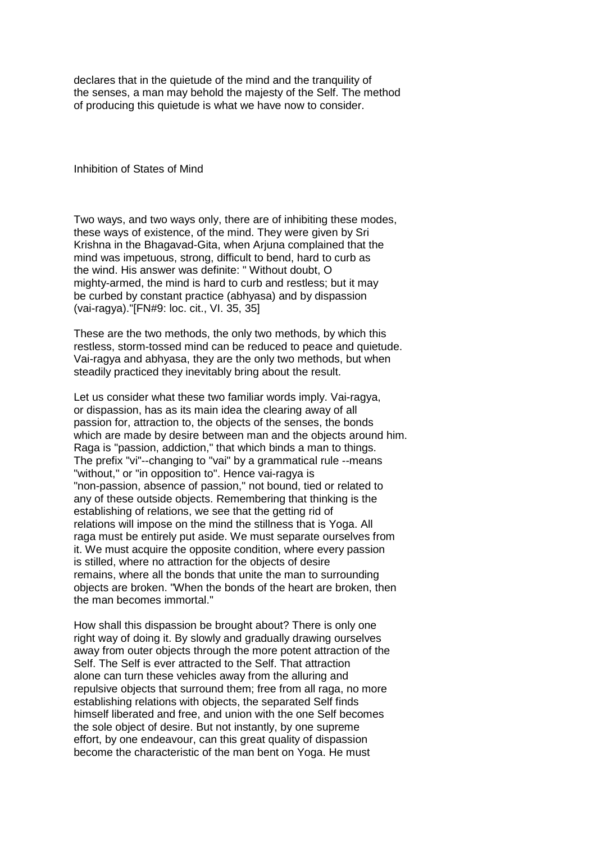declares that in the quietude of the mind and the tranquility of the senses, a man may behold the majesty of the Self. The method of producing this quietude is what we have now to consider.

Inhibition of States of Mind

Two ways, and two ways only, there are of inhibiting these modes, these ways of existence, of the mind. They were given by Sri Krishna in the Bhagavad-Gita, when Arjuna complained that the mind was impetuous, strong, difficult to bend, hard to curb as the wind. His answer was definite: " Without doubt, O mighty-armed, the mind is hard to curb and restless; but it may be curbed by constant practice (abhyasa) and by dispassion (vai-ragya)."[FN#9: loc. cit., VI. 35, 35]

These are the two methods, the only two methods, by which this restless, storm-tossed mind can be reduced to peace and quietude. Vai-ragya and abhyasa, they are the only two methods, but when steadily practiced they inevitably bring about the result.

Let us consider what these two familiar words imply. Vai-ragya, or dispassion, has as its main idea the clearing away of all passion for, attraction to, the objects of the senses, the bonds which are made by desire between man and the objects around him. Raga is "passion, addiction," that which binds a man to things. The prefix "vi"--changing to "vai" by a grammatical rule --means "without," or "in opposition to". Hence vai-ragya is "non-passion, absence of passion," not bound, tied or related to any of these outside objects. Remembering that thinking is the establishing of relations, we see that the getting rid of relations will impose on the mind the stillness that is Yoga. All raga must be entirely put aside. We must separate ourselves from it. We must acquire the opposite condition, where every passion is stilled, where no attraction for the objects of desire remains, where all the bonds that unite the man to surrounding objects are broken. "When the bonds of the heart are broken, then the man becomes immortal."

How shall this dispassion be brought about? There is only one right way of doing it. By slowly and gradually drawing ourselves away from outer objects through the more potent attraction of the Self. The Self is ever attracted to the Self. That attraction alone can turn these vehicles away from the alluring and repulsive objects that surround them; free from all raga, no more establishing relations with objects, the separated Self finds himself liberated and free, and union with the one Self becomes the sole object of desire. But not instantly, by one supreme effort, by one endeavour, can this great quality of dispassion become the characteristic of the man bent on Yoga. He must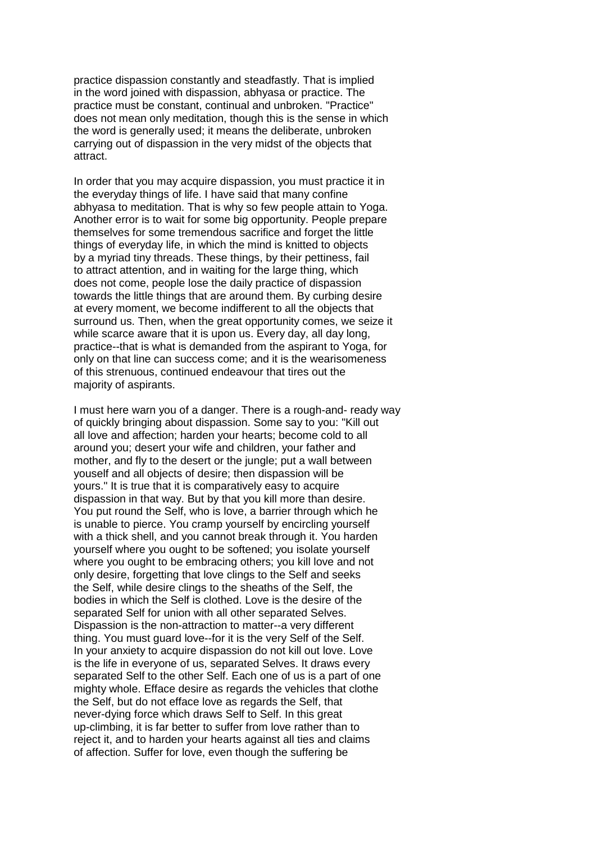practice dispassion constantly and steadfastly. That is implied in the word joined with dispassion, abhyasa or practice. The practice must be constant, continual and unbroken. "Practice" does not mean only meditation, though this is the sense in which the word is generally used; it means the deliberate, unbroken carrying out of dispassion in the very midst of the objects that attract.

In order that you may acquire dispassion, you must practice it in the everyday things of life. I have said that many confine abhyasa to meditation. That is why so few people attain to Yoga. Another error is to wait for some big opportunity. People prepare themselves for some tremendous sacrifice and forget the little things of everyday life, in which the mind is knitted to objects by a myriad tiny threads. These things, by their pettiness, fail to attract attention, and in waiting for the large thing, which does not come, people lose the daily practice of dispassion towards the little things that are around them. By curbing desire at every moment, we become indifferent to all the objects that surround us. Then, when the great opportunity comes, we seize it while scarce aware that it is upon us. Every day, all day long, practice--that is what is demanded from the aspirant to Yoga, for only on that line can success come; and it is the wearisomeness of this strenuous, continued endeavour that tires out the majority of aspirants.

I must here warn you of a danger. There is a rough-and- ready way of quickly bringing about dispassion. Some say to you: "Kill out all love and affection; harden your hearts; become cold to all around you; desert your wife and children, your father and mother, and fly to the desert or the jungle; put a wall between youself and all objects of desire; then dispassion will be yours." It is true that it is comparatively easy to acquire dispassion in that way. But by that you kill more than desire. You put round the Self, who is love, a barrier through which he is unable to pierce. You cramp yourself by encircling yourself with a thick shell, and you cannot break through it. You harden yourself where you ought to be softened; you isolate yourself where you ought to be embracing others; you kill love and not only desire, forgetting that love clings to the Self and seeks the Self, while desire clings to the sheaths of the Self, the bodies in which the Self is clothed. Love is the desire of the separated Self for union with all other separated Selves. Dispassion is the non-attraction to matter--a very different thing. You must guard love--for it is the very Self of the Self. In your anxiety to acquire dispassion do not kill out love. Love is the life in everyone of us, separated Selves. It draws every separated Self to the other Self. Each one of us is a part of one mighty whole. Efface desire as regards the vehicles that clothe the Self, but do not efface love as regards the Self, that never-dying force which draws Self to Self. In this great up-climbing, it is far better to suffer from love rather than to reject it, and to harden your hearts against all ties and claims of affection. Suffer for love, even though the suffering be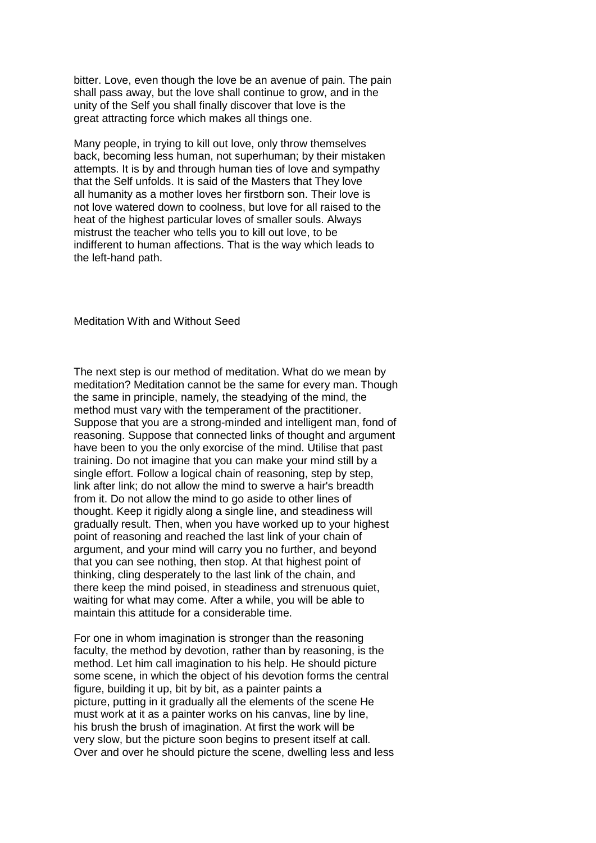bitter. Love, even though the love be an avenue of pain. The pain shall pass away, but the love shall continue to grow, and in the unity of the Self you shall finally discover that love is the great attracting force which makes all things one.

Many people, in trying to kill out love, only throw themselves back, becoming less human, not superhuman; by their mistaken attempts. It is by and through human ties of love and sympathy that the Self unfolds. It is said of the Masters that They love all humanity as a mother loves her firstborn son. Their love is not love watered down to coolness, but love for all raised to the heat of the highest particular loves of smaller souls. Always mistrust the teacher who tells you to kill out love, to be indifferent to human affections. That is the way which leads to the left-hand path.

Meditation With and Without Seed

The next step is our method of meditation. What do we mean by meditation? Meditation cannot be the same for every man. Though the same in principle, namely, the steadying of the mind, the method must vary with the temperament of the practitioner. Suppose that you are a strong-minded and intelligent man, fond of reasoning. Suppose that connected links of thought and argument have been to you the only exorcise of the mind. Utilise that past training. Do not imagine that you can make your mind still by a single effort. Follow a logical chain of reasoning, step by step, link after link; do not allow the mind to swerve a hair's breadth from it. Do not allow the mind to go aside to other lines of thought. Keep it rigidly along a single line, and steadiness will gradually result. Then, when you have worked up to your highest point of reasoning and reached the last link of your chain of argument, and your mind will carry you no further, and beyond that you can see nothing, then stop. At that highest point of thinking, cling desperately to the last link of the chain, and there keep the mind poised, in steadiness and strenuous quiet, waiting for what may come. After a while, you will be able to maintain this attitude for a considerable time.

For one in whom imagination is stronger than the reasoning faculty, the method by devotion, rather than by reasoning, is the method. Let him call imagination to his help. He should picture some scene, in which the object of his devotion forms the central figure, building it up, bit by bit, as a painter paints a picture, putting in it gradually all the elements of the scene He must work at it as a painter works on his canvas, line by line, his brush the brush of imagination. At first the work will be very slow, but the picture soon begins to present itself at call. Over and over he should picture the scene, dwelling less and less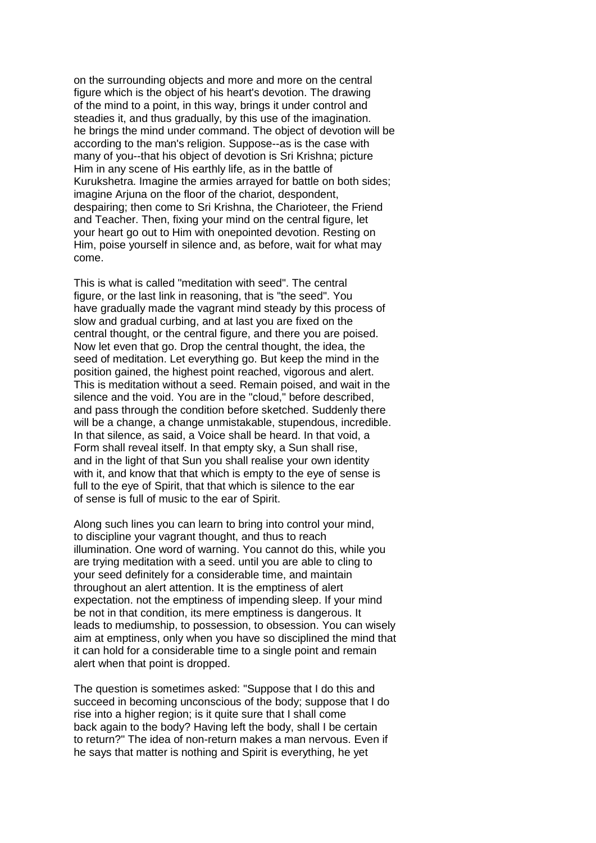on the surrounding objects and more and more on the central figure which is the object of his heart's devotion. The drawing of the mind to a point, in this way, brings it under control and steadies it, and thus gradually, by this use of the imagination. he brings the mind under command. The object of devotion will be according to the man's religion. Suppose--as is the case with many of you--that his object of devotion is Sri Krishna; picture Him in any scene of His earthly life, as in the battle of Kurukshetra. Imagine the armies arrayed for battle on both sides; imagine Arjuna on the floor of the chariot, despondent, despairing; then come to Sri Krishna, the Charioteer, the Friend and Teacher. Then, fixing your mind on the central figure, let your heart go out to Him with onepointed devotion. Resting on Him, poise yourself in silence and, as before, wait for what may come.

This is what is called "meditation with seed". The central figure, or the last link in reasoning, that is "the seed". You have gradually made the vagrant mind steady by this process of slow and gradual curbing, and at last you are fixed on the central thought, or the central figure, and there you are poised. Now let even that go. Drop the central thought, the idea, the seed of meditation. Let everything go. But keep the mind in the position gained, the highest point reached, vigorous and alert. This is meditation without a seed. Remain poised, and wait in the silence and the void. You are in the "cloud," before described, and pass through the condition before sketched. Suddenly there will be a change, a change unmistakable, stupendous, incredible. In that silence, as said, a Voice shall be heard. In that void, a Form shall reveal itself. In that empty sky, a Sun shall rise, and in the light of that Sun you shall realise your own identity with it, and know that that which is empty to the eye of sense is full to the eye of Spirit, that that which is silence to the ear of sense is full of music to the ear of Spirit.

Along such lines you can learn to bring into control your mind, to discipline your vagrant thought, and thus to reach illumination. One word of warning. You cannot do this, while you are trying meditation with a seed. until you are able to cling to your seed definitely for a considerable time, and maintain throughout an alert attention. It is the emptiness of alert expectation. not the emptiness of impending sleep. If your mind be not in that condition, its mere emptiness is dangerous. It leads to mediumship, to possession, to obsession. You can wisely aim at emptiness, only when you have so disciplined the mind that it can hold for a considerable time to a single point and remain alert when that point is dropped.

The question is sometimes asked: "Suppose that I do this and succeed in becoming unconscious of the body; suppose that I do rise into a higher region; is it quite sure that I shall come back again to the body? Having left the body, shall I be certain to return?" The idea of non-return makes a man nervous. Even if he says that matter is nothing and Spirit is everything, he yet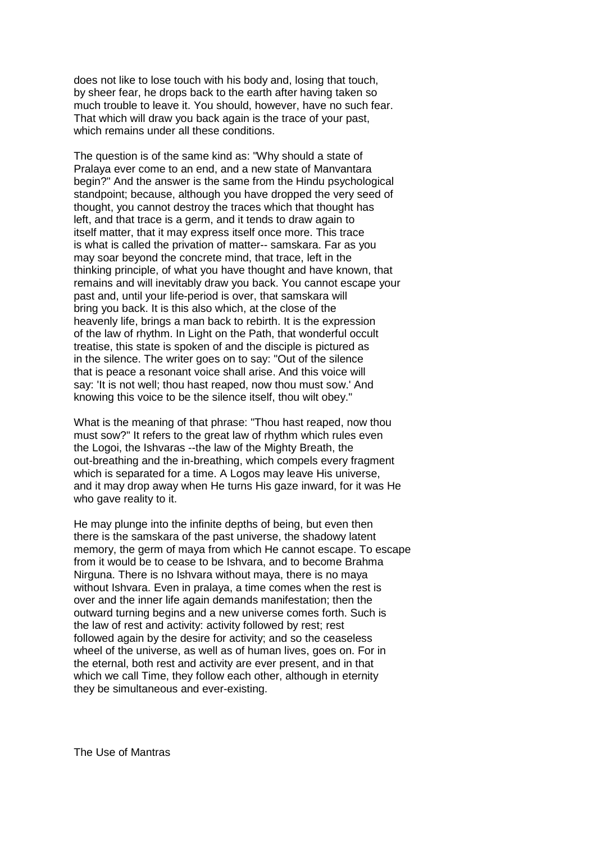does not like to lose touch with his body and, losing that touch, by sheer fear, he drops back to the earth after having taken so much trouble to leave it. You should, however, have no such fear. That which will draw you back again is the trace of your past, which remains under all these conditions.

The question is of the same kind as: "Why should a state of Pralaya ever come to an end, and a new state of Manvantara begin?" And the answer is the same from the Hindu psychological standpoint; because, although you have dropped the very seed of thought, you cannot destroy the traces which that thought has left, and that trace is a germ, and it tends to draw again to itself matter, that it may express itself once more. This trace is what is called the privation of matter-- samskara. Far as you may soar beyond the concrete mind, that trace, left in the thinking principle, of what you have thought and have known, that remains and will inevitably draw you back. You cannot escape your past and, until your life-period is over, that samskara will bring you back. It is this also which, at the close of the heavenly life, brings a man back to rebirth. It is the expression of the law of rhythm. In Light on the Path, that wonderful occult treatise, this state is spoken of and the disciple is pictured as in the silence. The writer goes on to say: "Out of the silence that is peace a resonant voice shall arise. And this voice will say: 'It is not well; thou hast reaped, now thou must sow.' And knowing this voice to be the silence itself, thou wilt obey."

What is the meaning of that phrase: "Thou hast reaped, now thou must sow?" It refers to the great law of rhythm which rules even the Logoi, the Ishvaras --the law of the Mighty Breath, the out-breathing and the in-breathing, which compels every fragment which is separated for a time. A Logos may leave His universe, and it may drop away when He turns His gaze inward, for it was He who gave reality to it.

He may plunge into the infinite depths of being, but even then there is the samskara of the past universe, the shadowy latent memory, the germ of maya from which He cannot escape. To escape from it would be to cease to be Ishvara, and to become Brahma Nirguna. There is no Ishvara without maya, there is no maya without Ishvara. Even in pralaya, a time comes when the rest is over and the inner life again demands manifestation; then the outward turning begins and a new universe comes forth. Such is the law of rest and activity: activity followed by rest; rest followed again by the desire for activity; and so the ceaseless wheel of the universe, as well as of human lives, goes on. For in the eternal, both rest and activity are ever present, and in that which we call Time, they follow each other, although in eternity they be simultaneous and ever-existing.

The Use of Mantras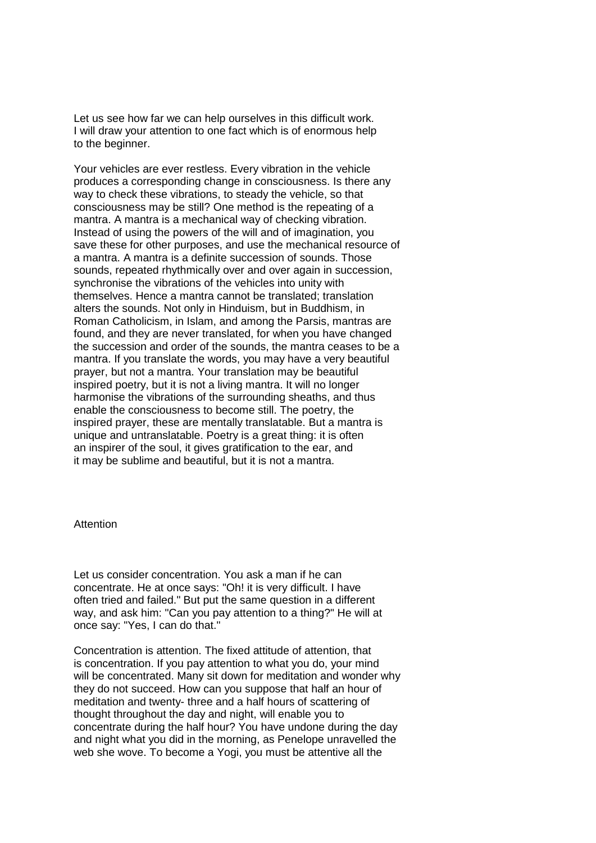Let us see how far we can help ourselves in this difficult work. I will draw your attention to one fact which is of enormous help to the beginner.

Your vehicles are ever restless. Every vibration in the vehicle produces a corresponding change in consciousness. Is there any way to check these vibrations, to steady the vehicle, so that consciousness may be still? One method is the repeating of a mantra. A mantra is a mechanical way of checking vibration. Instead of using the powers of the will and of imagination, you save these for other purposes, and use the mechanical resource of a mantra. A mantra is a definite succession of sounds. Those sounds, repeated rhythmically over and over again in succession, synchronise the vibrations of the vehicles into unity with themselves. Hence a mantra cannot be translated; translation alters the sounds. Not only in Hinduism, but in Buddhism, in Roman Catholicism, in Islam, and among the Parsis, mantras are found, and they are never translated, for when you have changed the succession and order of the sounds, the mantra ceases to be a mantra. If you translate the words, you may have a very beautiful prayer, but not a mantra. Your translation may be beautiful inspired poetry, but it is not a living mantra. It will no longer harmonise the vibrations of the surrounding sheaths, and thus enable the consciousness to become still. The poetry, the inspired prayer, these are mentally translatable. But a mantra is unique and untranslatable. Poetry is a great thing: it is often an inspirer of the soul, it gives gratification to the ear, and it may be sublime and beautiful, but it is not a mantra.

## **Attention**

Let us consider concentration. You ask a man if he can concentrate. He at once says: "Oh! it is very difficult. I have often tried and failed." But put the same question in a different way, and ask him: "Can you pay attention to a thing?" He will at once say: "Yes, I can do that."

Concentration is attention. The fixed attitude of attention, that is concentration. If you pay attention to what you do, your mind will be concentrated. Many sit down for meditation and wonder why they do not succeed. How can you suppose that half an hour of meditation and twenty- three and a half hours of scattering of thought throughout the day and night, will enable you to concentrate during the half hour? You have undone during the day and night what you did in the morning, as Penelope unravelled the web she wove. To become a Yogi, you must be attentive all the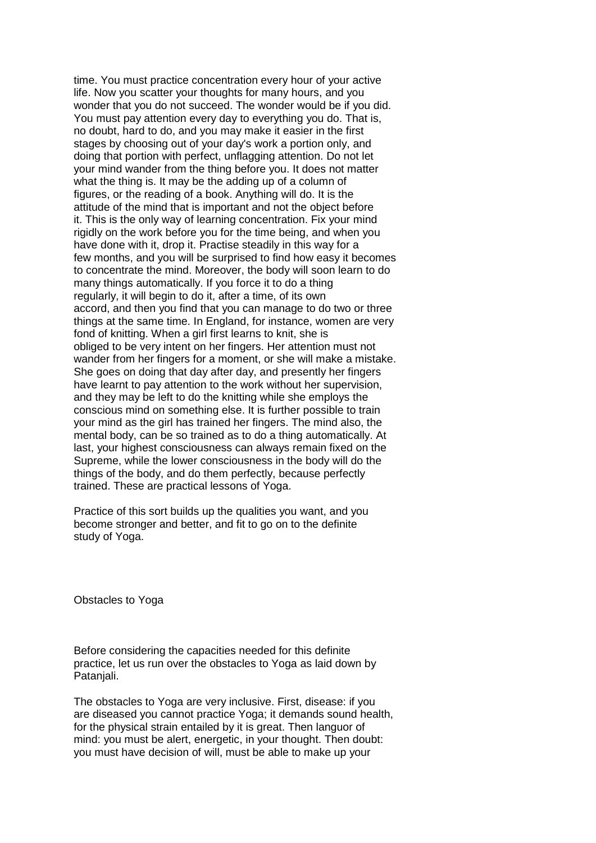time. You must practice concentration every hour of your active life. Now you scatter your thoughts for many hours, and you wonder that you do not succeed. The wonder would be if you did. You must pay attention every day to everything you do. That is, no doubt, hard to do, and you may make it easier in the first stages by choosing out of your day's work a portion only, and doing that portion with perfect, unflagging attention. Do not let your mind wander from the thing before you. It does not matter what the thing is. It may be the adding up of a column of figures, or the reading of a book. Anything will do. It is the attitude of the mind that is important and not the object before it. This is the only way of learning concentration. Fix your mind rigidly on the work before you for the time being, and when you have done with it, drop it. Practise steadily in this way for a few months, and you will be surprised to find how easy it becomes to concentrate the mind. Moreover, the body will soon learn to do many things automatically. If you force it to do a thing regularly, it will begin to do it, after a time, of its own accord, and then you find that you can manage to do two or three things at the same time. In England, for instance, women are very fond of knitting. When a girl first learns to knit, she is obliged to be very intent on her fingers. Her attention must not wander from her fingers for a moment, or she will make a mistake. She goes on doing that day after day, and presently her fingers have learnt to pay attention to the work without her supervision, and they may be left to do the knitting while she employs the conscious mind on something else. It is further possible to train your mind as the girl has trained her fingers. The mind also, the mental body, can be so trained as to do a thing automatically. At last, your highest consciousness can always remain fixed on the Supreme, while the lower consciousness in the body will do the things of the body, and do them perfectly, because perfectly trained. These are practical lessons of Yoga.

Practice of this sort builds up the qualities you want, and you become stronger and better, and fit to go on to the definite study of Yoga.

Obstacles to Yoga

Before considering the capacities needed for this definite practice, let us run over the obstacles to Yoga as laid down by Patanjali.

The obstacles to Yoga are very inclusive. First, disease: if you are diseased you cannot practice Yoga; it demands sound health, for the physical strain entailed by it is great. Then languor of mind: you must be alert, energetic, in your thought. Then doubt: you must have decision of will, must be able to make up your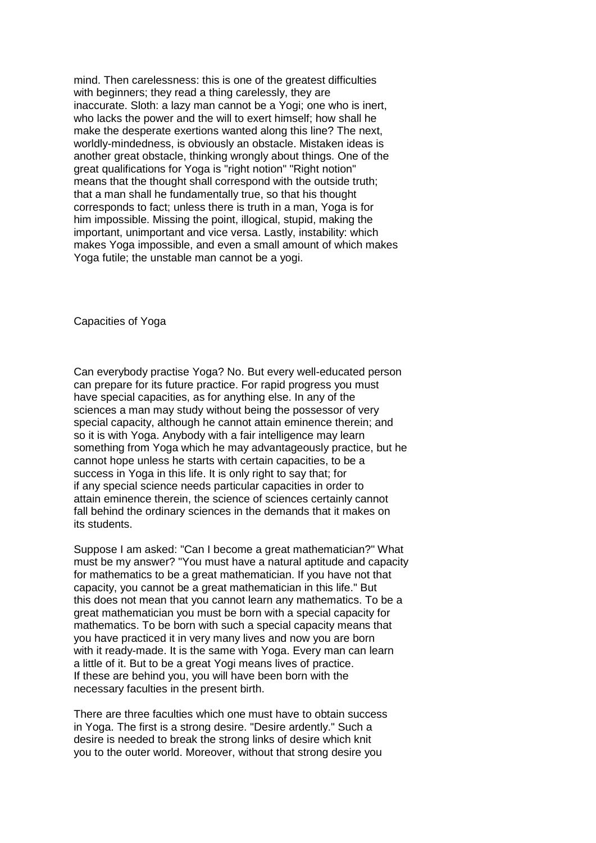mind. Then carelessness: this is one of the greatest difficulties with beginners; they read a thing carelessly, they are inaccurate. Sloth: a lazy man cannot be a Yogi; one who is inert, who lacks the power and the will to exert himself; how shall he make the desperate exertions wanted along this line? The next, worldly-mindedness, is obviously an obstacle. Mistaken ideas is another great obstacle, thinking wrongly about things. One of the great qualifications for Yoga is "right notion" "Right notion" means that the thought shall correspond with the outside truth; that a man shall he fundamentally true, so that his thought corresponds to fact; unless there is truth in a man, Yoga is for him impossible. Missing the point, illogical, stupid, making the important, unimportant and vice versa. Lastly, instability: which makes Yoga impossible, and even a small amount of which makes Yoga futile; the unstable man cannot be a yogi.

Capacities of Yoga

Can everybody practise Yoga? No. But every well-educated person can prepare for its future practice. For rapid progress you must have special capacities, as for anything else. In any of the sciences a man may study without being the possessor of very special capacity, although he cannot attain eminence therein; and so it is with Yoga. Anybody with a fair intelligence may learn something from Yoga which he may advantageously practice, but he cannot hope unless he starts with certain capacities, to be a success in Yoga in this life. It is only right to say that; for if any special science needs particular capacities in order to attain eminence therein, the science of sciences certainly cannot fall behind the ordinary sciences in the demands that it makes on its students.

Suppose I am asked: "Can I become a great mathematician?" What must be my answer? "You must have a natural aptitude and capacity for mathematics to be a great mathematician. If you have not that capacity, you cannot be a great mathematician in this life." But this does not mean that you cannot learn any mathematics. To be a great mathematician you must be born with a special capacity for mathematics. To be born with such a special capacity means that you have practiced it in very many lives and now you are born with it ready-made. It is the same with Yoga. Every man can learn a little of it. But to be a great Yogi means lives of practice. If these are behind you, you will have been born with the necessary faculties in the present birth.

There are three faculties which one must have to obtain success in Yoga. The first is a strong desire. "Desire ardently." Such a desire is needed to break the strong links of desire which knit you to the outer world. Moreover, without that strong desire you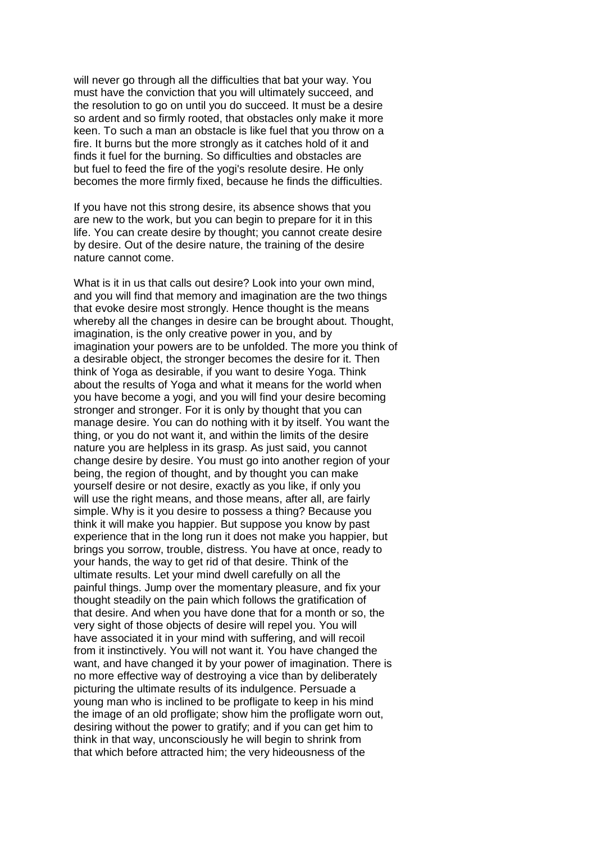will never go through all the difficulties that bat your way. You must have the conviction that you will ultimately succeed, and the resolution to go on until you do succeed. It must be a desire so ardent and so firmly rooted, that obstacles only make it more keen. To such a man an obstacle is like fuel that you throw on a fire. It burns but the more strongly as it catches hold of it and finds it fuel for the burning. So difficulties and obstacles are but fuel to feed the fire of the yogi's resolute desire. He only becomes the more firmly fixed, because he finds the difficulties.

If you have not this strong desire, its absence shows that you are new to the work, but you can begin to prepare for it in this life. You can create desire by thought; you cannot create desire by desire. Out of the desire nature, the training of the desire nature cannot come.

What is it in us that calls out desire? Look into your own mind, and you will find that memory and imagination are the two things that evoke desire most strongly. Hence thought is the means whereby all the changes in desire can be brought about. Thought, imagination, is the only creative power in you, and by imagination your powers are to be unfolded. The more you think of a desirable object, the stronger becomes the desire for it. Then think of Yoga as desirable, if you want to desire Yoga. Think about the results of Yoga and what it means for the world when you have become a yogi, and you will find your desire becoming stronger and stronger. For it is only by thought that you can manage desire. You can do nothing with it by itself. You want the thing, or you do not want it, and within the limits of the desire nature you are helpless in its grasp. As just said, you cannot change desire by desire. You must go into another region of your being, the region of thought, and by thought you can make yourself desire or not desire, exactly as you like, if only you will use the right means, and those means, after all, are fairly simple. Why is it you desire to possess a thing? Because you think it will make you happier. But suppose you know by past experience that in the long run it does not make you happier, but brings you sorrow, trouble, distress. You have at once, ready to your hands, the way to get rid of that desire. Think of the ultimate results. Let your mind dwell carefully on all the painful things. Jump over the momentary pleasure, and fix your thought steadily on the pain which follows the gratification of that desire. And when you have done that for a month or so, the very sight of those objects of desire will repel you. You will have associated it in your mind with suffering, and will recoil from it instinctively. You will not want it. You have changed the want, and have changed it by your power of imagination. There is no more effective way of destroying a vice than by deliberately picturing the ultimate results of its indulgence. Persuade a young man who is inclined to be profligate to keep in his mind the image of an old profligate; show him the profligate worn out, desiring without the power to gratify; and if you can get him to think in that way, unconsciously he will begin to shrink from that which before attracted him; the very hideousness of the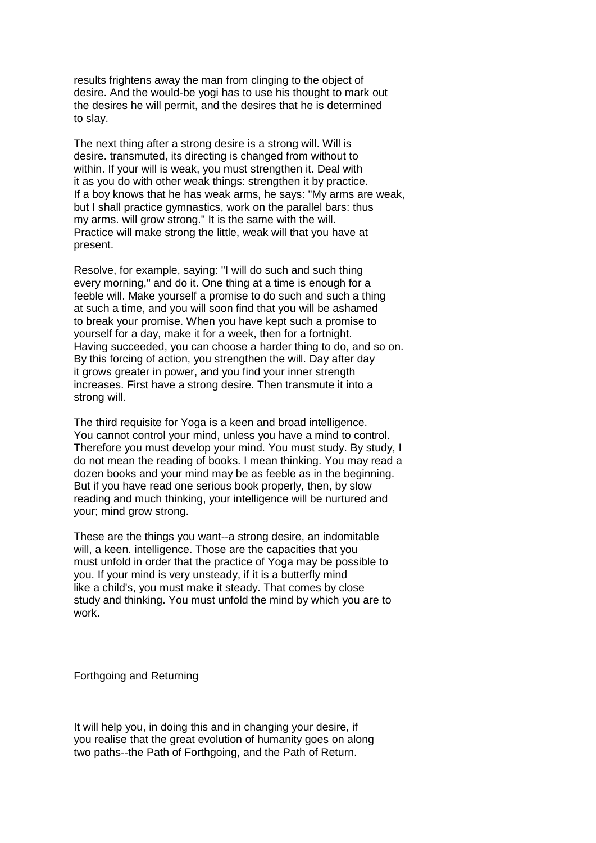results frightens away the man from clinging to the object of desire. And the would-be yogi has to use his thought to mark out the desires he will permit, and the desires that he is determined to slay.

The next thing after a strong desire is a strong will. Will is desire. transmuted, its directing is changed from without to within. If your will is weak, you must strengthen it. Deal with it as you do with other weak things: strengthen it by practice. If a boy knows that he has weak arms, he says: "My arms are weak, but I shall practice gymnastics, work on the parallel bars: thus my arms. will grow strong." It is the same with the will. Practice will make strong the little, weak will that you have at present.

Resolve, for example, saying: "I will do such and such thing every morning," and do it. One thing at a time is enough for a feeble will. Make yourself a promise to do such and such a thing at such a time, and you will soon find that you will be ashamed to break your promise. When you have kept such a promise to yourself for a day, make it for a week, then for a fortnight. Having succeeded, you can choose a harder thing to do, and so on. By this forcing of action, you strengthen the will. Day after day it grows greater in power, and you find your inner strength increases. First have a strong desire. Then transmute it into a strong will.

The third requisite for Yoga is a keen and broad intelligence. You cannot control your mind, unless you have a mind to control. Therefore you must develop your mind. You must study. By study, I do not mean the reading of books. I mean thinking. You may read a dozen books and your mind may be as feeble as in the beginning. But if you have read one serious book properly, then, by slow reading and much thinking, your intelligence will be nurtured and your; mind grow strong.

These are the things you want--a strong desire, an indomitable will, a keen. intelligence. Those are the capacities that you must unfold in order that the practice of Yoga may be possible to you. If your mind is very unsteady, if it is a butterfly mind like a child's, you must make it steady. That comes by close study and thinking. You must unfold the mind by which you are to work.

Forthgoing and Returning

It will help you, in doing this and in changing your desire, if you realise that the great evolution of humanity goes on along two paths--the Path of Forthgoing, and the Path of Return.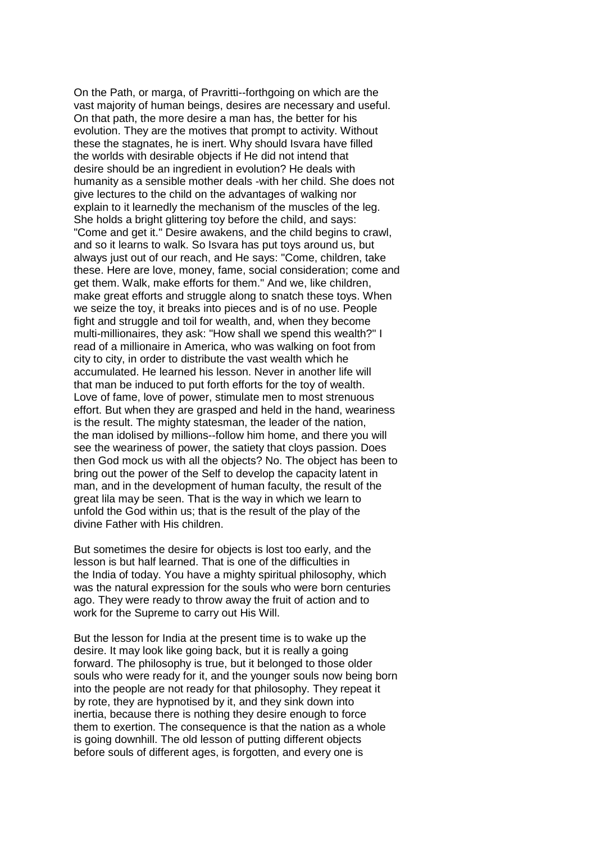On the Path, or marga, of Pravritti--forthgoing on which are the vast majority of human beings, desires are necessary and useful. On that path, the more desire a man has, the better for his evolution. They are the motives that prompt to activity. Without these the stagnates, he is inert. Why should Isvara have filled the worlds with desirable objects if He did not intend that desire should be an ingredient in evolution? He deals with humanity as a sensible mother deals -with her child. She does not give lectures to the child on the advantages of walking nor explain to it learnedly the mechanism of the muscles of the leg. She holds a bright glittering toy before the child, and says: "Come and get it." Desire awakens, and the child begins to crawl, and so it learns to walk. So Isvara has put toys around us, but always just out of our reach, and He says: "Come, children, take these. Here are love, money, fame, social consideration; come and get them. Walk, make efforts for them." And we, like children, make great efforts and struggle along to snatch these toys. When we seize the toy, it breaks into pieces and is of no use. People fight and struggle and toil for wealth, and, when they become multi-millionaires, they ask: "How shall we spend this wealth?" I read of a millionaire in America, who was walking on foot from city to city, in order to distribute the vast wealth which he accumulated. He learned his lesson. Never in another life will that man be induced to put forth efforts for the toy of wealth. Love of fame, love of power, stimulate men to most strenuous effort. But when they are grasped and held in the hand, weariness is the result. The mighty statesman, the leader of the nation, the man idolised by millions--follow him home, and there you will see the weariness of power, the satiety that cloys passion. Does then God mock us with all the objects? No. The object has been to bring out the power of the Self to develop the capacity latent in man, and in the development of human faculty, the result of the great lila may be seen. That is the way in which we learn to unfold the God within us; that is the result of the play of the divine Father with His children.

But sometimes the desire for objects is lost too early, and the lesson is but half learned. That is one of the difficulties in the India of today. You have a mighty spiritual philosophy, which was the natural expression for the souls who were born centuries ago. They were ready to throw away the fruit of action and to work for the Supreme to carry out His Will.

But the lesson for India at the present time is to wake up the desire. It may look like going back, but it is really a going forward. The philosophy is true, but it belonged to those older souls who were ready for it, and the younger souls now being born into the people are not ready for that philosophy. They repeat it by rote, they are hypnotised by it, and they sink down into inertia, because there is nothing they desire enough to force them to exertion. The consequence is that the nation as a whole is going downhill. The old lesson of putting different objects before souls of different ages, is forgotten, and every one is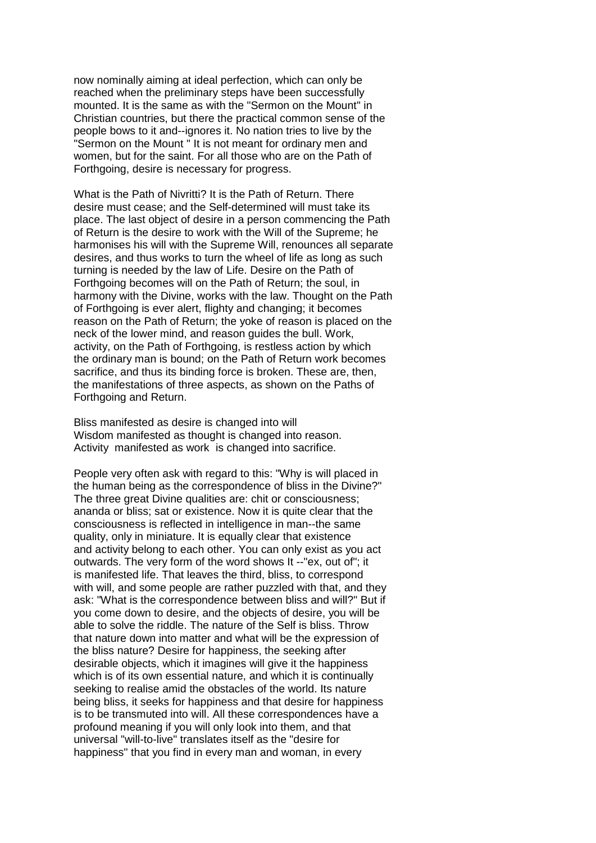now nominally aiming at ideal perfection, which can only be reached when the preliminary steps have been successfully mounted. It is the same as with the "Sermon on the Mount" in Christian countries, but there the practical common sense of the people bows to it and--ignores it. No nation tries to live by the "Sermon on the Mount " It is not meant for ordinary men and women, but for the saint. For all those who are on the Path of Forthgoing, desire is necessary for progress.

What is the Path of Nivritti? It is the Path of Return. There desire must cease; and the Self-determined will must take its place. The last object of desire in a person commencing the Path of Return is the desire to work with the Will of the Supreme; he harmonises his will with the Supreme Will, renounces all separate desires, and thus works to turn the wheel of life as long as such turning is needed by the law of Life. Desire on the Path of Forthgoing becomes will on the Path of Return; the soul, in harmony with the Divine, works with the law. Thought on the Path of Forthgoing is ever alert, flighty and changing; it becomes reason on the Path of Return; the yoke of reason is placed on the neck of the lower mind, and reason guides the bull. Work, activity, on the Path of Forthgoing, is restless action by which the ordinary man is bound; on the Path of Return work becomes sacrifice, and thus its binding force is broken. These are, then, the manifestations of three aspects, as shown on the Paths of Forthgoing and Return.

Bliss manifested as desire is changed into will Wisdom manifested as thought is changed into reason. Activity manifested as work is changed into sacrifice.

People very often ask with regard to this: "Why is will placed in the human being as the correspondence of bliss in the Divine?" The three great Divine qualities are: chit or consciousness; ananda or bliss; sat or existence. Now it is quite clear that the consciousness is reflected in intelligence in man--the same quality, only in miniature. It is equally clear that existence and activity belong to each other. You can only exist as you act outwards. The very form of the word shows It --"ex, out of"; it is manifested life. That leaves the third, bliss, to correspond with will, and some people are rather puzzled with that, and they ask: "What is the correspondence between bliss and will?" But if you come down to desire, and the objects of desire, you will be able to solve the riddle. The nature of the Self is bliss. Throw that nature down into matter and what will be the expression of the bliss nature? Desire for happiness, the seeking after desirable objects, which it imagines will give it the happiness which is of its own essential nature, and which it is continually seeking to realise amid the obstacles of the world. Its nature being bliss, it seeks for happiness and that desire for happiness is to be transmuted into will. All these correspondences have a profound meaning if you will only look into them, and that universal "will-to-live" translates itself as the "desire for happiness" that you find in every man and woman, in every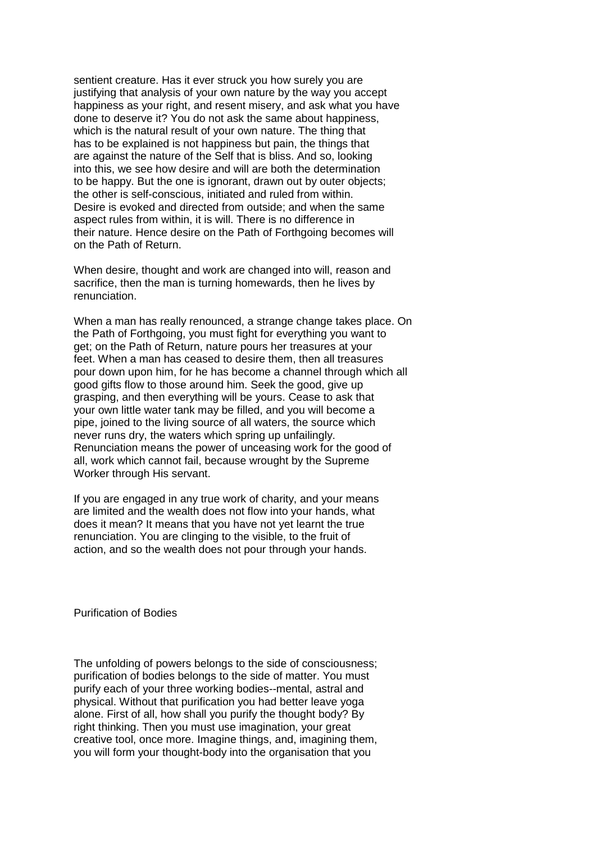sentient creature. Has it ever struck you how surely you are justifying that analysis of your own nature by the way you accept happiness as your right, and resent misery, and ask what you have done to deserve it? You do not ask the same about happiness, which is the natural result of your own nature. The thing that has to be explained is not happiness but pain, the things that are against the nature of the Self that is bliss. And so, looking into this, we see how desire and will are both the determination to be happy. But the one is ignorant, drawn out by outer objects; the other is self-conscious, initiated and ruled from within. Desire is evoked and directed from outside; and when the same aspect rules from within, it is will. There is no difference in their nature. Hence desire on the Path of Forthgoing becomes will on the Path of Return.

When desire, thought and work are changed into will, reason and sacrifice, then the man is turning homewards, then he lives by renunciation.

When a man has really renounced, a strange change takes place. On the Path of Forthgoing, you must fight for everything you want to get; on the Path of Return, nature pours her treasures at your feet. When a man has ceased to desire them, then all treasures pour down upon him, for he has become a channel through which all good gifts flow to those around him. Seek the good, give up grasping, and then everything will be yours. Cease to ask that your own little water tank may be filled, and you will become a pipe, joined to the living source of all waters, the source which never runs dry, the waters which spring up unfailingly. Renunciation means the power of unceasing work for the good of all, work which cannot fail, because wrought by the Supreme Worker through His servant.

If you are engaged in any true work of charity, and your means are limited and the wealth does not flow into your hands, what does it mean? It means that you have not yet learnt the true renunciation. You are clinging to the visible, to the fruit of action, and so the wealth does not pour through your hands.

Purification of Bodies

The unfolding of powers belongs to the side of consciousness; purification of bodies belongs to the side of matter. You must purify each of your three working bodies--mental, astral and physical. Without that purification you had better leave yoga alone. First of all, how shall you purify the thought body? By right thinking. Then you must use imagination, your great creative tool, once more. Imagine things, and, imagining them, you will form your thought-body into the organisation that you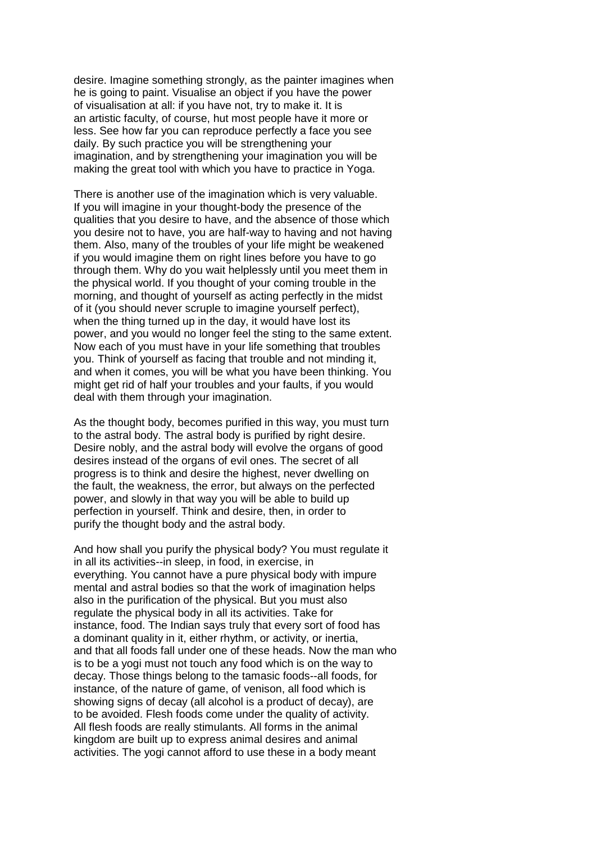desire. Imagine something strongly, as the painter imagines when he is going to paint. Visualise an object if you have the power of visualisation at all: if you have not, try to make it. It is an artistic faculty, of course, hut most people have it more or less. See how far you can reproduce perfectly a face you see daily. By such practice you will be strengthening your imagination, and by strengthening your imagination you will be making the great tool with which you have to practice in Yoga.

There is another use of the imagination which is very valuable. If you will imagine in your thought-body the presence of the qualities that you desire to have, and the absence of those which you desire not to have, you are half-way to having and not having them. Also, many of the troubles of your life might be weakened if you would imagine them on right lines before you have to go through them. Why do you wait helplessly until you meet them in the physical world. If you thought of your coming trouble in the morning, and thought of yourself as acting perfectly in the midst of it (you should never scruple to imagine yourself perfect), when the thing turned up in the day, it would have lost its power, and you would no longer feel the sting to the same extent. Now each of you must have in your life something that troubles you. Think of yourself as facing that trouble and not minding it, and when it comes, you will be what you have been thinking. You might get rid of half your troubles and your faults, if you would deal with them through your imagination.

As the thought body, becomes purified in this way, you must turn to the astral body. The astral body is purified by right desire. Desire nobly, and the astral body will evolve the organs of good desires instead of the organs of evil ones. The secret of all progress is to think and desire the highest, never dwelling on the fault, the weakness, the error, but always on the perfected power, and slowly in that way you will be able to build up perfection in yourself. Think and desire, then, in order to purify the thought body and the astral body.

And how shall you purify the physical body? You must regulate it in all its activities--in sleep, in food, in exercise, in everything. You cannot have a pure physical body with impure mental and astral bodies so that the work of imagination helps also in the purification of the physical. But you must also regulate the physical body in all its activities. Take for instance, food. The Indian says truly that every sort of food has a dominant quality in it, either rhythm, or activity, or inertia, and that all foods fall under one of these heads. Now the man who is to be a yogi must not touch any food which is on the way to decay. Those things belong to the tamasic foods--all foods, for instance, of the nature of game, of venison, all food which is showing signs of decay (all alcohol is a product of decay), are to be avoided. Flesh foods come under the quality of activity. All flesh foods are really stimulants. All forms in the animal kingdom are built up to express animal desires and animal activities. The yogi cannot afford to use these in a body meant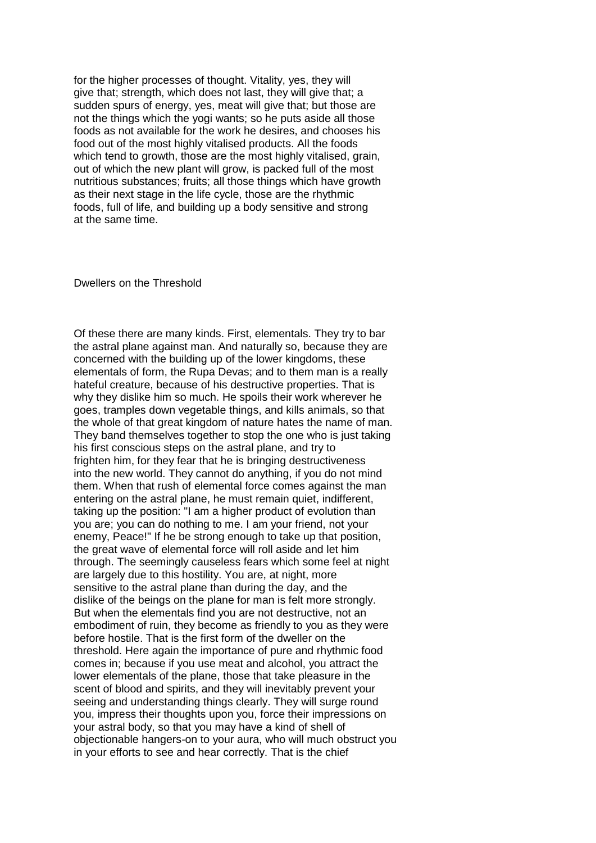for the higher processes of thought. Vitality, yes, they will give that; strength, which does not last, they will give that; a sudden spurs of energy, yes, meat will give that; but those are not the things which the yogi wants; so he puts aside all those foods as not available for the work he desires, and chooses his food out of the most highly vitalised products. All the foods which tend to growth, those are the most highly vitalised, grain, out of which the new plant will grow, is packed full of the most nutritious substances; fruits; all those things which have growth as their next stage in the life cycle, those are the rhythmic foods, full of life, and building up a body sensitive and strong at the same time.

Dwellers on the Threshold

Of these there are many kinds. First, elementals. They try to bar the astral plane against man. And naturally so, because they are concerned with the building up of the lower kingdoms, these elementals of form, the Rupa Devas; and to them man is a really hateful creature, because of his destructive properties. That is why they dislike him so much. He spoils their work wherever he goes, tramples down vegetable things, and kills animals, so that the whole of that great kingdom of nature hates the name of man. They band themselves together to stop the one who is just taking his first conscious steps on the astral plane, and try to frighten him, for they fear that he is bringing destructiveness into the new world. They cannot do anything, if you do not mind them. When that rush of elemental force comes against the man entering on the astral plane, he must remain quiet, indifferent, taking up the position: "I am a higher product of evolution than you are; you can do nothing to me. I am your friend, not your enemy, Peace!" If he be strong enough to take up that position, the great wave of elemental force will roll aside and let him through. The seemingly causeless fears which some feel at night are largely due to this hostility. You are, at night, more sensitive to the astral plane than during the day, and the dislike of the beings on the plane for man is felt more strongly. But when the elementals find you are not destructive, not an embodiment of ruin, they become as friendly to you as they were before hostile. That is the first form of the dweller on the threshold. Here again the importance of pure and rhythmic food comes in; because if you use meat and alcohol, you attract the lower elementals of the plane, those that take pleasure in the scent of blood and spirits, and they will inevitably prevent your seeing and understanding things clearly. They will surge round you, impress their thoughts upon you, force their impressions on your astral body, so that you may have a kind of shell of objectionable hangers-on to your aura, who will much obstruct you in your efforts to see and hear correctly. That is the chief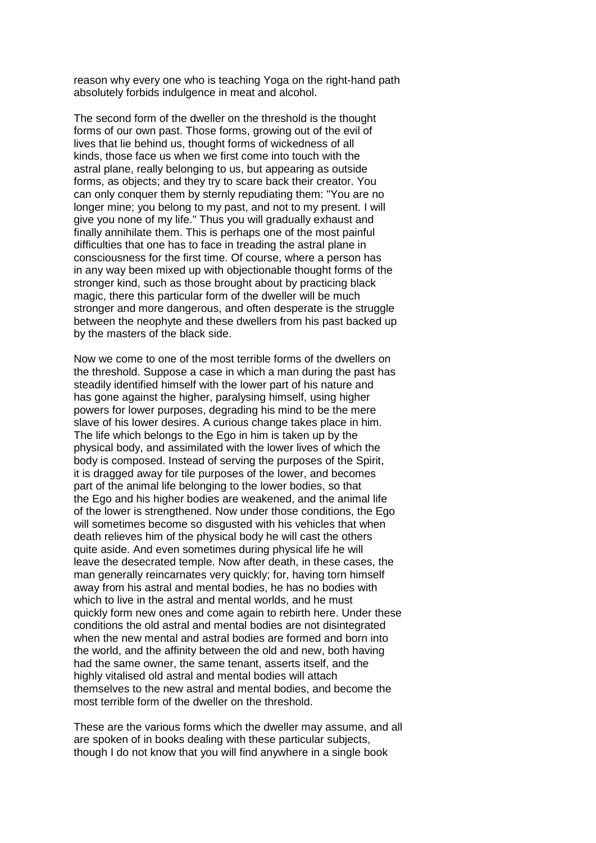reason why every one who is teaching Yoga on the right-hand path absolutely forbids indulgence in meat and alcohol.

The second form of the dweller on the threshold is the thought forms of our own past. Those forms, growing out of the evil of lives that lie behind us, thought forms of wickedness of all kinds, those face us when we first come into touch with the astral plane, really belonging to us, but appearing as outside forms, as objects; and they try to scare back their creator. You can only conquer them by sternly repudiating them: "You are no longer mine; you belong to my past, and not to my present. I will give you none of my life." Thus you will gradually exhaust and finally annihilate them. This is perhaps one of the most painful difficulties that one has to face in treading the astral plane in consciousness for the first time. Of course, where a person has in any way been mixed up with objectionable thought forms of the stronger kind, such as those brought about by practicing black magic, there this particular form of the dweller will be much stronger and more dangerous, and often desperate is the struggle between the neophyte and these dwellers from his past backed up by the masters of the black side.

Now we come to one of the most terrible forms of the dwellers on the threshold. Suppose a case in which a man during the past has steadily identified himself with the lower part of his nature and has gone against the higher, paralysing himself, using higher powers for lower purposes, degrading his mind to be the mere slave of his lower desires. A curious change takes place in him. The life which belongs to the Ego in him is taken up by the physical body, and assimilated with the lower lives of which the body is composed. Instead of serving the purposes of the Spirit, it is dragged away for tile purposes of the lower, and becomes part of the animal life belonging to the lower bodies, so that the Ego and his higher bodies are weakened, and the animal life of the lower is strengthened. Now under those conditions, the Ego will sometimes become so disgusted with his vehicles that when death relieves him of the physical body he will cast the others quite aside. And even sometimes during physical life he will leave the desecrated temple. Now after death, in these cases, the man generally reincarnates very quickly; for, having torn himself away from his astral and mental bodies, he has no bodies with which to live in the astral and mental worlds, and he must quickly form new ones and come again to rebirth here. Under these conditions the old astral and mental bodies are not disintegrated when the new mental and astral bodies are formed and born into the world, and the affinity between the old and new, both having had the same owner, the same tenant, asserts itself, and the highly vitalised old astral and mental bodies will attach themselves to the new astral and mental bodies, and become the most terrible form of the dweller on the threshold.

These are the various forms which the dweller may assume, and all are spoken of in books dealing with these particular subjects, though I do not know that you will find anywhere in a single book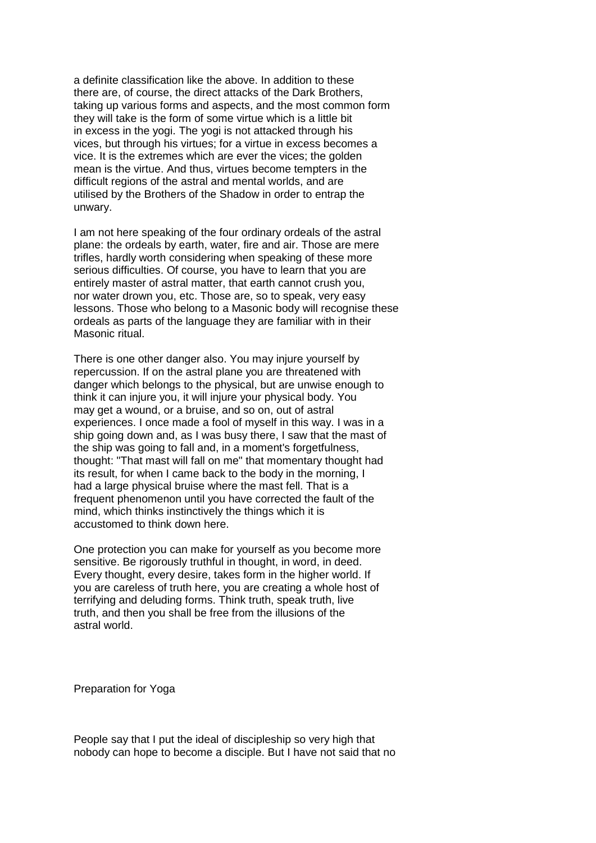a definite classification like the above. In addition to these there are, of course, the direct attacks of the Dark Brothers, taking up various forms and aspects, and the most common form they will take is the form of some virtue which is a little bit in excess in the yogi. The yogi is not attacked through his vices, but through his virtues; for a virtue in excess becomes a vice. It is the extremes which are ever the vices; the golden mean is the virtue. And thus, virtues become tempters in the difficult regions of the astral and mental worlds, and are utilised by the Brothers of the Shadow in order to entrap the unwary.

I am not here speaking of the four ordinary ordeals of the astral plane: the ordeals by earth, water, fire and air. Those are mere trifles, hardly worth considering when speaking of these more serious difficulties. Of course, you have to learn that you are entirely master of astral matter, that earth cannot crush you, nor water drown you, etc. Those are, so to speak, very easy lessons. Those who belong to a Masonic body will recognise these ordeals as parts of the language they are familiar with in their Masonic ritual.

There is one other danger also. You may injure yourself by repercussion. If on the astral plane you are threatened with danger which belongs to the physical, but are unwise enough to think it can injure you, it will injure your physical body. You may get a wound, or a bruise, and so on, out of astral experiences. I once made a fool of myself in this way. I was in a ship going down and, as I was busy there, I saw that the mast of the ship was going to fall and, in a moment's forgetfulness, thought: "That mast will fall on me" that momentary thought had its result, for when I came back to the body in the morning, I had a large physical bruise where the mast fell. That is a frequent phenomenon until you have corrected the fault of the mind, which thinks instinctively the things which it is accustomed to think down here.

One protection you can make for yourself as you become more sensitive. Be rigorously truthful in thought, in word, in deed. Every thought, every desire, takes form in the higher world. If you are careless of truth here, you are creating a whole host of terrifying and deluding forms. Think truth, speak truth, live truth, and then you shall be free from the illusions of the astral world.

Preparation for Yoga

People say that I put the ideal of discipleship so very high that nobody can hope to become a disciple. But I have not said that no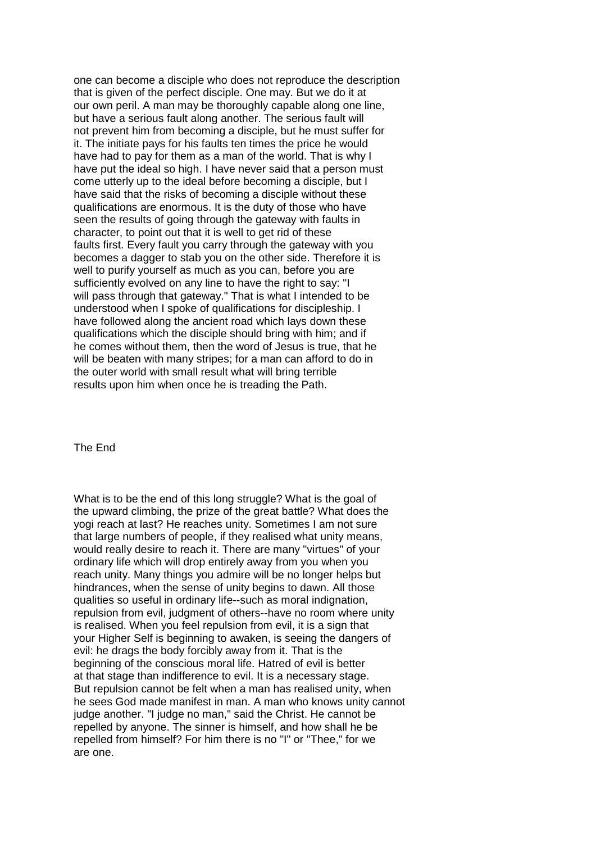one can become a disciple who does not reproduce the description that is given of the perfect disciple. One may. But we do it at our own peril. A man may be thoroughly capable along one line, but have a serious fault along another. The serious fault will not prevent him from becoming a disciple, but he must suffer for it. The initiate pays for his faults ten times the price he would have had to pay for them as a man of the world. That is why I have put the ideal so high. I have never said that a person must come utterly up to the ideal before becoming a disciple, but I have said that the risks of becoming a disciple without these qualifications are enormous. It is the duty of those who have seen the results of going through the gateway with faults in character, to point out that it is well to get rid of these faults first. Every fault you carry through the gateway with you becomes a dagger to stab you on the other side. Therefore it is well to purify yourself as much as you can, before you are sufficiently evolved on any line to have the right to say: "I will pass through that gateway." That is what I intended to be understood when I spoke of qualifications for discipleship. I have followed along the ancient road which lays down these qualifications which the disciple should bring with him; and if he comes without them, then the word of Jesus is true, that he will be beaten with many stripes; for a man can afford to do in the outer world with small result what will bring terrible results upon him when once he is treading the Path.

The End

What is to be the end of this long struggle? What is the goal of the upward climbing, the prize of the great battle? What does the yogi reach at last? He reaches unity. Sometimes I am not sure that large numbers of people, if they realised what unity means, would really desire to reach it. There are many "virtues" of your ordinary life which will drop entirely away from you when you reach unity. Many things you admire will be no longer helps but hindrances, when the sense of unity begins to dawn. All those qualities so useful in ordinary life--such as moral indignation, repulsion from evil, judgment of others--have no room where unity is realised. When you feel repulsion from evil, it is a sign that your Higher Self is beginning to awaken, is seeing the dangers of evil: he drags the body forcibly away from it. That is the beginning of the conscious moral life. Hatred of evil is better at that stage than indifference to evil. It is a necessary stage. But repulsion cannot be felt when a man has realised unity, when he sees God made manifest in man. A man who knows unity cannot judge another. "I judge no man," said the Christ. He cannot be repelled by anyone. The sinner is himself, and how shall he be repelled from himself? For him there is no "I" or "Thee," for we are one.